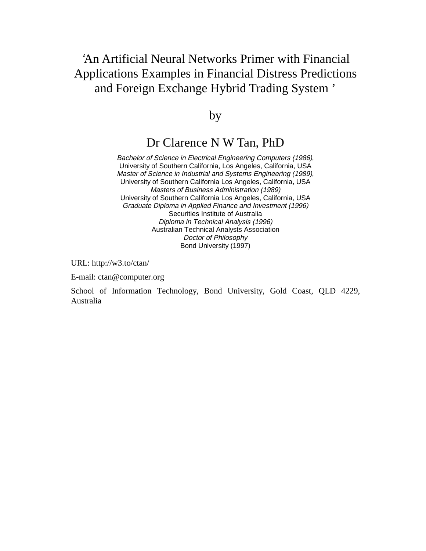# 'An Artificial Neural Networks Primer with Financial Applications Examples in Financial Distress Predictions and Foreign Exchange Hybrid Trading System '

by

## Dr Clarence N W Tan, PhD

Bachelor of Science in Electrical Engineering Computers (1986), University of Southern California, Los Angeles, California, USA Master of Science in Industrial and Systems Engineering (1989), University of Southern California Los Angeles, California, USA Masters of Business Administration (1989) University of Southern California Los Angeles, California, USA Graduate Diploma in Applied Finance and Investment (1996) Securities Institute of Australia Diploma in Technical Analysis (1996) Australian Technical Analysts Association Doctor of Philosophy Bond University (1997)

URL: http://w3.to/ctan/

E-mail: ctan@computer.org

School of Information Technology, Bond University, Gold Coast, QLD 4229, Australia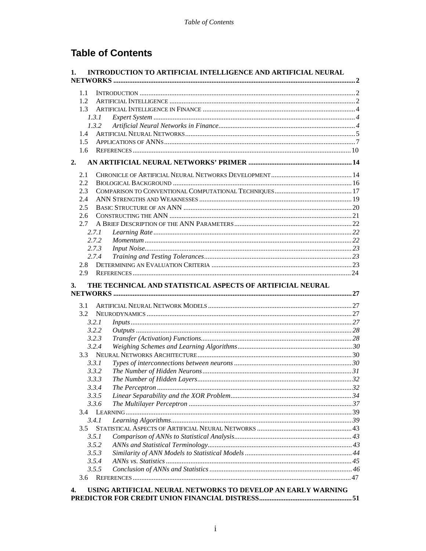# **Table of Contents**

| 1.        | INTRODUCTION TO ARTIFICIAL INTELLIGENCE AND ARTIFICIAL NEURAL |  |
|-----------|---------------------------------------------------------------|--|
|           |                                                               |  |
| 1.1       |                                                               |  |
| 1.2.      |                                                               |  |
| 1.3       |                                                               |  |
| 1.3.1     |                                                               |  |
| 1.3.2     |                                                               |  |
| 1.4       |                                                               |  |
| 1.5       |                                                               |  |
| 1.6       |                                                               |  |
| 2.        |                                                               |  |
| 2.1       |                                                               |  |
| 2.2       |                                                               |  |
| 2.3       |                                                               |  |
| 2.4       |                                                               |  |
| 2.5       |                                                               |  |
| 2.6       |                                                               |  |
| 2.7       |                                                               |  |
| 2.7.1     |                                                               |  |
| 2.7.2     |                                                               |  |
| 2.7.3     |                                                               |  |
| 2.7.4     |                                                               |  |
| 2.8       |                                                               |  |
| 2.9       |                                                               |  |
| 3.<br>3.1 | THE TECHNICAL AND STATISTICAL ASPECTS OF ARTIFICIAL NEURAL    |  |
| 3.2       |                                                               |  |
| 3.2.1     |                                                               |  |
| 3.2.2     |                                                               |  |
| 3.2.3     |                                                               |  |
| 3.2.4     |                                                               |  |
| 3.3       |                                                               |  |
| 3.3.1     |                                                               |  |
| 3.3.2     |                                                               |  |
| 3.3.3     |                                                               |  |
| 3.3.4     |                                                               |  |
| 3.3.5     |                                                               |  |
| 3.3.6     |                                                               |  |
|           |                                                               |  |
| 3.4.1     |                                                               |  |
| 3.5       |                                                               |  |
| 3.5.1     |                                                               |  |
| 3.5.2     |                                                               |  |
| 3.5.3     |                                                               |  |
| 3.5.4     |                                                               |  |
|           |                                                               |  |
| 3.5.5     |                                                               |  |
| 3.6       |                                                               |  |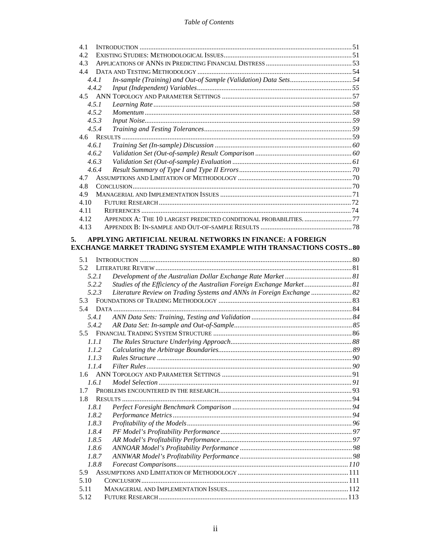| 4.1                                                                      |  |
|--------------------------------------------------------------------------|--|
| 4.2                                                                      |  |
| 4.3                                                                      |  |
| 44                                                                       |  |
| In-sample (Training) and Out-of Sample (Validation) Data Sets54<br>4.4.1 |  |
| 4.4.2                                                                    |  |
|                                                                          |  |
| 4.5.1                                                                    |  |
| 452                                                                      |  |
| 4.5.3                                                                    |  |
| 4.5.4                                                                    |  |
|                                                                          |  |
| 4.6.1                                                                    |  |
| 4.6.2                                                                    |  |
| 4.6.3                                                                    |  |
| 4.6.4                                                                    |  |
| 47                                                                       |  |
| 4.8                                                                      |  |
| 4.9                                                                      |  |
| 4.10                                                                     |  |
| 4.11                                                                     |  |
| APPENDIX A: THE 10 LARGEST PREDICTED CONDITIONAL PROBABILITIES77<br>4.12 |  |
| 4.13                                                                     |  |
| APPLYING ARTIFICIAL NEURAL NETWORKS IN FINANCE: A FOREIGN<br>5.          |  |

#### EXCHANGE MARKET TRADING SYSTEM EXAMPLE WITH TRANSACTIONS COSTS..80

| 5.1   |                                                                        |  |
|-------|------------------------------------------------------------------------|--|
| 5.2   |                                                                        |  |
| 5.2.1 |                                                                        |  |
| 5.2.2 | Studies of the Efficiency of the Australian Foreign Exchange Market 81 |  |
| 5.2.3 | Literature Review on Trading Systems and ANNs in Foreign Exchange  82  |  |
|       |                                                                        |  |
|       |                                                                        |  |
| 5.4.1 |                                                                        |  |
| 5.4.2 |                                                                        |  |
|       |                                                                        |  |
| 1.1.1 |                                                                        |  |
| 1.1.2 |                                                                        |  |
| 1.1.3 |                                                                        |  |
| 1.1.4 | 00 Filter Rules                                                        |  |
|       |                                                                        |  |
| 1.6.1 |                                                                        |  |
| 17    |                                                                        |  |
| 1.8   |                                                                        |  |
| 1.8.1 |                                                                        |  |
| 1.8.2 |                                                                        |  |
| 1.8.3 |                                                                        |  |
| 1.8.4 |                                                                        |  |
| 1.8.5 |                                                                        |  |
| 1.8.6 |                                                                        |  |
| 1.8.7 |                                                                        |  |
| 1.8.8 |                                                                        |  |
|       |                                                                        |  |
| 5.10  |                                                                        |  |
| 5.11  |                                                                        |  |
| 5.12  |                                                                        |  |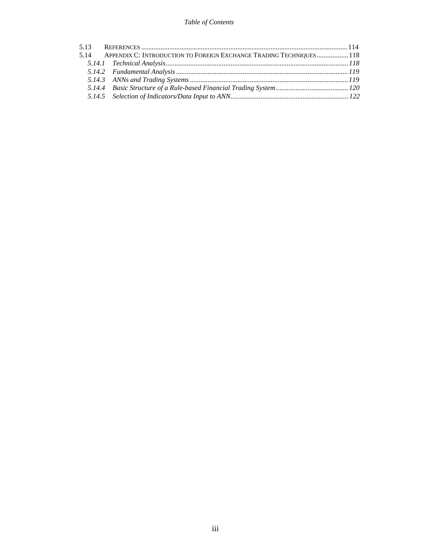| 5.14 APPENDIX C: INTRODUCTION TO FOREIGN EXCHANGE TRADING TECHNIQUES 118 |  |
|--------------------------------------------------------------------------|--|
|                                                                          |  |
|                                                                          |  |
|                                                                          |  |
|                                                                          |  |
|                                                                          |  |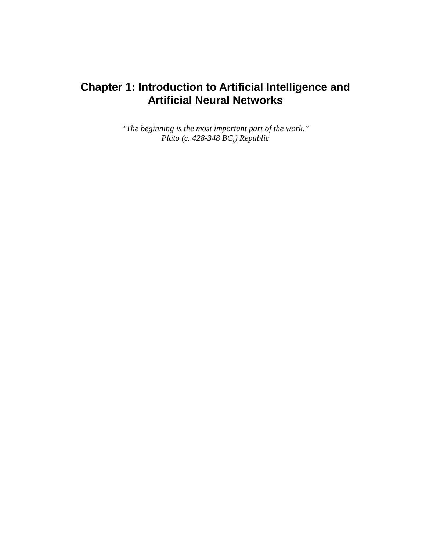# **Chapter 1: Introduction to Artificial Intelligence and Artificial Neural Networks**

*"The beginning is the most important part of the work." Plato (c. 428-348 BC,) Republic*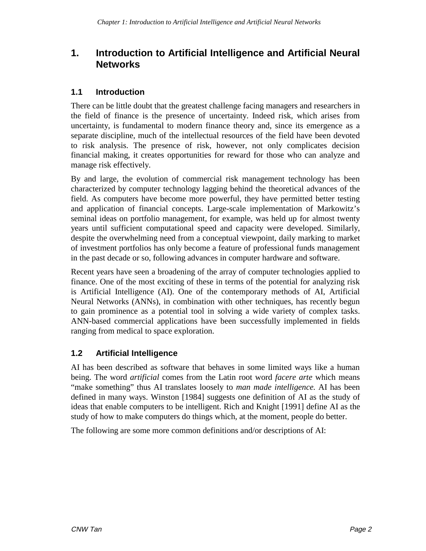## **1. Introduction to Artificial Intelligence and Artificial Neural Networks**

#### **1.1 Introduction**

There can be little doubt that the greatest challenge facing managers and researchers in the field of finance is the presence of uncertainty. Indeed risk, which arises from uncertainty, is fundamental to modern finance theory and, since its emergence as a separate discipline, much of the intellectual resources of the field have been devoted to risk analysis. The presence of risk, however, not only complicates decision financial making, it creates opportunities for reward for those who can analyze and manage risk effectively.

By and large, the evolution of commercial risk management technology has been characterized by computer technology lagging behind the theoretical advances of the field. As computers have become more powerful, they have permitted better testing and application of financial concepts. Large-scale implementation of Markowitz's seminal ideas on portfolio management, for example, was held up for almost twenty years until sufficient computational speed and capacity were developed. Similarly, despite the overwhelming need from a conceptual viewpoint, daily marking to market of investment portfolios has only become a feature of professional funds management in the past decade or so, following advances in computer hardware and software.

Recent years have seen a broadening of the array of computer technologies applied to finance. One of the most exciting of these in terms of the potential for analyzing risk is Artificial Intelligence (AI). One of the contemporary methods of AI, Artificial Neural Networks (ANNs), in combination with other techniques, has recently begun to gain prominence as a potential tool in solving a wide variety of complex tasks. ANN-based commercial applications have been successfully implemented in fields ranging from medical to space exploration.

## **1.2 Artificial Intelligence**

AI has been described as software that behaves in some limited ways like a human being. The word *artificial* comes from the Latin root word *facere arte* which means "make something" thus AI translates loosely to *man made intelligence.* AI has been defined in many ways. Winston [1984] suggests one definition of AI as the study of ideas that enable computers to be intelligent. Rich and Knight [1991] define AI as the study of how to make computers do things which, at the moment, people do better.

The following are some more common definitions and/or descriptions of AI: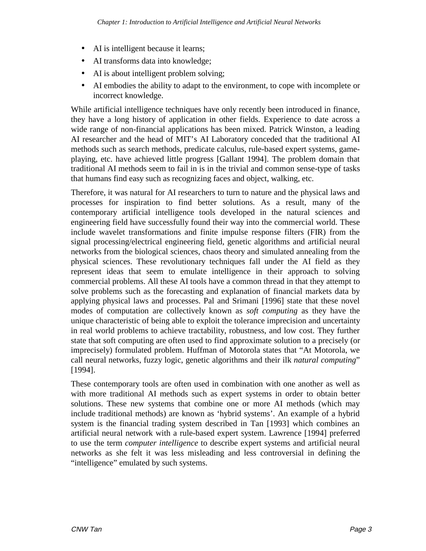- AI is intelligent because it learns;
- AI transforms data into knowledge;
- AI is about intelligent problem solving;
- AI embodies the ability to adapt to the environment, to cope with incomplete or incorrect knowledge.

While artificial intelligence techniques have only recently been introduced in finance, they have a long history of application in other fields. Experience to date across a wide range of non-financial applications has been mixed. Patrick Winston, a leading AI researcher and the head of MIT's AI Laboratory conceded that the traditional AI methods such as search methods, predicate calculus, rule-based expert systems, gameplaying, etc. have achieved little progress [Gallant 1994]. The problem domain that traditional AI methods seem to fail in is in the trivial and common sense-type of tasks that humans find easy such as recognizing faces and object, walking, etc.

Therefore, it was natural for AI researchers to turn to nature and the physical laws and processes for inspiration to find better solutions. As a result, many of the contemporary artificial intelligence tools developed in the natural sciences and engineering field have successfully found their way into the commercial world. These include wavelet transformations and finite impulse response filters (FIR) from the signal processing/electrical engineering field, genetic algorithms and artificial neural networks from the biological sciences, chaos theory and simulated annealing from the physical sciences. These revolutionary techniques fall under the AI field as they represent ideas that seem to emulate intelligence in their approach to solving commercial problems. All these AI tools have a common thread in that they attempt to solve problems such as the forecasting and explanation of financial markets data by applying physical laws and processes. Pal and Srimani [1996] state that these novel modes of computation are collectively known as *soft computing* as they have the unique characteristic of being able to exploit the tolerance imprecision and uncertainty in real world problems to achieve tractability, robustness, and low cost. They further state that soft computing are often used to find approximate solution to a precisely (or imprecisely) formulated problem. Huffman of Motorola states that "At Motorola, we call neural networks, fuzzy logic, genetic algorithms and their ilk *natural computing*" [1994].

These contemporary tools are often used in combination with one another as well as with more traditional AI methods such as expert systems in order to obtain better solutions. These new systems that combine one or more AI methods (which may include traditional methods) are known as 'hybrid systems'. An example of a hybrid system is the financial trading system described in Tan [1993] which combines an artificial neural network with a rule-based expert system. Lawrence [1994] preferred to use the term *computer intelligence* to describe expert systems and artificial neural networks as she felt it was less misleading and less controversial in defining the "intelligence" emulated by such systems.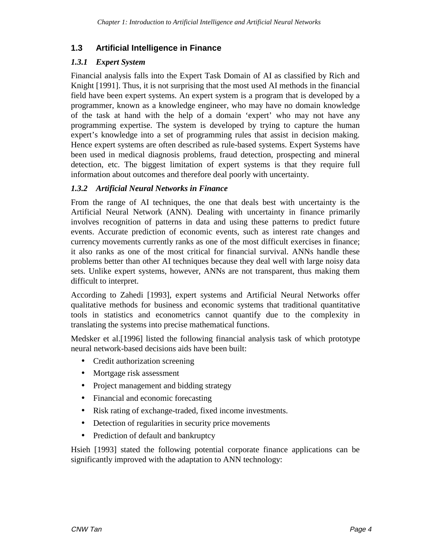## **1.3 Artificial Intelligence in Finance**

#### *1.3.1 Expert System*

Financial analysis falls into the Expert Task Domain of AI as classified by Rich and Knight [1991]. Thus, it is not surprising that the most used AI methods in the financial field have been expert systems. An expert system is a program that is developed by a programmer, known as a knowledge engineer, who may have no domain knowledge of the task at hand with the help of a domain 'expert' who may not have any programming expertise. The system is developed by trying to capture the human expert's knowledge into a set of programming rules that assist in decision making. Hence expert systems are often described as rule-based systems. Expert Systems have been used in medical diagnosis problems, fraud detection, prospecting and mineral detection, etc. The biggest limitation of expert systems is that they require full information about outcomes and therefore deal poorly with uncertainty.

#### *1.3.2 Artificial Neural Networks in Finance*

From the range of AI techniques, the one that deals best with uncertainty is the Artificial Neural Network (ANN). Dealing with uncertainty in finance primarily involves recognition of patterns in data and using these patterns to predict future events. Accurate prediction of economic events, such as interest rate changes and currency movements currently ranks as one of the most difficult exercises in finance; it also ranks as one of the most critical for financial survival. ANNs handle these problems better than other AI techniques because they deal well with large noisy data sets. Unlike expert systems, however, ANNs are not transparent, thus making them difficult to interpret.

According to Zahedi [1993], expert systems and Artificial Neural Networks offer qualitative methods for business and economic systems that traditional quantitative tools in statistics and econometrics cannot quantify due to the complexity in translating the systems into precise mathematical functions.

Medsker et al.[1996] listed the following financial analysis task of which prototype neural network-based decisions aids have been built:

- Credit authorization screening
- Mortgage risk assessment
- Project management and bidding strategy
- Financial and economic forecasting
- Risk rating of exchange-traded, fixed income investments.
- Detection of regularities in security price movements
- Prediction of default and bankruptcy

Hsieh [1993] stated the following potential corporate finance applications can be significantly improved with the adaptation to ANN technology: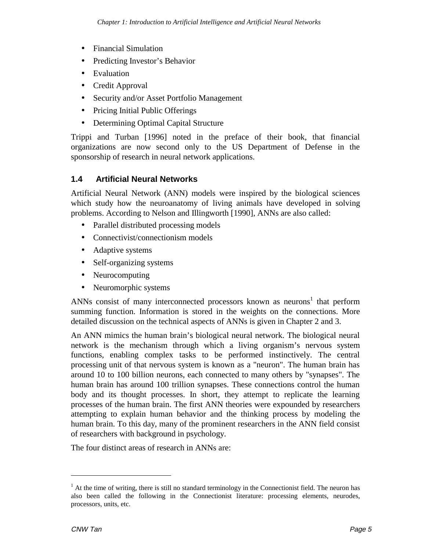- Financial Simulation
- Predicting Investor's Behavior
- Evaluation
- Credit Approval
- Security and/or Asset Portfolio Management
- Pricing Initial Public Offerings
- Determining Optimal Capital Structure

Trippi and Turban [1996] noted in the preface of their book, that financial organizations are now second only to the US Department of Defense in the sponsorship of research in neural network applications.

#### **1.4 Artificial Neural Networks**

Artificial Neural Network (ANN) models were inspired by the biological sciences which study how the neuroanatomy of living animals have developed in solving problems. According to Nelson and Illingworth [1990], ANNs are also called:

- Parallel distributed processing models
- Connectivist/connectionism models
- Adaptive systems
- Self-organizing systems
- Neurocomputing
- Neuromorphic systems

ANNs consist of many interconnected processors known as neurons<sup>1</sup> that perform summing function. Information is stored in the weights on the connections. More detailed discussion on the technical aspects of ANNs is given in Chapter 2 and 3.

An ANN mimics the human brain's biological neural network. The biological neural network is the mechanism through which a living organism's nervous system functions, enabling complex tasks to be performed instinctively. The central processing unit of that nervous system is known as a "neuron". The human brain has around 10 to 100 billion neurons, each connected to many others by "synapses". The human brain has around 100 trillion synapses. These connections control the human body and its thought processes. In short, they attempt to replicate the learning processes of the human brain. The first ANN theories were expounded by researchers attempting to explain human behavior and the thinking process by modeling the human brain. To this day, many of the prominent researchers in the ANN field consist of researchers with background in psychology.

The four distinct areas of research in ANNs are:

-

 $<sup>1</sup>$  At the time of writing, there is still no standard terminology in the Connectionist field. The neuron has</sup> also been called the following in the Connectionist literature: processing elements, neurodes, processors, units, etc.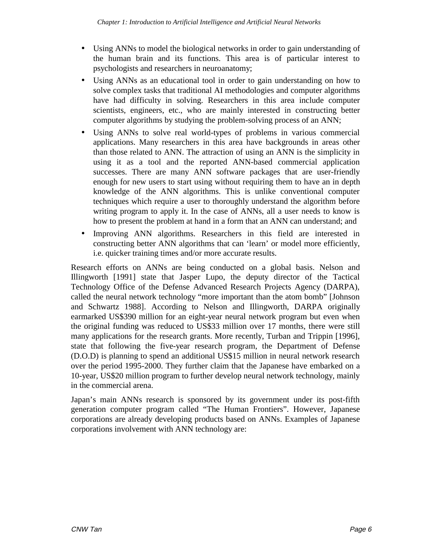- Using ANNs to model the biological networks in order to gain understanding of the human brain and its functions. This area is of particular interest to psychologists and researchers in neuroanatomy;
- Using ANNs as an educational tool in order to gain understanding on how to solve complex tasks that traditional AI methodologies and computer algorithms have had difficulty in solving. Researchers in this area include computer scientists, engineers, etc., who are mainly interested in constructing better computer algorithms by studying the problem-solving process of an ANN;
- Using ANNs to solve real world-types of problems in various commercial applications. Many researchers in this area have backgrounds in areas other than those related to ANN. The attraction of using an ANN is the simplicity in using it as a tool and the reported ANN-based commercial application successes. There are many ANN software packages that are user-friendly enough for new users to start using without requiring them to have an in depth knowledge of the ANN algorithms. This is unlike conventional computer techniques which require a user to thoroughly understand the algorithm before writing program to apply it. In the case of ANNs, all a user needs to know is how to present the problem at hand in a form that an ANN can understand; and
- Improving ANN algorithms. Researchers in this field are interested in constructing better ANN algorithms that can 'learn' or model more efficiently, i.e. quicker training times and/or more accurate results.

Research efforts on ANNs are being conducted on a global basis. Nelson and Illingworth [1991] state that Jasper Lupo, the deputy director of the Tactical Technology Office of the Defense Advanced Research Projects Agency (DARPA), called the neural network technology "more important than the atom bomb" [Johnson and Schwartz 1988]. According to Nelson and Illingworth, DARPA originally earmarked US\$390 million for an eight-year neural network program but even when the original funding was reduced to US\$33 million over 17 months, there were still many applications for the research grants. More recently, Turban and Trippin [1996], state that following the five-year research program, the Department of Defense (D.O.D) is planning to spend an additional US\$15 million in neural network research over the period 1995-2000. They further claim that the Japanese have embarked on a 10-year, US\$20 million program to further develop neural network technology, mainly in the commercial arena.

Japan's main ANNs research is sponsored by its government under its post-fifth generation computer program called "The Human Frontiers". However, Japanese corporations are already developing products based on ANNs. Examples of Japanese corporations involvement with ANN technology are: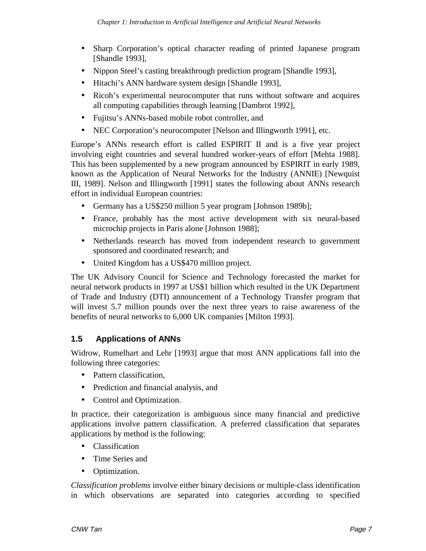- Sharp Corporation's optical character reading of printed Japanese program [Shandle 1993],
- Nippon Steel's casting breakthrough prediction program [Shandle 1993],
- Hitachi's ANN hardware system design [Shandle 1993],
- Ricoh's experimental neurocomputer that runs without software and acquires all computing capabilities through learning [Dambrot 1992],
- Fujitsu's ANNs-based mobile robot controller, and
- NEC Corporation's neurocomputer [Nelson and Illingworth 1991], etc.

Europe's ANNs research effort is called ESPIRIT II and is a five year project involving eight countries and several hundred worker-years of effort [Mehta 1988]. This has been supplemented by a new program announced by ESPIRIT in early 1989, known as the Application of Neural Networks for the Industry (ANNIE) [Newquist III, 1989]. Nelson and Illingworth [1991] states the following about ANNs research effort in individual European countries:

- Germany has a US\$250 million 5 year program [Johnson 1989b];
- France, probably has the most active development with six neural-based microchip projects in Paris alone [Johnson 1988];
- Netherlands research has moved from independent research to government sponsored and coordinated research; and
- United Kingdom has a US\$470 million project.

The UK Advisory Council for Science and Technology forecasted the market for neural network products in 1997 at US\$1 billion which resulted in the UK Department of Trade and Industry (DTI) announcement of a Technology Transfer program that will invest 5.7 million pounds over the next three years to raise awareness of the benefits of neural networks to 6,000 UK companies [Milton 1993].

## **1.5 Applications of ANNs**

Widrow, Rumelhart and Lehr [1993] argue that most ANN applications fall into the following three categories:

- Pattern classification,
- Prediction and financial analysis, and
- Control and Optimization.

In practice, their categorization is ambiguous since many financial and predictive applications involve pattern classification. A preferred classification that separates applications by method is the following:

- **Classification**
- Time Series and
- Optimization.

*Classification problems* involve either binary decisions or multiple-class identification in which observations are separated into categories according to specified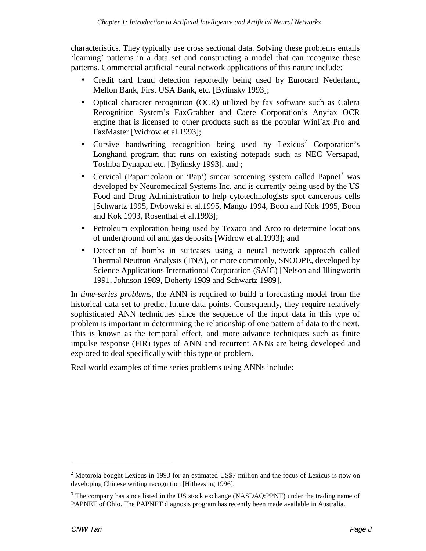characteristics. They typically use cross sectional data. Solving these problems entails 'learning' patterns in a data set and constructing a model that can recognize these patterns. Commercial artificial neural network applications of this nature include:

- Credit card fraud detection reportedly being used by Eurocard Nederland, Mellon Bank, First USA Bank, etc. [Bylinsky 1993];
- Optical character recognition (OCR) utilized by fax software such as Calera Recognition System's FaxGrabber and Caere Corporation's Anyfax OCR engine that is licensed to other products such as the popular WinFax Pro and FaxMaster [Widrow et al.1993];
- Cursive handwriting recognition being used by Lexicus<sup>2</sup> Corporation's Longhand program that runs on existing notepads such as NEC Versapad, Toshiba Dynapad etc. [Bylinsky 1993], and ;
- Cervical (Papanicolaou or 'Pap') smear screening system called Papnet<sup>3</sup> was developed by Neuromedical Systems Inc. and is currently being used by the US Food and Drug Administration to help cytotechnologists spot cancerous cells [Schwartz 1995, Dybowski et al.1995, Mango 1994, Boon and Kok 1995, Boon and Kok 1993, Rosenthal et al.1993];
- Petroleum exploration being used by Texaco and Arco to determine locations of underground oil and gas deposits [Widrow et al.1993]; and
- Detection of bombs in suitcases using a neural network approach called Thermal Neutron Analysis (TNA), or more commonly, SNOOPE, developed by Science Applications International Corporation (SAIC) [Nelson and Illingworth 1991, Johnson 1989, Doherty 1989 and Schwartz 1989].

In *time-series problems*, the ANN is required to build a forecasting model from the historical data set to predict future data points. Consequently, they require relatively sophisticated ANN techniques since the sequence of the input data in this type of problem is important in determining the relationship of one pattern of data to the next. This is known as the temporal effect, and more advance techniques such as finite impulse response (FIR) types of ANN and recurrent ANNs are being developed and explored to deal specifically with this type of problem.

Real world examples of time series problems using ANNs include:

 $2$  Motorola bought Lexicus in 1993 for an estimated US\$7 million and the focus of Lexicus is now on developing Chinese writing recognition [Hitheesing 1996].

<sup>&</sup>lt;sup>3</sup> The company has since listed in the US stock exchange (NASDAQ:PPNT) under the trading name of PAPNET of Ohio. The PAPNET diagnosis program has recently been made available in Australia.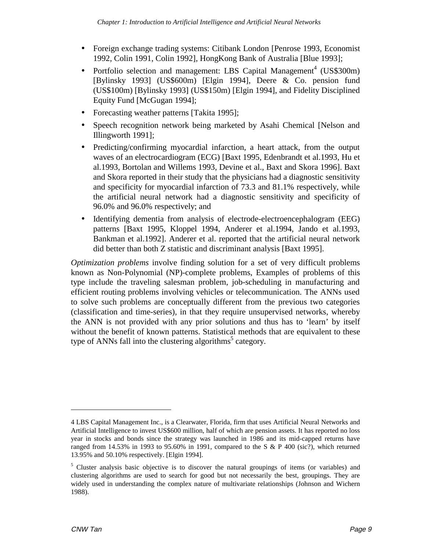- Foreign exchange trading systems: Citibank London [Penrose 1993, Economist] 1992, Colin 1991, Colin 1992], HongKong Bank of Australia [Blue 1993];
- Portfolio selection and management: LBS Capital Management<sup>4</sup> (US\$300m) [Bylinsky 1993] (US\$600m) [Elgin 1994], Deere & Co. pension fund (US\$100m) [Bylinsky 1993] (US\$150m) [Elgin 1994], and Fidelity Disciplined Equity Fund [McGugan 1994];
- Forecasting weather patterns [Takita 1995];
- Speech recognition network being marketed by Asahi Chemical [Nelson and Illingworth 1991];
- Predicting/confirming myocardial infarction, a heart attack, from the output waves of an electrocardiogram (ECG) [Baxt 1995, Edenbrandt et al.1993, Hu et al.1993, Bortolan and Willems 1993, Devine et al., Baxt and Skora 1996]. Baxt and Skora reported in their study that the physicians had a diagnostic sensitivity and specificity for myocardial infarction of 73.3 and 81.1% respectively, while the artificial neural network had a diagnostic sensitivity and specificity of 96.0% and 96.0% respectively; and
- Identifying dementia from analysis of electrode-electroencephalogram (EEG) patterns [Baxt 1995, Kloppel 1994, Anderer et al.1994, Jando et al.1993, Bankman et al.1992]. Anderer et al. reported that the artificial neural network did better than both Z statistic and discriminant analysis [Baxt 1995].

*Optimization problems* involve finding solution for a set of very difficult problems known as Non-Polynomial (NP)-complete problems, Examples of problems of this type include the traveling salesman problem, job-scheduling in manufacturing and efficient routing problems involving vehicles or telecommunication. The ANNs used to solve such problems are conceptually different from the previous two categories (classification and time-series), in that they require unsupervised networks, whereby the ANN is not provided with any prior solutions and thus has to 'learn' by itself without the benefit of known patterns. Statistical methods that are equivalent to these type of ANNs fall into the clustering algorithms<sup>5</sup> category.

<sup>4</sup> LBS Capital Management Inc., is a Clearwater, Florida, firm that uses Artificial Neural Networks and Artificial Intelligence to invest US\$600 million, half of which are pension assets. It has reported no loss year in stocks and bonds since the strategy was launched in 1986 and its mid-capped returns have ranged from 14.53% in 1993 to 95.60% in 1991, compared to the S & P 400 (sic?), which returned 13.95% and 50.10% respectively. [Elgin 1994].

<sup>&</sup>lt;sup>5</sup> Cluster analysis basic objective is to discover the natural groupings of items (or variables) and clustering algorithms are used to search for good but not necessarily the best, groupings. They are widely used in understanding the complex nature of multivariate relationships (Johnson and Wichern 1988).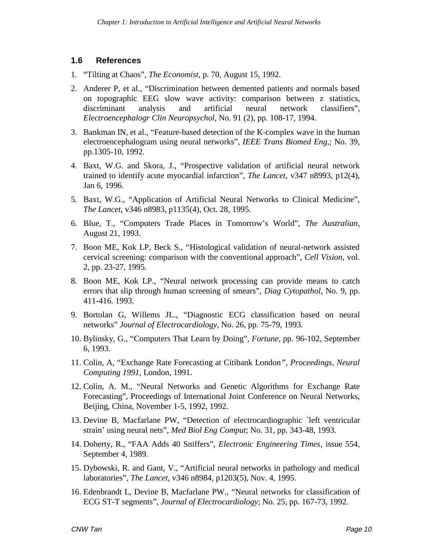#### **1.6 References**

- 1. "Tilting at Chaos", *The Economist*, p. 70, August 15, 1992.
- 2. Anderer P, et al., "Discrimination between demented patients and normals based on topographic EEG slow wave activity: comparison between z statistics, discriminant analysis and artificial neural network classifiers", *Electroencephalogr Clin Neuropsychol*, No. 91 (2), pp. 108-17, 1994.
- 3. Bankman IN, et al., "Feature-based detection of the K-complex wave in the human electroencephalogram using neural networks", *IEEE Trans Biomed Eng,*; No. 39, pp.1305-10*,* 1992.
- 4. Baxt, W.G. and Skora, J., "Prospective validation of artificial neural network trained to identify acute myocardial infarction", *The Lancet*, v347 n8993, p12(4), Jan 6, 1996.
- 5. Baxt, W.G., "Application of Artificial Neural Networks to Clinical Medicine", *The Lancet*, v346 n8983, p1135(4), Oct. 28, 1995.
- 6. Blue, T., "Computers Trade Places in Tomorrow's World", *The Australian*, August 21, 1993.
- 7. Boon ME, Kok LP, Beck S., "Histological validation of neural-network assisted cervical screening: comparison with the conventional approach", *Cell Vision,* vol. 2, pp. 23-27, 1995.
- 8. Boon ME, Kok LP., "Neural network processing can provide means to catch errors that slip through human screening of smears", *Diag Cytopathol*, No. 9, pp. 411-416. 1993.
- 9. Bortolan G, Willems JL., "Diagnostic ECG classification based on neural networks" *Journal of Electrocardiology*, No. 26, pp. 75-79*,* 1993.
- 10. Bylinsky, G., "Computers That Learn by Doing", *Fortune*, pp. 96-102, September 6, 1993.
- 11. Colin, A, "Exchange Rate Forecasting at Citibank London*", Proceedings, Neural Computing 1991*, London, 1991.
- 12. Colin, A. M., "Neural Networks and Genetic Algorithms for Exchange Rate Forecasting", Proceedings of International Joint Conference on Neural Networks, Beijing, China, November 1-5, 1992, 1992.
- 13. Devine B, Macfarlane PW, "Detection of electrocardiographic `left ventricular strain' using neural nets", *Med Biol Eng Comput*; No. 31, pp. 343-48, 1993.
- 14. Doherty, R., "FAA Adds 40 Sniffers", *Electronic Engineering Times*, issue 554, September 4, 1989.
- 15. Dybowski, R. and Gant, V., "Artificial neural networks in pathology and medical laboratories", *The Lancet*, v346 n8984, p1203(5), Nov. 4, 1995.
- 16. Edenbrandt L, Devine B, Macfarlane PW., "Neural networks for classification of ECG ST-T segments", *Journal of Electrocardiology*; No. 25, pp. 167-73, 1992.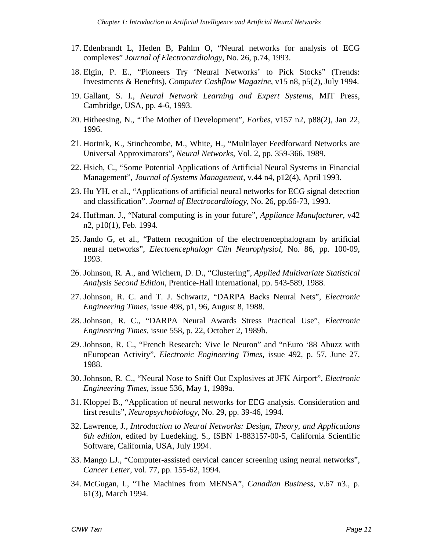- 17. Edenbrandt L, Heden B, Pahlm O, "Neural networks for analysis of ECG complexes" *Journal of Electrocardiology*, No. 26, p.74, 1993.
- 18. Elgin, P. E., "Pioneers Try 'Neural Networks' to Pick Stocks" (Trends: Investments & Benefits), *Computer Cashflow Magazine*, v15 n8, p5(2), July 1994.
- 19. Gallant, S. I., *Neural Network Learning and Expert Systems*, MIT Press, Cambridge, USA, pp. 4-6, 1993.
- 20. Hitheesing, N., "The Mother of Development", *Forbes*, v157 n2, p88(2), Jan 22, 1996.
- 21. Hortnik, K., Stinchcombe, M., White, H., "Multilayer Feedforward Networks are Universal Approximators", *Neural Networks*, Vol. 2, pp. 359-366, 1989.
- 22. Hsieh, C., "Some Potential Applications of Artificial Neural Systems in Financial Management", *Journal of Systems Management*, v.44 n4, p12(4), April 1993.
- 23. Hu YH, et al., "Applications of artificial neural networks for ECG signal detection and classification". *Journal of Electrocardiology*, No. 26, pp.66-73, 1993.
- 24. Huffman. J., "Natural computing is in your future", *Appliance Manufacturer*, v42 n2, p10(1), Feb. 1994.
- 25. Jando G, et al., "Pattern recognition of the electroencephalogram by artificial neural networks", *Electoencephalogr Clin Neurophysiol,* No. 86, pp. 100-09, 1993.
- Johnson, R. A., and Wichern, D. D., "Clustering", *Applied Multivariate Statistical Analysis Second Edition*, Prentice-Hall International, pp. 543-589, 1988.
- 27. Johnson, R. C. and T. J. Schwartz, "DARPA Backs Neural Nets", *Electronic Engineering Times*, issue 498, p1, 96, August 8, 1988.
- 28. Johnson, R. C., "DARPA Neural Awards Stress Practical Use", *Electronic Engineering Times*, issue 558, p. 22, October 2, 1989b.
- 29. Johnson, R. C., "French Research: Vive le Neuron" and "nEuro '88 Abuzz with nEuropean Activity", *Electronic Engineering Times*, issue 492, p. 57, June 27, 1988.
- 30. Johnson, R. C., "Neural Nose to Sniff Out Explosives at JFK Airport", *Electronic Engineering Times*, issue 536, May 1, 1989a.
- 31. Kloppel B., "Application of neural networks for EEG analysis. Consideration and first results", *Neuropsychobiology*, No. 29, pp. 39-46, 1994.
- 32. Lawrence, J*., Introduction to Neural Networks: Design, Theory, and Applications 6th edition*, edited by Luedeking, S., ISBN 1-883157-00-5, California Scientific Software, California, USA, July 1994.
- 33. Mango LJ., "Computer-assisted cervical cancer screening using neural networks", *Cancer Letter*, vol. 77, pp. 155-62, 1994.
- 34. McGugan, I., "The Machines from MENSA", *Canadian Business*, v.67 n3., p. 61(3), March 1994.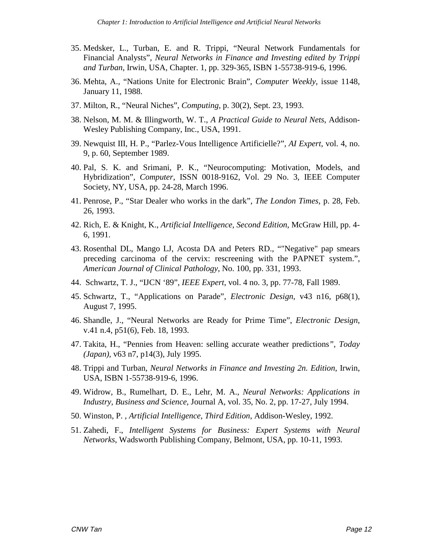- 35. Medsker, L., Turban, E. and R. Trippi, "Neural Network Fundamentals for Financial Analysts", *Neural Networks in Finance and Investing edited by Trippi and Turban*, Irwin, USA, Chapter. 1, pp. 329-365, ISBN 1-55738-919-6, 1996.
- 36. Mehta, A., "Nations Unite for Electronic Brain", *Computer Weekly*, issue 1148, January 11, 1988.
- 37. Milton, R., "Neural Niches", *Computing*, p. 30(2), Sept. 23, 1993.
- 38. Nelson, M. M. & Illingworth, W. T., *A Practical Guide to Neural Nets*, Addison-Wesley Publishing Company, Inc., USA, 1991.
- 39. Newquist III, H. P., "Parlez-Vous Intelligence Artificielle?", *AI Expert*, vol. 4, no. 9, p. 60, September 1989.
- 40. Pal, S. K. and Srimani, P. K., "Neurocomputing: Motivation, Models, and Hybridization", *Computer*, ISSN 0018-9162, Vol. 29 No. 3, IEEE Computer Society, NY, USA, pp. 24-28, March 1996.
- 41. Penrose, P., "Star Dealer who works in the dark", *The London Times*, p. 28, Feb. 26, 1993.
- 42. Rich, E. & Knight, K., *Artificial Intelligence, Second Edition*, McGraw Hill, pp. 4- 6, 1991.
- 43. Rosenthal DL, Mango LJ, Acosta DA and Peters RD., ""Negative" pap smears preceding carcinoma of the cervix: rescreening with the PAPNET system.", *American Journal of Clinical Pathology*, No. 100, pp. 331, 1993.
- 44. Schwartz, T. J., "IJCN '89", *IEEE Expert*, vol. 4 no. 3, pp. 77-78, Fall 1989.
- 45. Schwartz, T., "Applications on Parade", *Electronic Design*, v43 n16, p68(1), August 7, 1995.
- 46. Shandle, J., "Neural Networks are Ready for Prime Time", *Electronic Design*, v.41 n.4, p51(6), Feb. 18, 1993.
- 47. Takita, H., "Pennies from Heaven: selling accurate weather predictions*", Today (Japan),* v63 n7, p14(3), July 1995.
- 48. Trippi and Turban, *Neural Networks in Finance and Investing 2n. Edition*, Irwin, USA, ISBN 1-55738-919-6, 1996.
- 49. Widrow, B., Rumelhart, D. E., Lehr, M. A., *Neural Networks: Applications in Industry, Business and Science*, Journal A, vol. 35, No. 2, pp. 17-27, July 1994.
- 50. Winston, P. , *Artificial Intelligence, Third Edition*, Addison-Wesley, 1992.
- 51. Zahedi, F., *Intelligent Systems for Business: Expert Systems with Neural Networks*, Wadsworth Publishing Company, Belmont, USA, pp. 10-11, 1993.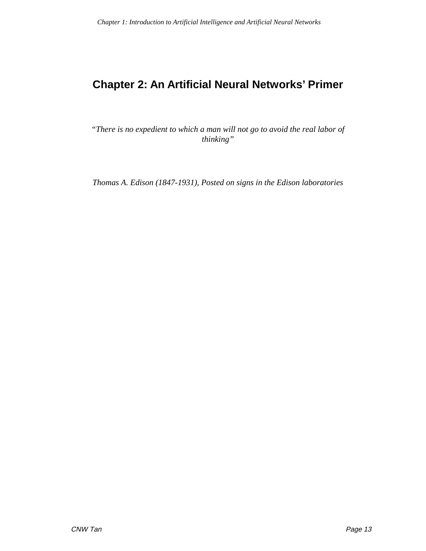# **Chapter 2: An Artificial Neural Networks' Primer**

*"There is no expedient to which a man will not go to avoid the real labor of thinking"*

*Thomas A. Edison (1847-1931), Posted on signs in the Edison laboratories*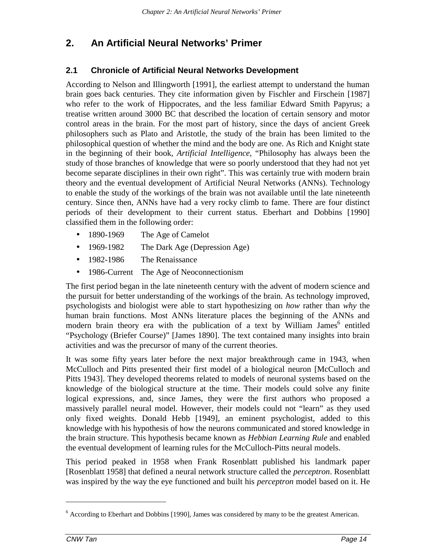## **2. An Artificial Neural Networks' Primer**

## **2.1 Chronicle of Artificial Neural Networks Development**

According to Nelson and Illingworth [1991], the earliest attempt to understand the human brain goes back centuries. They cite information given by Fischler and Firschein [1987] who refer to the work of Hippocrates, and the less familiar Edward Smith Papyrus; a treatise written around 3000 BC that described the location of certain sensory and motor control areas in the brain. For the most part of history, since the days of ancient Greek philosophers such as Plato and Aristotle, the study of the brain has been limited to the philosophical question of whether the mind and the body are one. As Rich and Knight state in the beginning of their book, *Artificial Intelligence*, "Philosophy has always been the study of those branches of knowledge that were so poorly understood that they had not yet become separate disciplines in their own right". This was certainly true with modern brain theory and the eventual development of Artificial Neural Networks (ANNs). Technology to enable the study of the workings of the brain was not available until the late nineteenth century. Since then, ANNs have had a very rocky climb to fame. There are four distinct periods of their development to their current status. Eberhart and Dobbins [1990] classified them in the following order:

- 1890-1969 The Age of Camelot
- 1969-1982 The Dark Age (Depression Age)
- 1982-1986 The Renaissance
- 1986-Current The Age of Neoconnectionism

The first period began in the late nineteenth century with the advent of modern science and the pursuit for better understanding of the workings of the brain. As technology improved, psychologists and biologist were able to start hypothesizing on *how* rather than *why* the human brain functions. Most ANNs literature places the beginning of the ANNs and modern brain theory era with the publication of a text by William James<sup>6</sup> entitled "Psychology (Briefer Course)" [James 1890]. The text contained many insights into brain activities and was the precursor of many of the current theories.

It was some fifty years later before the next major breakthrough came in 1943, when McCulloch and Pitts presented their first model of a biological neuron [McCulloch and Pitts 1943]. They developed theorems related to models of neuronal systems based on the knowledge of the biological structure at the time. Their models could solve any finite logical expressions, and, since James, they were the first authors who proposed a massively parallel neural model. However, their models could not "learn" as they used only fixed weights. Donald Hebb [1949], an eminent psychologist, added to this knowledge with his hypothesis of how the neurons communicated and stored knowledge in the brain structure. This hypothesis became known as *Hebbian Learning Rule* and enabled the eventual development of learning rules for the McCulloch-Pitts neural models.

This period peaked in 1958 when Frank Rosenblatt published his landmark paper [Rosenblatt 1958] that defined a neural network structure called the *perceptron*. Rosenblatt was inspired by the way the eye functioned and built his *perceptron* model based on it. He

<sup>&</sup>lt;sup>6</sup> According to Eberhart and Dobbins [1990], James was considered by many to be the greatest American.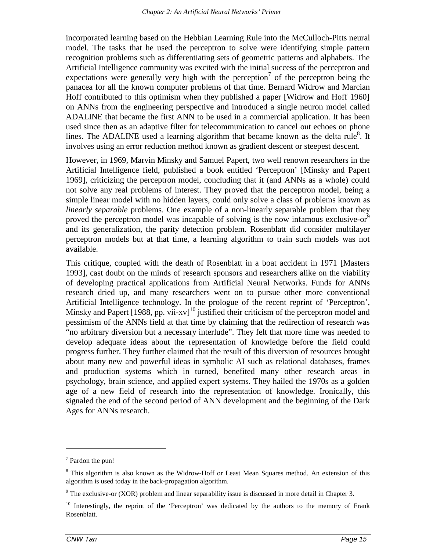incorporated learning based on the Hebbian Learning Rule into the McCulloch-Pitts neural model. The tasks that he used the perceptron to solve were identifying simple pattern recognition problems such as differentiating sets of geometric patterns and alphabets. The Artificial Intelligence community was excited with the initial success of the perceptron and expectations were generally very high with the perception<sup>7</sup> of the perceptron being the panacea for all the known computer problems of that time. Bernard Widrow and Marcian Hoff contributed to this optimism when they published a paper [Widrow and Hoff 1960] on ANNs from the engineering perspective and introduced a single neuron model called ADALINE that became the first ANN to be used in a commercial application. It has been used since then as an adaptive filter for telecommunication to cancel out echoes on phone lines. The ADALINE used a learning algorithm that became known as the delta rule<sup>8</sup>. It involves using an error reduction method known as gradient descent or steepest descent.

However, in 1969, Marvin Minsky and Samuel Papert, two well renown researchers in the Artificial Intelligence field, published a book entitled 'Perceptron' [Minsky and Papert 1969], criticizing the perceptron model, concluding that it (and ANNs as a whole) could not solve any real problems of interest. They proved that the perceptron model, being a simple linear model with no hidden layers, could only solve a class of problems known as *linearly separable* problems. One example of a non-linearly separable problem that they proved the perceptron model was incapable of solving is the now infamous exclusive-or and its generalization, the parity detection problem. Rosenblatt did consider multilayer perceptron models but at that time, a learning algorithm to train such models was not available.

This critique, coupled with the death of Rosenblatt in a boat accident in 1971 [Masters 1993], cast doubt on the minds of research sponsors and researchers alike on the viability of developing practical applications from Artificial Neural Networks. Funds for ANNs research dried up, and many researchers went on to pursue other more conventional Artificial Intelligence technology. In the prologue of the recent reprint of 'Perceptron', Minsky and Papert  $[1988, pp. vii-xv]$ <sup>10</sup> justified their criticism of the perceptron model and pessimism of the ANNs field at that time by claiming that the redirection of research was "no arbitrary diversion but a necessary interlude". They felt that more time was needed to develop adequate ideas about the representation of knowledge before the field could progress further. They further claimed that the result of this diversion of resources brought about many new and powerful ideas in symbolic AI such as relational databases, frames and production systems which in turned, benefited many other research areas in psychology, brain science, and applied expert systems. They hailed the 1970s as a golden age of a new field of research into the representation of knowledge. Ironically, this signaled the end of the second period of ANN development and the beginning of the Dark Ages for ANNs research.

 $7$  Pardon the pun!

<sup>&</sup>lt;sup>8</sup> This algorithm is also known as the Widrow-Hoff or Least Mean Squares method. An extension of this algorithm is used today in the back-propagation algorithm.

 $9$  The exclusive-or (XOR) problem and linear separability issue is discussed in more detail in Chapter 3.

 $10$  Interestingly, the reprint of the 'Perceptron' was dedicated by the authors to the memory of Frank Rosenblatt.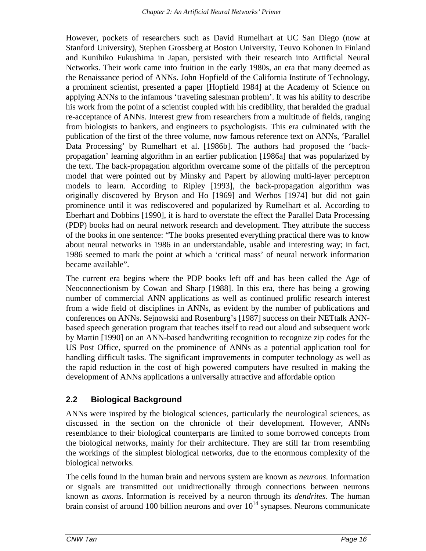However, pockets of researchers such as David Rumelhart at UC San Diego (now at Stanford University), Stephen Grossberg at Boston University, Teuvo Kohonen in Finland and Kunihiko Fukushima in Japan, persisted with their research into Artificial Neural Networks. Their work came into fruition in the early 1980s, an era that many deemed as the Renaissance period of ANNs. John Hopfield of the California Institute of Technology, a prominent scientist, presented a paper [Hopfield 1984] at the Academy of Science on applying ANNs to the infamous 'traveling salesman problem'. It was his ability to describe his work from the point of a scientist coupled with his credibility, that heralded the gradual re-acceptance of ANNs. Interest grew from researchers from a multitude of fields, ranging from biologists to bankers, and engineers to psychologists. This era culminated with the publication of the first of the three volume, now famous reference text on ANNs, 'Parallel Data Processing' by Rumelhart et al. [1986b]. The authors had proposed the 'backpropagation' learning algorithm in an earlier publication [1986a] that was popularized by the text. The back-propagation algorithm overcame some of the pitfalls of the perceptron model that were pointed out by Minsky and Papert by allowing multi-layer perceptron models to learn. According to Ripley [1993], the back-propagation algorithm was originally discovered by Bryson and Ho [1969] and Werbos [1974] but did not gain prominence until it was rediscovered and popularized by Rumelhart et al. According to Eberhart and Dobbins [1990], it is hard to overstate the effect the Parallel Data Processing (PDP) books had on neural network research and development. They attribute the success of the books in one sentence: "The books presented everything practical there was to know about neural networks in 1986 in an understandable, usable and interesting way; in fact, 1986 seemed to mark the point at which a 'critical mass' of neural network information became available".

The current era begins where the PDP books left off and has been called the Age of Neoconnectionism by Cowan and Sharp [1988]. In this era, there has being a growing number of commercial ANN applications as well as continued prolific research interest from a wide field of disciplines in ANNs, as evident by the number of publications and conferences on ANNs. Sejnowski and Rosenburg's [1987] success on their NETtalk ANNbased speech generation program that teaches itself to read out aloud and subsequent work by Martin [1990] on an ANN-based handwriting recognition to recognize zip codes for the US Post Office, spurred on the prominence of ANNs as a potential application tool for handling difficult tasks. The significant improvements in computer technology as well as the rapid reduction in the cost of high powered computers have resulted in making the development of ANNs applications a universally attractive and affordable option

## **2.2 Biological Background**

ANNs were inspired by the biological sciences, particularly the neurological sciences, as discussed in the section on the chronicle of their development. However, ANNs resemblance to their biological counterparts are limited to some borrowed concepts from the biological networks, mainly for their architecture. They are still far from resembling the workings of the simplest biological networks, due to the enormous complexity of the biological networks.

The cells found in the human brain and nervous system are known as *neurons*. Information or signals are transmitted out unidirectionally through connections between neurons known as *axons*. Information is received by a neuron through its *dendrites*. The human brain consist of around 100 billion neurons and over  $10^{14}$  synapses. Neurons communicate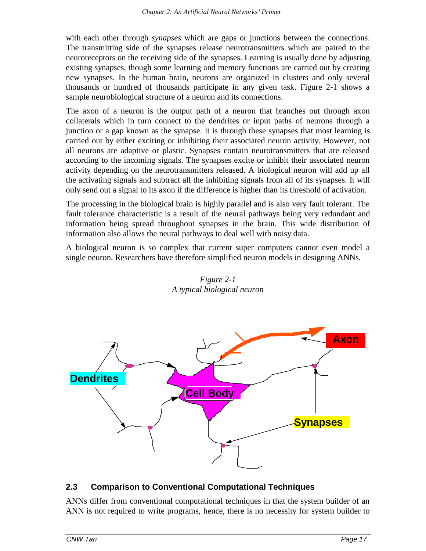with each other through *synapses* which are gaps or junctions between the connections. The transmitting side of the synapses release neurotransmitters which are paired to the neuroreceptors on the receiving side of the synapses. Learning is usually done by adjusting existing synapses, though some learning and memory functions are carried out by creating new synapses. In the human brain, neurons are organized in clusters and only several thousands or hundred of thousands participate in any given task. Figure 2-1 shows a sample neurobiological structure of a neuron and its connections.

The axon of a neuron is the output path of a neuron that branches out through axon collaterals which in turn connect to the dendrites or input paths of neurons through a junction or a gap known as the synapse. It is through these synapses that most learning is carried out by either exciting or inhibiting their associated neuron activity. However, not all neurons are adaptive or plastic. Synapses contain neurotransmitters that are released according to the incoming signals. The synapses excite or inhibit their associated neuron activity depending on the neurotransmitters released. A biological neuron will add up all the activating signals and subtract all the inhibiting signals from all of its synapses. It will only send out a signal to its axon if the difference is higher than its threshold of activation.

The processing in the biological brain is highly parallel and is also very fault tolerant. The fault tolerance characteristic is a result of the neural pathways being very redundant and information being spread throughout synapses in the brain. This wide distribution of information also allows the neural pathways to deal well with noisy data.

A biological neuron is so complex that current super computers cannot even model a single neuron. Researchers have therefore simplified neuron models in designing ANNs.



*Figure 2-1 A typical biological neuron*

## **2.3 Comparison to Conventional Computational Techniques**

ANNs differ from conventional computational techniques in that the system builder of an ANN is not required to write programs, hence, there is no necessity for system builder to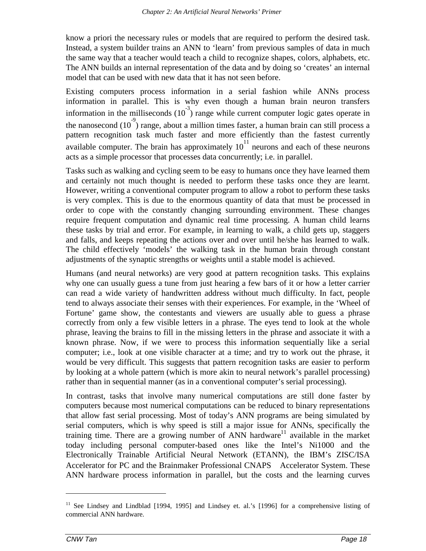know a priori the necessary rules or models that are required to perform the desired task. Instead, a system builder trains an ANN to 'learn' from previous samples of data in much the same way that a teacher would teach a child to recognize shapes, colors, alphabets, etc. The ANN builds an internal representation of the data and by doing so 'creates' an internal model that can be used with new data that it has not seen before.

Existing computers process information in a serial fashion while ANNs process information in parallel. This is why even though a human brain neuron transfers information in the milliseconds  $(10^{-3})$  range while current computer logic gates operate in the nanosecond  $(10^3)$  range, about a million times faster, a human brain can still process a pattern recognition task much faster and more efficiently than the fastest currently available computer. The brain has approximately  $10^{11}$  neurons and each of these neurons acts as a simple processor that processes data concurrently; i.e. in parallel.

Tasks such as walking and cycling seem to be easy to humans once they have learned them and certainly not much thought is needed to perform these tasks once they are learnt. However, writing a conventional computer program to allow a robot to perform these tasks is very complex. This is due to the enormous quantity of data that must be processed in order to cope with the constantly changing surrounding environment. These changes require frequent computation and dynamic real time processing. A human child learns these tasks by trial and error. For example, in learning to walk, a child gets up, staggers and falls, and keeps repeating the actions over and over until he/she has learned to walk. The child effectively 'models' the walking task in the human brain through constant adjustments of the synaptic strengths or weights until a stable model is achieved.

Humans (and neural networks) are very good at pattern recognition tasks. This explains why one can usually guess a tune from just hearing a few bars of it or how a letter carrier can read a wide variety of handwritten address without much difficulty. In fact, people tend to always associate their senses with their experiences. For example, in the 'Wheel of Fortune' game show, the contestants and viewers are usually able to guess a phrase correctly from only a few visible letters in a phrase. The eyes tend to look at the whole phrase, leaving the brains to fill in the missing letters in the phrase and associate it with a known phrase. Now, if we were to process this information sequentially like a serial computer; i.e., look at one visible character at a time; and try to work out the phrase, it would be very difficult. This suggests that pattern recognition tasks are easier to perform by looking at a whole pattern (which is more akin to neural network's parallel processing) rather than in sequential manner (as in a conventional computer's serial processing).

In contrast, tasks that involve many numerical computations are still done faster by computers because most numerical computations can be reduced to binary representations that allow fast serial processing. Most of today's ANN programs are being simulated by serial computers, which is why speed is still a major issue for ANNs, specifically the training time. There are a growing number of ANN hardware<sup>11</sup> available in the market today including personal computer-based ones like the Intel's Ni1000 and the Electronically Trainable Artificial Neural Network (ETANN), the IBM's ZISC/ISA Accelerator for PC and the Brainmaker Professional CNAPS™ Accelerator System. These ANN hardware process information in parallel, but the costs and the learning curves

<sup>&</sup>lt;sup>11</sup> See Lindsey and Lindblad [1994, 1995] and Lindsey et. al.'s [1996] for a comprehensive listing of commercial ANN hardware.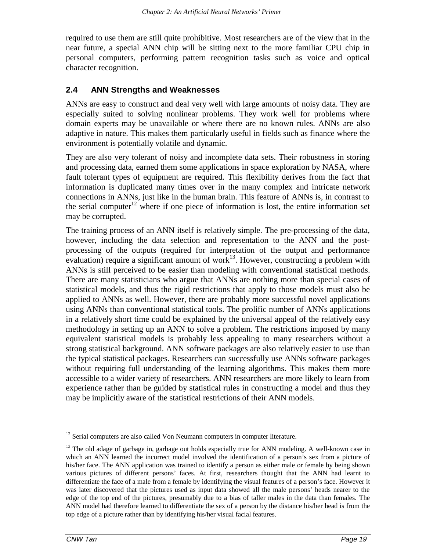required to use them are still quite prohibitive. Most researchers are of the view that in the near future, a special ANN chip will be sitting next to the more familiar CPU chip in personal computers, performing pattern recognition tasks such as voice and optical character recognition.

#### **2.4 ANN Strengths and Weaknesses**

ANNs are easy to construct and deal very well with large amounts of noisy data. They are especially suited to solving nonlinear problems. They work well for problems where domain experts may be unavailable or where there are no known rules. ANNs are also adaptive in nature. This makes them particularly useful in fields such as finance where the environment is potentially volatile and dynamic.

They are also very tolerant of noisy and incomplete data sets. Their robustness in storing and processing data, earned them some applications in space exploration by NASA, where fault tolerant types of equipment are required. This flexibility derives from the fact that information is duplicated many times over in the many complex and intricate network connections in ANNs, just like in the human brain. This feature of ANNs is, in contrast to the serial computer<sup>12</sup> where if one piece of information is lost, the entire information set may be corrupted.

The training process of an ANN itself is relatively simple. The pre-processing of the data, however, including the data selection and representation to the ANN and the postprocessing of the outputs (required for interpretation of the output and performance evaluation) require a significant amount of work $13$ . However, constructing a problem with ANNs is still perceived to be easier than modeling with conventional statistical methods. There are many statisticians who argue that ANNs are nothing more than special cases of statistical models, and thus the rigid restrictions that apply to those models must also be applied to ANNs as well. However, there are probably more successful novel applications using ANNs than conventional statistical tools. The prolific number of ANNs applications in a relatively short time could be explained by the universal appeal of the relatively easy methodology in setting up an ANN to solve a problem. The restrictions imposed by many equivalent statistical models is probably less appealing to many researchers without a strong statistical background. ANN software packages are also relatively easier to use than the typical statistical packages. Researchers can successfully use ANNs software packages without requiring full understanding of the learning algorithms. This makes them more accessible to a wider variety of researchers. ANN researchers are more likely to learn from experience rather than be guided by statistical rules in constructing a model and thus they may be implicitly aware of the statistical restrictions of their ANN models.

-

 $12$  Serial computers are also called Von Neumann computers in computer literature.

<sup>&</sup>lt;sup>13</sup> The old adage of garbage in, garbage out holds especially true for ANN modeling. A well-known case in which an ANN learned the incorrect model involved the identification of a person's sex from a picture of his/her face. The ANN application was trained to identify a person as either male or female by being shown various pictures of different persons' faces. At first, researchers thought that the ANN had learnt to differentiate the face of a male from a female by identifying the visual features of a person's face. However it was later discovered that the pictures used as input data showed all the male persons' heads nearer to the edge of the top end of the pictures, presumably due to a bias of taller males in the data than females. The ANN model had therefore learned to differentiate the sex of a person by the distance his/her head is from the top edge of a picture rather than by identifying his/her visual facial features.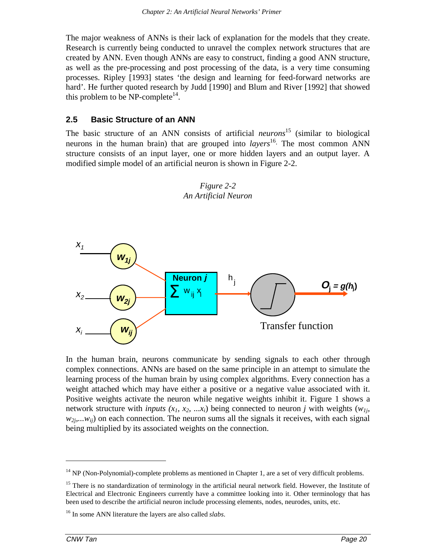The major weakness of ANNs is their lack of explanation for the models that they create. Research is currently being conducted to unravel the complex network structures that are created by ANN. Even though ANNs are easy to construct, finding a good ANN structure, as well as the pre-processing and post processing of the data, is a very time consuming processes. Ripley [1993] states 'the design and learning for feed-forward networks are hard'. He further quoted research by Judd [1990] and Blum and River [1992] that showed this problem to be NP-complete<sup>14</sup>.

#### **2.5 Basic Structure of an ANN**

The basic structure of an ANN consists of artificial *neurons* 15 (similar to biological neurons in the human brain) that are grouped into *layers*<sup>16</sup>. The most common ANN structure consists of an input layer, one or more hidden layers and an output layer. A modified simple model of an artificial neuron is shown in Figure 2-2.



*Figure 2-2 An Artificial Neuron*

In the human brain, neurons communicate by sending signals to each other through complex connections. ANNs are based on the same principle in an attempt to simulate the learning process of the human brain by using complex algorithms. Every connection has a weight attached which may have either a positive or a negative value associated with it. Positive weights activate the neuron while negative weights inhibit it. Figure 1 shows a network structure with *inputs*  $(x_1, x_2, \ldots, x_i)$  being connected to neuron *j* with weights  $(w_{1i},$  $w_{2i}...w_{ii}$ ) on each connection. The neuron sums all the signals it receives, with each signal being multiplied by its associated weights on the connection.

<sup>&</sup>lt;sup>14</sup> NP (Non-Polynomial)-complete problems as mentioned in Chapter 1, are a set of very difficult problems.

<sup>&</sup>lt;sup>15</sup> There is no standardization of terminology in the artificial neural network field. However, the Institute of Electrical and Electronic Engineers currently have a committee looking into it. Other terminology that has been used to describe the artificial neuron include processing elements, nodes, neurodes, units, etc.

<sup>16</sup> In some ANN literature the layers are also called *slabs*.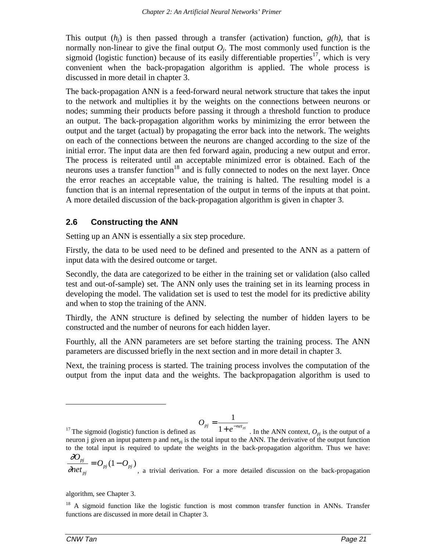This output  $(h_i)$  is then passed through a transfer (activation) function,  $g(h)$ , that is normally non-linear to give the final output  $O_i$ . The most commonly used function is the sigmoid (logistic function) because of its easily differentiable properties<sup>17</sup>, which is very convenient when the back-propagation algorithm is applied. The whole process is discussed in more detail in chapter 3.

The back-propagation ANN is a feed-forward neural network structure that takes the input to the network and multiplies it by the weights on the connections between neurons or nodes; summing their products before passing it through a threshold function to produce an output. The back-propagation algorithm works by minimizing the error between the output and the target (actual) by propagating the error back into the network. The weights on each of the connections between the neurons are changed according to the size of the initial error. The input data are then fed forward again, producing a new output and error. The process is reiterated until an acceptable minimized error is obtained. Each of the neurons uses a transfer function<sup>18</sup> and is fully connected to nodes on the next layer. Once the error reaches an acceptable value, the training is halted. The resulting model is a function that is an internal representation of the output in terms of the inputs at that point. A more detailed discussion of the back-propagation algorithm is given in chapter 3.

#### **2.6 Constructing the ANN**

Setting up an ANN is essentially a six step procedure.

Firstly, the data to be used need to be defined and presented to the ANN as a pattern of input data with the desired outcome or target.

Secondly, the data are categorized to be either in the training set or validation (also called test and out-of-sample) set. The ANN only uses the training set in its learning process in developing the model. The validation set is used to test the model for its predictive ability and when to stop the training of the ANN.

Thirdly, the ANN structure is defined by selecting the number of hidden layers to be constructed and the number of neurons for each hidden layer.

Fourthly, all the ANN parameters are set before starting the training process. The ANN parameters are discussed briefly in the next section and in more detail in chapter 3.

Next, the training process is started. The training process involves the computation of the output from the input data and the weights. The backpropagation algorithm is used to

$$
O_{pj} = \frac{1}{1 + e^{-net}}
$$

 $17$  The sigmoid (logistic) function is defined as  $p_j = \frac{1}{1 + e^{-net_{pj}}}$ . In the ANN context,  $O_{pj}$  is the output of a neuron j given an input pattern  $p$  and net<sub>pi</sub> is the total input to the ANN. The derivative of the output function to the total input is required to update the weights in the back-propagation algorithm. Thus we have: ∂ *O*

<sup>∂</sup> *net*  $\frac{p_j}{p} = O_{p_j}(1 - O)$ *pj*  $= O_{pj} (1 - O_{pj})$ , a trivial derivation. For a more detailed discussion on the back-propagation

algorithm, see Chapter 3.

<sup>&</sup>lt;sup>18</sup> A sigmoid function like the logistic function is most common transfer function in ANNs. Transfer functions are discussed in more detail in Chapter 3.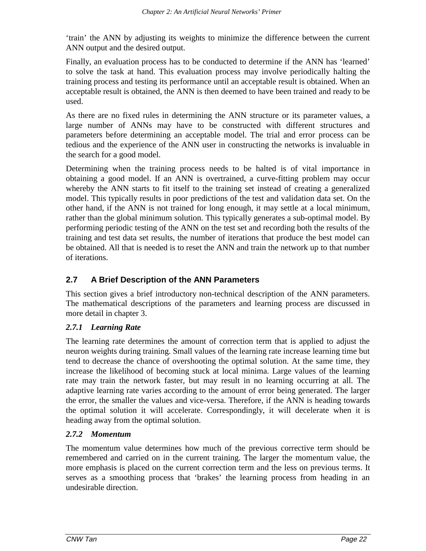'train' the ANN by adjusting its weights to minimize the difference between the current ANN output and the desired output.

Finally, an evaluation process has to be conducted to determine if the ANN has 'learned' to solve the task at hand. This evaluation process may involve periodically halting the training process and testing its performance until an acceptable result is obtained. When an acceptable result is obtained, the ANN is then deemed to have been trained and ready to be used.

As there are no fixed rules in determining the ANN structure or its parameter values, a large number of ANNs may have to be constructed with different structures and parameters before determining an acceptable model. The trial and error process can be tedious and the experience of the ANN user in constructing the networks is invaluable in the search for a good model.

Determining when the training process needs to be halted is of vital importance in obtaining a good model. If an ANN is overtrained, a curve-fitting problem may occur whereby the ANN starts to fit itself to the training set instead of creating a generalized model. This typically results in poor predictions of the test and validation data set. On the other hand, if the ANN is not trained for long enough, it may settle at a local minimum, rather than the global minimum solution. This typically generates a sub-optimal model. By performing periodic testing of the ANN on the test set and recording both the results of the training and test data set results, the number of iterations that produce the best model can be obtained. All that is needed is to reset the ANN and train the network up to that number of iterations.

## **2.7 A Brief Description of the ANN Parameters**

This section gives a brief introductory non-technical description of the ANN parameters. The mathematical descriptions of the parameters and learning process are discussed in more detail in chapter 3.

#### *2.7.1 Learning Rate*

The learning rate determines the amount of correction term that is applied to adjust the neuron weights during training. Small values of the learning rate increase learning time but tend to decrease the chance of overshooting the optimal solution. At the same time, they increase the likelihood of becoming stuck at local minima. Large values of the learning rate may train the network faster, but may result in no learning occurring at all. The adaptive learning rate varies according to the amount of error being generated. The larger the error, the smaller the values and vice-versa. Therefore, if the ANN is heading towards the optimal solution it will accelerate. Correspondingly, it will decelerate when it is heading away from the optimal solution.

#### *2.7.2 Momentum*

The momentum value determines how much of the previous corrective term should be remembered and carried on in the current training. The larger the momentum value, the more emphasis is placed on the current correction term and the less on previous terms. It serves as a smoothing process that 'brakes' the learning process from heading in an undesirable direction.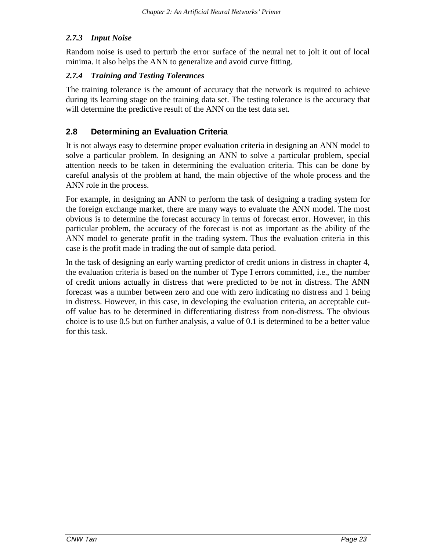#### *2.7.3 Input Noise*

Random noise is used to perturb the error surface of the neural net to jolt it out of local minima. It also helps the ANN to generalize and avoid curve fitting.

#### *2.7.4 Training and Testing Tolerances*

The training tolerance is the amount of accuracy that the network is required to achieve during its learning stage on the training data set. The testing tolerance is the accuracy that will determine the predictive result of the ANN on the test data set.

### **2.8 Determining an Evaluation Criteria**

It is not always easy to determine proper evaluation criteria in designing an ANN model to solve a particular problem. In designing an ANN to solve a particular problem, special attention needs to be taken in determining the evaluation criteria. This can be done by careful analysis of the problem at hand, the main objective of the whole process and the ANN role in the process.

For example, in designing an ANN to perform the task of designing a trading system for the foreign exchange market, there are many ways to evaluate the ANN model. The most obvious is to determine the forecast accuracy in terms of forecast error. However, in this particular problem, the accuracy of the forecast is not as important as the ability of the ANN model to generate profit in the trading system. Thus the evaluation criteria in this case is the profit made in trading the out of sample data period.

In the task of designing an early warning predictor of credit unions in distress in chapter 4, the evaluation criteria is based on the number of Type I errors committed, i.e., the number of credit unions actually in distress that were predicted to be not in distress. The ANN forecast was a number between zero and one with zero indicating no distress and 1 being in distress. However, in this case, in developing the evaluation criteria, an acceptable cutoff value has to be determined in differentiating distress from non-distress. The obvious choice is to use 0.5 but on further analysis, a value of 0.1 is determined to be a better value for this task.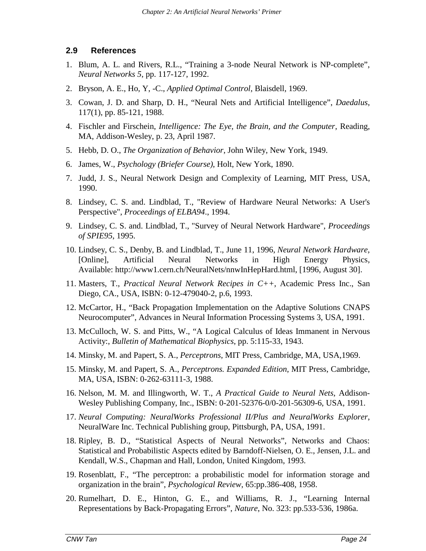#### **2.9 References**

- 1. Blum, A. L. and Rivers, R.L., "Training a 3-node Neural Network is NP-complete", *Neural Networks 5*, pp. 117-127, 1992.
- 2. Bryson, A. E., Ho, Y, -C., *Applied Optimal Control*, Blaisdell, 1969.
- 3. Cowan, J. D. and Sharp, D. H., "Neural Nets and Artificial Intelligence", *Daedalus*, 117(1), pp. 85-121, 1988.
- 4. Fischler and Firschein, *Intelligence: The Eye, the Brain, and the Computer*, Reading, MA, Addison-Wesley, p. 23, April 1987.
- 5. Hebb, D. O., *The Organization of Behavior*, John Wiley, New York, 1949.
- 6. James, W., *Psychology (Briefer Course)*, Holt, New York, 1890.
- 7. Judd, J. S., Neural Network Design and Complexity of Learning, MIT Press, USA, 1990.
- 8. Lindsey, C. S. and. Lindblad, T., "Review of Hardware Neural Networks: A User's Perspective", *Proceedings of ELBA94*., 1994.
- 9. Lindsey, C. S. and. Lindblad, T., "Survey of Neural Network Hardware", *Proceedings of SPIE95*, 1995.
- 10. Lindsey, C. S., Denby, B. and Lindblad, T., June 11, 1996, *Neural Network Hardware,* [Online], Artificial Neural Networks in High Energy Physics*,* Available: http://www1.cern.ch/NeuralNets/nnwInHepHard.html, [1996, August 30].
- 11. Masters, T., *Practical Neural Network Recipes in C++*, Academic Press Inc., San Diego, CA., USA, ISBN: 0-12-479040-2, p.6, 1993.
- 12. McCartor, H., "Back Propagation Implementation on the Adaptive Solutions CNAPS Neurocomputer", Advances in Neural Information Processing Systems 3, USA, 1991.
- 13. McCulloch, W. S. and Pitts, W., "A Logical Calculus of Ideas Immanent in Nervous Activity:, *Bulletin of Mathematical Biophysics*, pp. 5:115-33, 1943.
- 14. Minsky, M. and Papert, S. A., *Perceptrons*, MIT Press, Cambridge, MA, USA,1969.
- 15. Minsky, M. and Papert, S. A., *Perceptrons. Expanded Edition*, MIT Press, Cambridge, MA, USA, ISBN: 0-262-63111-3, 1988.
- 16. Nelson, M. M. and Illingworth, W. T., *A Practical Guide to Neural Nets*, Addison-Wesley Publishing Company, Inc., ISBN: 0-201-52376-0/0-201-56309-6, USA, 1991.
- 17. *Neural Computing: NeuralWorks Professional II/Plus and NeuralWorks Explorer*, NeuralWare Inc. Technical Publishing group, Pittsburgh, PA, USA, 1991.
- 18. Ripley, B. D., "Statistical Aspects of Neural Networks", Networks and Chaos: Statistical and Probabilistic Aspects edited by Barndoff-Nielsen, O. E., Jensen, J.L. and Kendall, W.S., Chapman and Hall, London, United Kingdom, 1993.
- 19. Rosenblatt, F., "The perceptron: a probabilistic model for information storage and organization in the brain", *Psychological Review*, 65:pp.386-408, 1958.
- 20. Rumelhart, D. E., Hinton, G. E., and Williams, R. J., "Learning Internal Representations by Back-Propagating Errors", *Nature*, No. 323: pp.533-536, 1986a.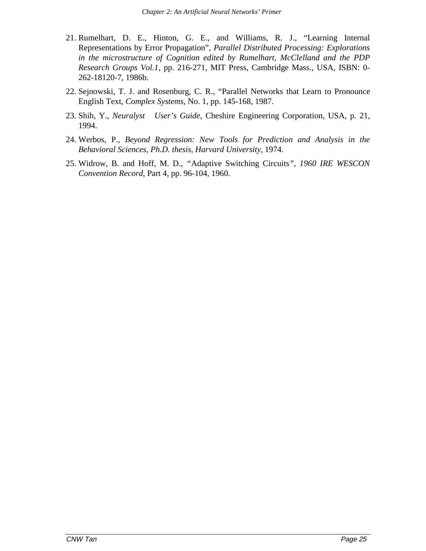- 21. Rumelhart, D. E., Hinton, G. E., and Williams, R. J., "Learning Internal Representations by Error Propagation", *Parallel Distributed Processing: Explorations in the microstructure of Cognition edited by Rumelhart, McClelland and the PDP Research Groups Vol.1*, pp. 216-271, MIT Press, Cambridge Mass., USA, ISBN: 0- 262-18120-7, 1986b.
- 22. Sejnowski, T. J. and Rosenburg, C. R., "Parallel Networks that Learn to Pronounce English Text, *Complex Systems*, No. 1, pp. 145-168, 1987.
- 23. Shih, Y., *Neuralyst User's Guide*, Cheshire Engineering Corporation, USA, p. 21, 1994.
- 24. Werbos, P., *Beyond Regression: New Tools for Prediction and Analysis in the Behavioral Sciences, Ph.D. thesis, Harvard University,* 1974*.*
- 25. Widrow, B. and Hoff, M. D., *"*Adaptive Switching Circuits*", 1960 IRE WESCON Convention Record*, Part 4, pp. 96-104, 1960.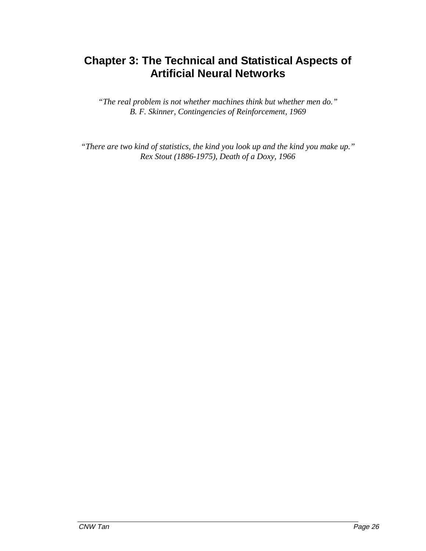# **Chapter 3: The Technical and Statistical Aspects of Artificial Neural Networks**

*"The real problem is not whether machines think but whether men do." B. F. Skinner, Contingencies of Reinforcement, 1969*

*"There are two kind of statistics, the kind you look up and the kind you make up." Rex Stout (1886-1975), Death of a Doxy, 1966*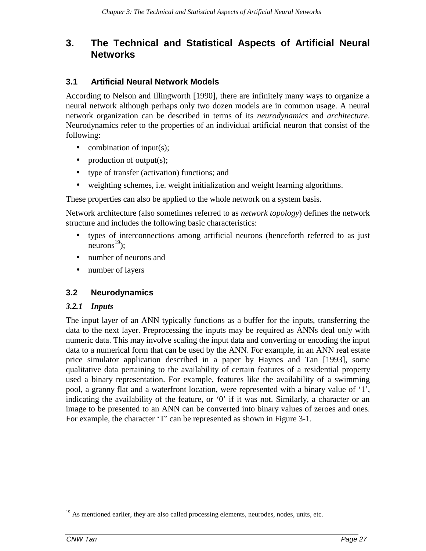## **3. The Technical and Statistical Aspects of Artificial Neural Networks**

## **3.1 Artificial Neural Network Models**

According to Nelson and Illingworth [1990], there are infinitely many ways to organize a neural network although perhaps only two dozen models are in common usage. A neural network organization can be described in terms of its *neurodynamics* and *architecture*. Neurodynamics refer to the properties of an individual artificial neuron that consist of the following:

- combination of input(s);
- production of output $(s)$ ;
- type of transfer (activation) functions; and
- weighting schemes, i.e. weight initialization and weight learning algorithms.

These properties can also be applied to the whole network on a system basis.

Network architecture (also sometimes referred to as *network topology*) defines the network structure and includes the following basic characteristics:

- types of interconnections among artificial neurons (henceforth referred to as just neurons<sup>19</sup>):
- number of neurons and
- number of layers

## **3.2 Neurodynamics**

#### *3.2.1 Inputs*

The input layer of an ANN typically functions as a buffer for the inputs, transferring the data to the next layer. Preprocessing the inputs may be required as ANNs deal only with numeric data. This may involve scaling the input data and converting or encoding the input data to a numerical form that can be used by the ANN. For example, in an ANN real estate price simulator application described in a paper by Haynes and Tan [1993], some qualitative data pertaining to the availability of certain features of a residential property used a binary representation. For example, features like the availability of a swimming pool, a granny flat and a waterfront location, were represented with a binary value of '1', indicating the availability of the feature, or '0' if it was not. Similarly, a character or an image to be presented to an ANN can be converted into binary values of zeroes and ones. For example, the character 'T' can be represented as shown in Figure 3-1.

 $19$  As mentioned earlier, they are also called processing elements, neurodes, nodes, units, etc.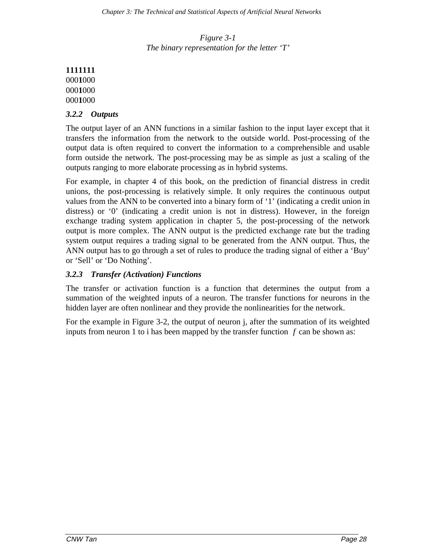*Figure 3-1 The binary representation for the letter 'T'*

#### *3.2.2 Outputs*

The output layer of an ANN functions in a similar fashion to the input layer except that it transfers the information from the network to the outside world. Post-processing of the output data is often required to convert the information to a comprehensible and usable form outside the network. The post-processing may be as simple as just a scaling of the outputs ranging to more elaborate processing as in hybrid systems.

For example, in chapter 4 of this book, on the prediction of financial distress in credit unions, the post-processing is relatively simple. It only requires the continuous output values from the ANN to be converted into a binary form of '1' (indicating a credit union in distress) or '0' (indicating a credit union is not in distress). However, in the foreign exchange trading system application in chapter 5, the post-processing of the network output is more complex. The ANN output is the predicted exchange rate but the trading system output requires a trading signal to be generated from the ANN output. Thus, the ANN output has to go through a set of rules to produce the trading signal of either a 'Buy' or 'Sell' or 'Do Nothing'.

#### *3.2.3 Transfer (Activation) Functions*

The transfer or activation function is a function that determines the output from a summation of the weighted inputs of a neuron. The transfer functions for neurons in the hidden layer are often nonlinear and they provide the nonlinearities for the network.

For the example in Figure 3-2, the output of neuron j, after the summation of its weighted inputs from neuron 1 to i has been mapped by the transfer function *f* can be shown as: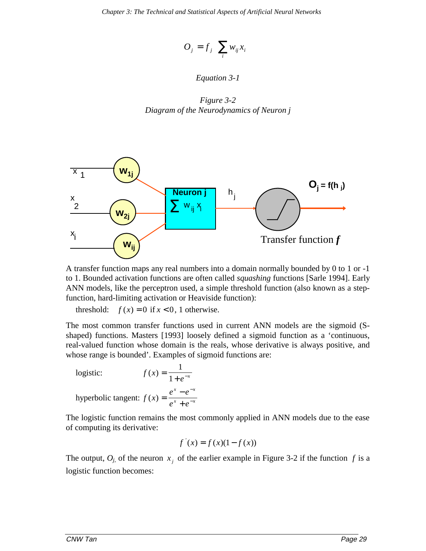$$
O_j = f_j \left( \sum_i w_{ij} x_i \right)
$$

#### *Equation 3-1*

*Figure 3-2 Diagram of the Neurodynamics of Neuron j*



A transfer function maps any real numbers into a domain normally bounded by 0 to 1 or -1 to 1. Bounded activation functions are often called *squashing* functions [Sarle 1994]. Early ANN models, like the perceptron used, a simple threshold function (also known as a stepfunction, hard-limiting activation or Heaviside function):

threshold:  $f(x) = 0$  if  $x < 0$ , 1 otherwise.

The most common transfer functions used in current ANN models are the sigmoid (Sshaped) functions. Masters [1993] loosely defined a sigmoid function as a 'continuous, real-valued function whose domain is the reals, whose derivative is always positive, and whose range is bounded'. Examples of sigmoid functions are:

logistic: 
$$
f(x) = \frac{1}{1 + e^{-x}}
$$
  
hyperbolic tangent: 
$$
f(x) = \frac{e^{x} - e^{-x}}{e^{x} + e^{-x}}
$$

The logistic function remains the most commonly applied in ANN models due to the ease of computing its derivative:

$$
f'(x) = f(x)(1 - f(x))
$$

The output,  $O_i$  of the neuron  $x_i$  of the earlier example in Figure 3-2 if the function f is a logistic function becomes: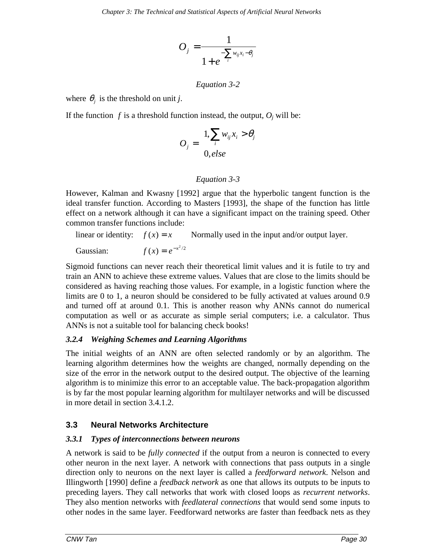$$
O_j = \frac{1}{1 + e^{-\sum_{i} w_{ij} x_i - \theta_j}}
$$

#### *Equation 3-2*

where  $\theta_i$  is the threshold on unit *j*.

If the function  $f$  is a threshold function instead, the output,  $O_i$  will be:

$$
O_j = \begin{cases} 1, \sum_i w_{ij} x_i > \theta_j \\ 0, else \end{cases}
$$

#### *Equation 3-3*

However, Kalman and Kwasny [1992] argue that the hyperbolic tangent function is the ideal transfer function. According to Masters [1993], the shape of the function has little effect on a network although it can have a significant impact on the training speed. Other common transfer functions include:

linear or identity:  $f(x) = x$  Normally used in the input and/or output layer.

Gaussian:  $f(x) = e^{-x^2/2}$ 

Sigmoid functions can never reach their theoretical limit values and it is futile to try and train an ANN to achieve these extreme values. Values that are close to the limits should be considered as having reaching those values. For example, in a logistic function where the limits are 0 to 1, a neuron should be considered to be fully activated at values around 0.9 and turned off at around 0.1. This is another reason why ANNs cannot do numerical computation as well or as accurate as simple serial computers; i.e. a calculator. Thus ANNs is not a suitable tool for balancing check books!

## *3.2.4 Weighing Schemes and Learning Algorithms*

The initial weights of an ANN are often selected randomly or by an algorithm. The learning algorithm determines how the weights are changed, normally depending on the size of the error in the network output to the desired output. The objective of the learning algorithm is to minimize this error to an acceptable value. The back-propagation algorithm is by far the most popular learning algorithm for multilayer networks and will be discussed in more detail in section 3.4.1.2.

## **3.3 Neural Networks Architecture**

## *3.3.1 Types of interconnections between neurons*

A network is said to be *fully connected* if the output from a neuron is connected to every other neuron in the next layer. A network with connections that pass outputs in a single direction only to neurons on the next layer is called a *feedforward network*. Nelson and Illingworth [1990] define a *feedback network* as one that allows its outputs to be inputs to preceding layers. They call networks that work with closed loops as *recurrent networks*. They also mention networks with *feedlateral connections* that would send some inputs to other nodes in the same layer. Feedforward networks are faster than feedback nets as they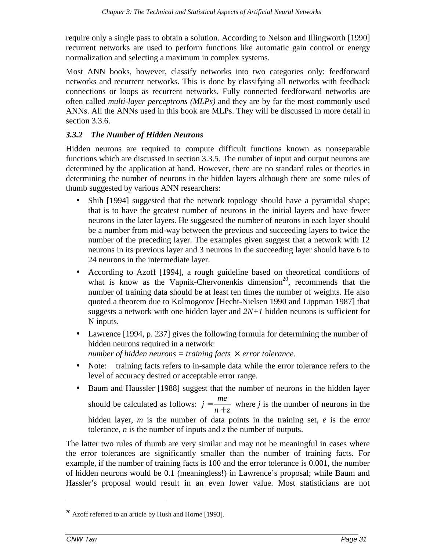require only a single pass to obtain a solution. According to Nelson and Illingworth [1990] recurrent networks are used to perform functions like automatic gain control or energy normalization and selecting a maximum in complex systems.

Most ANN books, however, classify networks into two categories only: feedforward networks and recurrent networks. This is done by classifying all networks with feedback connections or loops as recurrent networks. Fully connected feedforward networks are often called *multi-layer perceptrons (MLPs)* and they are by far the most commonly used ANNs. All the ANNs used in this book are MLPs. They will be discussed in more detail in section 3.3.6.

## *3.3.2 The Number of Hidden Neurons*

Hidden neurons are required to compute difficult functions known as nonseparable functions which are discussed in section 3.3.5. The number of input and output neurons are determined by the application at hand. However, there are no standard rules or theories in determining the number of neurons in the hidden layers although there are some rules of thumb suggested by various ANN researchers:

- Shih [1994] suggested that the network topology should have a pyramidal shape; that is to have the greatest number of neurons in the initial layers and have fewer neurons in the later layers. He suggested the number of neurons in each layer should be a number from mid-way between the previous and succeeding layers to twice the number of the preceding layer. The examples given suggest that a network with 12 neurons in its previous layer and 3 neurons in the succeeding layer should have 6 to 24 neurons in the intermediate layer.
- According to Azoff [1994], a rough guideline based on theoretical conditions of what is know as the Vapnik-Chervonenkis dimension<sup>20</sup>, recommends that the number of training data should be at least ten times the number of weights. He also quoted a theorem due to Kolmogorov [Hecht-Nielsen 1990 and Lippman 1987] that suggests a network with one hidden layer and  $2N+1$  hidden neurons is sufficient for N inputs.
- Lawrence [1994, p. 237] gives the following formula for determining the number of hidden neurons required in a network: *number of hidden neurons = training facts* × *error tolerance.*
- Note: training facts refers to in-sample data while the error tolerance refers to the level of accuracy desired or acceptable error range.
- Baum and Haussler [1988] suggest that the number of neurons in the hidden layer should be calculated as follows: *j me*  $=\frac{mc}{n+z}$  where *j* is the number of neurons in the hidden layer, *m* is the number of data points in the training set, *e* is the error tolerance, *n* is the number of inputs and *z* the number of outputs.

The latter two rules of thumb are very similar and may not be meaningful in cases where the error tolerances are significantly smaller than the number of training facts. For example, if the number of training facts is 100 and the error tolerance is 0.001, the number of hidden neurons would be 0.1 (meaningless!) in Lawrence's proposal; while Baum and Hassler's proposal would result in an even lower value. Most statisticians are not

 $20$  Azoff referred to an article by Hush and Horne [1993].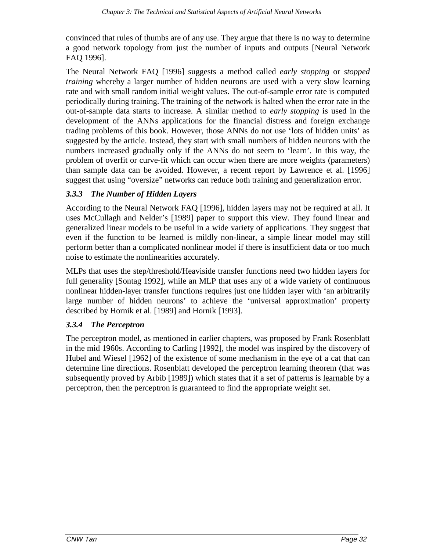convinced that rules of thumbs are of any use. They argue that there is no way to determine a good network topology from just the number of inputs and outputs [Neural Network FAQ 1996].

The Neural Network FAQ [1996] suggests a method called *early stopping* or *stopped training* whereby a larger number of hidden neurons are used with a very slow learning rate and with small random initial weight values. The out-of-sample error rate is computed periodically during training. The training of the network is halted when the error rate in the out-of-sample data starts to increase. A similar method to *early stopping* is used in the development of the ANNs applications for the financial distress and foreign exchange trading problems of this book. However, those ANNs do not use 'lots of hidden units' as suggested by the article. Instead, they start with small numbers of hidden neurons with the numbers increased gradually only if the ANNs do not seem to 'learn'. In this way, the problem of overfit or curve-fit which can occur when there are more weights (parameters) than sample data can be avoided. However, a recent report by Lawrence et al. [1996] suggest that using "oversize" networks can reduce both training and generalization error.

#### *3.3.3 The Number of Hidden Layers*

According to the Neural Network FAQ [1996], hidden layers may not be required at all. It uses McCullagh and Nelder's [1989] paper to support this view. They found linear and generalized linear models to be useful in a wide variety of applications. They suggest that even if the function to be learned is mildly non-linear, a simple linear model may still perform better than a complicated nonlinear model if there is insufficient data or too much noise to estimate the nonlinearities accurately.

MLPs that uses the step/threshold/Heaviside transfer functions need two hidden layers for full generality [Sontag 1992], while an MLP that uses any of a wide variety of continuous nonlinear hidden-layer transfer functions requires just one hidden layer with 'an arbitrarily large number of hidden neurons' to achieve the 'universal approximation' property described by Hornik et al. [1989] and Hornik [1993].

#### *3.3.4 The Perceptron*

The perceptron model, as mentioned in earlier chapters, was proposed by Frank Rosenblatt in the mid 1960s. According to Carling [1992], the model was inspired by the discovery of Hubel and Wiesel [1962] of the existence of some mechanism in the eye of a cat that can determine line directions. Rosenblatt developed the perceptron learning theorem (that was subsequently proved by Arbib [1989]) which states that if a set of patterns is learnable by a perceptron, then the perceptron is guaranteed to find the appropriate weight set.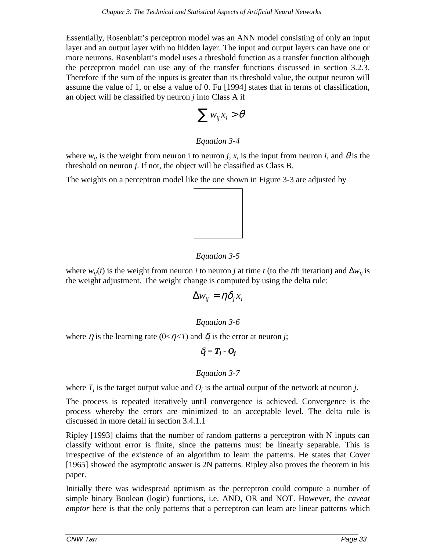Essentially, Rosenblatt's perceptron model was an ANN model consisting of only an input layer and an output layer with no hidden layer. The input and output layers can have one or more neurons. Rosenblatt's model uses a threshold function as a transfer function although the perceptron model can use any of the transfer functions discussed in section 3.2.3. Therefore if the sum of the inputs is greater than its threshold value, the output neuron will assume the value of 1, or else a value of 0. Fu [1994] states that in terms of classification, an object will be classified by neuron *j* into Class A if

$$
\sum w_{ij} x_i > \theta
$$

### *Equation 3-4*

where  $w_{ij}$  is the weight from neuron *i* to neuron *j*,  $x_i$  is the input from neuron *i*, and  $\theta$  is the threshold on neuron *j*. If not, the object will be classified as Class B.

The weights on a perceptron model like the one shown in Figure 3-3 are adjusted by



### *Equation 3-5*

where  $w_{ij}(t)$  is the weight from neuron *i* to neuron *j* at time *t* (to the *t*th iteration) and  $\Delta w_{ij}$  is the weight adjustment. The weight change is computed by using the delta rule:

$$
\Delta w_{ij} = \eta \delta_j x_i
$$

*Equation 3-6*

where  $\eta$  is the learning rate (0< $\eta$ <*I*) and  $\delta_i$  is the error at neuron *j*;

 $\delta_i = T_i - O_i$ 

### *Equation 3-7*

where  $T_i$  is the target output value and  $O_i$  is the actual output of the network at neuron *j*.

The process is repeated iteratively until convergence is achieved. Convergence is the process whereby the errors are minimized to an acceptable level. The delta rule is discussed in more detail in section 3.4.1.1

Ripley [1993] claims that the number of random patterns a perceptron with N inputs can classify without error is finite, since the patterns must be linearly separable. This is irrespective of the existence of an algorithm to learn the patterns. He states that Cover [1965] showed the asymptotic answer is 2N patterns. Ripley also proves the theorem in his paper.

Initially there was widespread optimism as the perceptron could compute a number of simple binary Boolean (logic) functions, i.e. AND, OR and NOT. However, the *caveat emptor* here is that the only patterns that a perceptron can learn are linear patterns which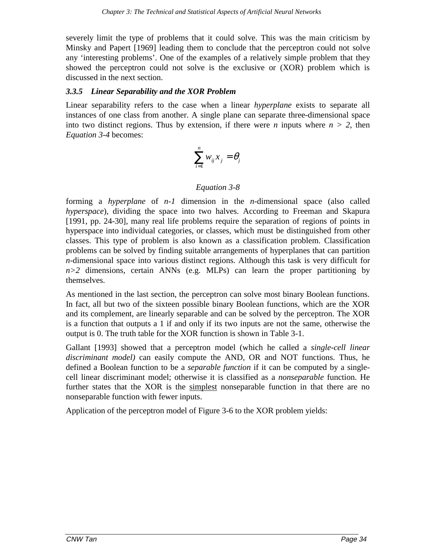severely limit the type of problems that it could solve. This was the main criticism by Minsky and Papert [1969] leading them to conclude that the perceptron could not solve any 'interesting problems'. One of the examples of a relatively simple problem that they showed the perceptron could not solve is the exclusive or (XOR) problem which is discussed in the next section.

### *3.3.5 Linear Separability and the XOR Problem*

Linear separability refers to the case when a linear *hyperplane* exists to separate all instances of one class from another. A single plane can separate three-dimensional space into two distinct regions. Thus by extension, if there were *n* inputs where  $n > 2$ , then *Equation 3-4* becomes:

$$
\sum_{i=1}^n w_{ij} x_j = \theta_j
$$

### *Equation 3-8*

forming a *hyperplane* of *n-1* dimension in the *n*-dimensional space (also called *hyperspace*), dividing the space into two halves. According to Freeman and Skapura [1991, pp. 24-30], many real life problems require the separation of regions of points in hyperspace into individual categories, or classes, which must be distinguished from other classes. This type of problem is also known as a classification problem. Classification problems can be solved by finding suitable arrangements of hyperplanes that can partition *n*-dimensional space into various distinct regions. Although this task is very difficult for  $n>2$  dimensions, certain ANNs (e.g. MLPs) can learn the proper partitioning by themselves.

As mentioned in the last section, the perceptron can solve most binary Boolean functions. In fact, all but two of the sixteen possible binary Boolean functions, which are the XOR and its complement, are linearly separable and can be solved by the perceptron. The XOR is a function that outputs a 1 if and only if its two inputs are not the same, otherwise the output is 0. The truth table for the XOR function is shown in Table 3-1.

Gallant [1993] showed that a perceptron model (which he called a *single-cell linear discriminant model)* can easily compute the AND, OR and NOT functions. Thus, he defined a Boolean function to be a *separable function* if it can be computed by a singlecell linear discriminant model; otherwise it is classified as a *nonseparable* function. He further states that the XOR is the simplest nonseparable function in that there are no nonseparable function with fewer inputs.

Application of the perceptron model of Figure 3-6 to the XOR problem yields: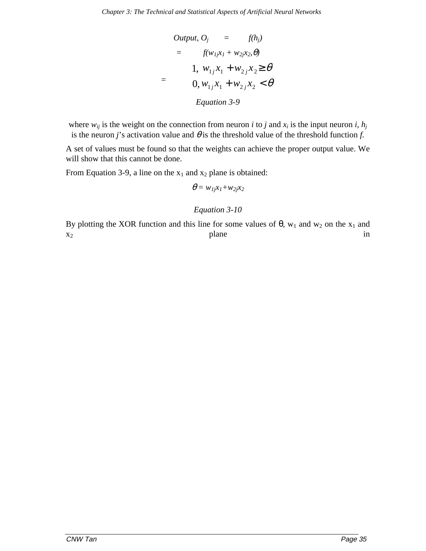Output, 
$$
O_j = f(h_j)
$$

\n
$$
= f(w_{1j}x_1 + w_{2j}x_2, \theta)
$$

\n
$$
= \begin{cases} 1, & w_{1j}x_1 + w_{2j}x_2 \geq \theta \\ 0, & w_{1j}x_1 + w_{2j}x_2 < \theta \end{cases}
$$

\nEquation 3-9

where  $w_{ij}$  is the weight on the connection from neuron *i* to *j* and  $x_i$  is the input neuron *i*,  $h_j$ is the neuron *j*'s activation value and  $\theta$  is the threshold value of the threshold function *f*.

A set of values must be found so that the weights can achieve the proper output value. We will show that this cannot be done.

From Equation 3-9, a line on the  $x_1$  and  $x_2$  plane is obtained:

$$
\theta = w_{1j}x_1 + w_{2j}x_2
$$

### *Equation 3-10*

By plotting the XOR function and this line for some values of  $\theta$ , w<sub>1</sub> and w<sub>2</sub> on the x<sub>1</sub> and  $x_2$  in the plane in  $x_2$  is the plane in  $x_2$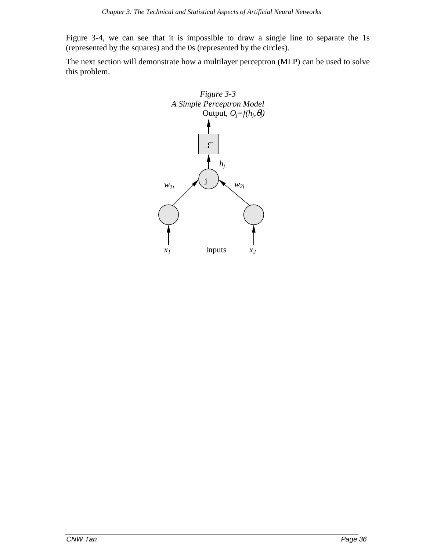Figure 3-4, we can see that it is impossible to draw a single line to separate the 1s (represented by the squares) and the 0s (represented by the circles).

The next section will demonstrate how a multilayer perceptron (MLP) can be used to solve this problem.

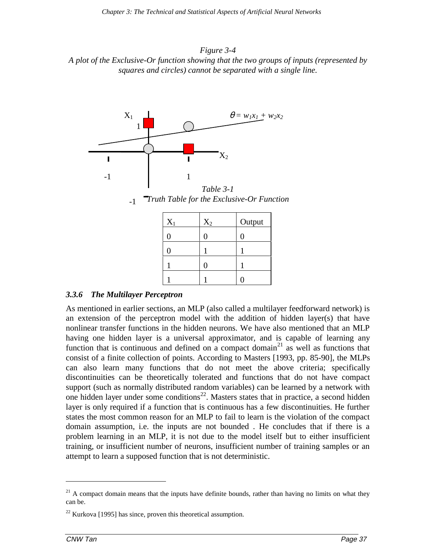*Figure 3-4 A plot of the Exclusive-Or function showing that the two groups of inputs (represented by squares and circles) cannot be separated with a single line.*



*Truth Table for the Exclusive-Or Function* -1

| $X_1$ | $X_2$ | Output |
|-------|-------|--------|
| 0     | 0     | U      |
|       |       |        |
|       | 0     |        |
|       |       | r      |

# *3.3.6 The Multilayer Perceptron*

As mentioned in earlier sections, an MLP (also called a multilayer feedforward network) is an extension of the perceptron model with the addition of hidden layer(s) that have nonlinear transfer functions in the hidden neurons. We have also mentioned that an MLP having one hidden layer is a universal approximator, and is capable of learning any function that is continuous and defined on a compact domain<sup>21</sup> as well as functions that consist of a finite collection of points. According to Masters [1993, pp. 85-90], the MLPs can also learn many functions that do not meet the above criteria; specifically discontinuities can be theoretically tolerated and functions that do not have compact support (such as normally distributed random variables) can be learned by a network with one hidden layer under some conditions<sup>22</sup>. Masters states that in practice, a second hidden layer is only required if a function that is continuous has a few discontinuities. He further states the most common reason for an MLP to fail to learn is the violation of the compact domain assumption, i.e. the inputs are not bounded . He concludes that if there is a problem learning in an MLP, it is not due to the model itself but to either insufficient training, or insufficient number of neurons, insufficient number of training samples or an attempt to learn a supposed function that is not deterministic.

 $21$  A compact domain means that the inputs have definite bounds, rather than having no limits on what they can be.

 $^{22}$  Kurkova [1995] has since, proven this theoretical assumption.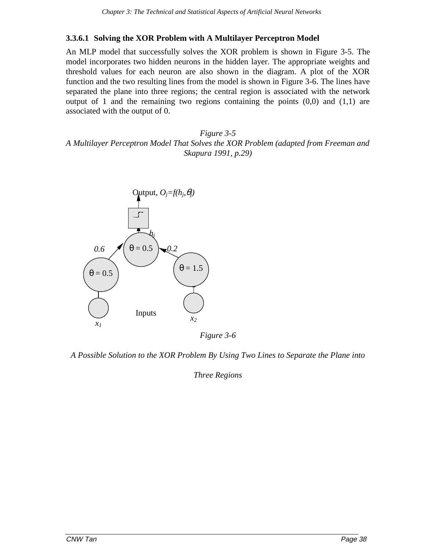### **3.3.6.1 Solving the XOR Problem with A Multilayer Perceptron Model**

An MLP model that successfully solves the XOR problem is shown in Figure 3-5. The model incorporates two hidden neurons in the hidden layer. The appropriate weights and threshold values for each neuron are also shown in the diagram. A plot of the XOR function and the two resulting lines from the model is shown in Figure 3-6. The lines have separated the plane into three regions; the central region is associated with the network output of 1 and the remaining two regions containing the points  $(0,0)$  and  $(1,1)$  are associated with the output of 0.

*Figure 3-5 A Multilayer Perceptron Model That Solves the XOR Problem (adapted from Freeman and Skapura 1991, p.29)*



*Figure 3-6*

*A Possible Solution to the XOR Problem By Using Two Lines to Separate the Plane into*

*Three Regions*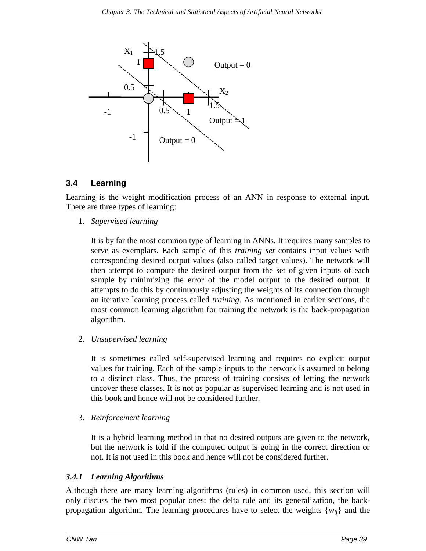

### **3.4 Learning**

Learning is the weight modification process of an ANN in response to external input. There are three types of learning:

1. *Supervised learning*

It is by far the most common type of learning in ANNs. It requires many samples to serve as exemplars. Each sample of this *training set* contains input values with corresponding desired output values (also called target values). The network will then attempt to compute the desired output from the set of given inputs of each sample by minimizing the error of the model output to the desired output. It attempts to do this by continuously adjusting the weights of its connection through an iterative learning process called *training*. As mentioned in earlier sections, the most common learning algorithm for training the network is the back-propagation algorithm.

2. *Unsupervised learning*

It is sometimes called self-supervised learning and requires no explicit output values for training. Each of the sample inputs to the network is assumed to belong to a distinct class. Thus, the process of training consists of letting the network uncover these classes. It is not as popular as supervised learning and is not used in this book and hence will not be considered further.

3. *Reinforcement learning*

It is a hybrid learning method in that no desired outputs are given to the network, but the network is told if the computed output is going in the correct direction or not. It is not used in this book and hence will not be considered further.

### *3.4.1 Learning Algorithms*

Although there are many learning algorithms (rules) in common used, this section will only discuss the two most popular ones: the delta rule and its generalization, the backpropagation algorithm. The learning procedures have to select the weights {*wij*} and the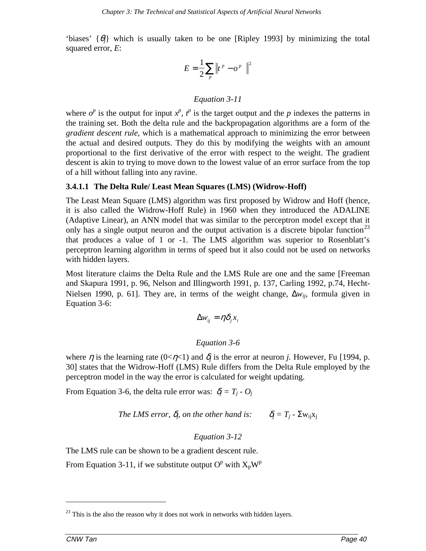'biases'  $\{\theta_i\}$  which is usually taken to be one [Ripley 1993] by minimizing the total squared error, *E*:

$$
E = \frac{1}{2} \sum_{p} \left\| t^{p} - o^{p} \right\|^{2}
$$

### *Equation 3-11*

where  $o^p$  is the output for input  $x^p$ ,  $t^p$  is the target output and the *p* indexes the patterns in the training set. Both the delta rule and the backpropagation algorithms are a form of the *gradient descent rule*, which is a mathematical approach to minimizing the error between the actual and desired outputs. They do this by modifying the weights with an amount proportional to the first derivative of the error with respect to the weight. The gradient descent is akin to trying to move down to the lowest value of an error surface from the top of a hill without falling into any ravine.

### **3.4.1.1 The Delta Rule/ Least Mean Squares (LMS) (Widrow-Hoff)**

The Least Mean Square (LMS) algorithm was first proposed by Widrow and Hoff (hence, it is also called the Widrow-Hoff Rule) in 1960 when they introduced the ADALINE (Adaptive Linear), an ANN model that was similar to the perceptron model except that it only has a single output neuron and the output activation is a discrete bipolar function<sup>23</sup> that produces a value of 1 or -1. The LMS algorithm was superior to Rosenblatt's perceptron learning algorithm in terms of speed but it also could not be used on networks with hidden layers.

Most literature claims the Delta Rule and the LMS Rule are one and the same [Freeman and Skapura 1991, p. 96, Nelson and Illingworth 1991, p. 137, Carling 1992, p.74, Hecht-Nielsen 1990, p. 61]. They are, in terms of the weight change, ∆*wij*, formula given in Equation 3-6:

$$
\Delta w_{ij} = \eta \delta_j x_i
$$

### *Equation 3-6*

where  $\eta$  is the learning rate (0< $\eta$ <1) and  $\delta_i$  is the error at neuron *j*. However, Fu [1994, p. 30] states that the Widrow-Hoff (LMS) Rule differs from the Delta Rule employed by the perceptron model in the way the error is calculated for weight updating.

From Equation 3-6, the delta rule error was:  $\delta_i = T_i - O_i$ 

*The LMS error,*  $\delta_i$ *, on the other hand is:*  $\delta_i = T_i - \sum w_{ii}x_i$ 

### *Equation 3-12*

The LMS rule can be shown to be a gradient descent rule.

From Equation 3-11, if we substitute output  $O^p$  with  $X_pW^p$ 

 $23$  This is the also the reason why it does not work in networks with hidden layers.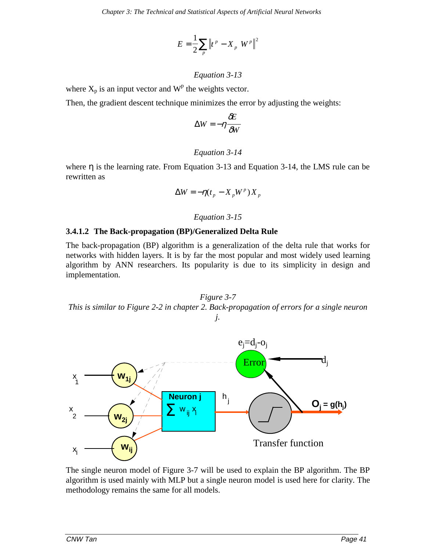$$
E = \frac{1}{2} \sum_{p} \left\| t^{p} - X_{p} W^{p} \right\|^{2}
$$

### *Equation 3-13*

where  $X_p$  is an input vector and  $W^p$  the weights vector.

Then, the gradient descent technique minimizes the error by adjusting the weights:

$$
\Delta W = -\eta \frac{\partial E}{\partial W}
$$

### *Equation 3-14*

where  $\eta$  is the learning rate. From Equation 3-13 and Equation 3-14, the LMS rule can be rewritten as

$$
\Delta W = -\eta (t_p - X_p W^p) X_p
$$

### *Equation 3-15*

### **3.4.1.2 The Back-propagation (BP)/Generalized Delta Rule**

The back-propagation (BP) algorithm is a generalization of the delta rule that works for networks with hidden layers. It is by far the most popular and most widely used learning algorithm by ANN researchers. Its popularity is due to its simplicity in design and implementation.





The single neuron model of Figure 3-7 will be used to explain the BP algorithm. The BP algorithm is used mainly with MLP but a single neuron model is used here for clarity. The methodology remains the same for all models.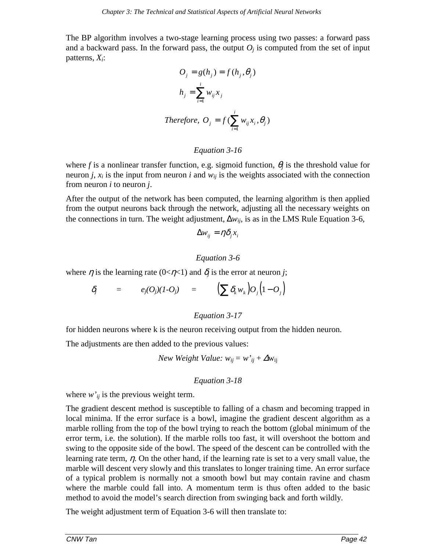The BP algorithm involves a two-stage learning process using two passes: a forward pass and a backward pass. In the forward pass, the output  $O<sub>j</sub>$  is computed from the set of input patterns, *Xi*:

$$
O_j = g(h_j) = f(h_j, \theta_j)
$$
  

$$
h_j = \sum_{i=1}^i w_{ij} x_j
$$
  
Therefore, 
$$
O_j = f(\sum_{i=1}^i w_{ij} x_i, \theta_j)
$$

#### *Equation 3-16*

where *f* is a nonlinear transfer function, e.g. sigmoid function,  $\theta_i$  is the threshold value for neuron *j*,  $x_i$  is the input from neuron *i* and  $w_{ii}$  is the weights associated with the connection from neuron *i* to neuron *j*.

After the output of the network has been computed, the learning algorithm is then applied from the output neurons back through the network, adjusting all the necessary weights on the connections in turn. The weight adjustment,  $\Delta w_{ij}$ , is as in the LMS Rule Equation 3-6,

$$
\Delta w_{ij} = \eta \delta_j x_i
$$

# *Equation 3-6*

where  $\eta$  is the learning rate (0< $\eta$ <1) and  $\delta_i$  is the error at neuron *j*;

$$
\delta_j = e_j(O_j)(1-O_j) = (\sum \delta_k w_k)O_j(1-O_j)
$$

### *Equation 3-17*

for hidden neurons where k is the neuron receiving output from the hidden neuron.

The adjustments are then added to the previous values:

$$
New Weight Value: w_{ij} = w'_{ij} + \Delta w_{ij}
$$

### *Equation 3-18*

where  $w_{ij}$  is the previous weight term.

The gradient descent method is susceptible to falling of a chasm and becoming trapped in local minima. If the error surface is a bowl, imagine the gradient descent algorithm as a marble rolling from the top of the bowl trying to reach the bottom (global minimum of the error term, i.e. the solution). If the marble rolls too fast, it will overshoot the bottom and swing to the opposite side of the bowl. The speed of the descent can be controlled with the learning rate term,  $\eta$ . On the other hand, if the learning rate is set to a very small value, the marble will descent very slowly and this translates to longer training time. An error surface of a typical problem is normally not a smooth bowl but may contain ravine and chasm where the marble could fall into. A momentum term is thus often added to the basic method to avoid the model's search direction from swinging back and forth wildly.

The weight adjustment term of Equation 3-6 will then translate to: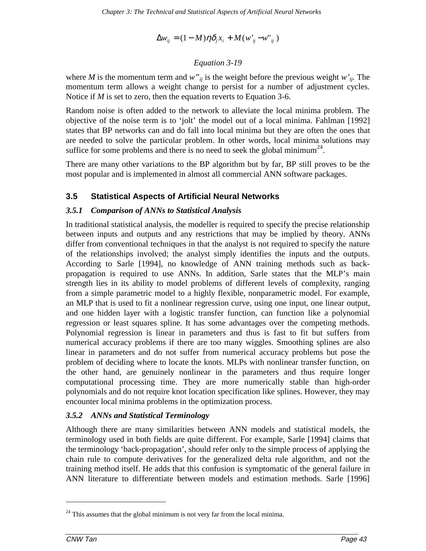$$
\Delta w_{ij} = (1 - M)\eta \delta_j x_i + M(w_{ij} - w_{ij}')
$$

### *Equation 3-19*

where *M* is the momentum term and  $w''_{ij}$  is the weight before the previous weight  $w'_{ij}$ . The momentum term allows a weight change to persist for a number of adjustment cycles. Notice if *M* is set to zero, then the equation reverts to Equation 3-6.

Random noise is often added to the network to alleviate the local minima problem. The objective of the noise term is to 'jolt' the model out of a local minima. Fahlman [1992] states that BP networks can and do fall into local minima but they are often the ones that are needed to solve the particular problem. In other words, local minima solutions may suffice for some problems and there is no need to seek the global minimum<sup>24</sup>.

There are many other variations to the BP algorithm but by far, BP still proves to be the most popular and is implemented in almost all commercial ANN software packages.

### **3.5 Statistical Aspects of Artificial Neural Networks**

### *3.5.1 Comparison of ANNs to Statistical Analysis*

In traditional statistical analysis, the modeller is required to specify the precise relationship between inputs and outputs and any restrictions that may be implied by theory. ANNs differ from conventional techniques in that the analyst is not required to specify the nature of the relationships involved; the analyst simply identifies the inputs and the outputs. According to Sarle [1994], no knowledge of ANN training methods such as backpropagation is required to use ANNs. In addition, Sarle states that the MLP's main strength lies in its ability to model problems of different levels of complexity, ranging from a simple parametric model to a highly flexible, nonparametric model. For example, an MLP that is used to fit a nonlinear regression curve, using one input, one linear output, and one hidden layer with a logistic transfer function, can function like a polynomial regression or least squares spline. It has some advantages over the competing methods. Polynomial regression is linear in parameters and thus is fast to fit but suffers from numerical accuracy problems if there are too many wiggles. Smoothing splines are also linear in parameters and do not suffer from numerical accuracy problems but pose the problem of deciding where to locate the knots. MLPs with nonlinear transfer function, on the other hand, are genuinely nonlinear in the parameters and thus require longer computational processing time. They are more numerically stable than high-order polynomials and do not require knot location specification like splines. However, they may encounter local minima problems in the optimization process.

### *3.5.2 ANNs and Statistical Terminology*

Although there are many similarities between ANN models and statistical models, the terminology used in both fields are quite different. For example, Sarle [1994] claims that the terminology 'back-propagation', should refer only to the simple process of applying the chain rule to compute derivatives for the generalized delta rule algorithm, and not the training method itself. He adds that this confusion is symptomatic of the general failure in ANN literature to differentiate between models and estimation methods. Sarle [1996]

 $^{24}$  This assumes that the global minimum is not very far from the local minima.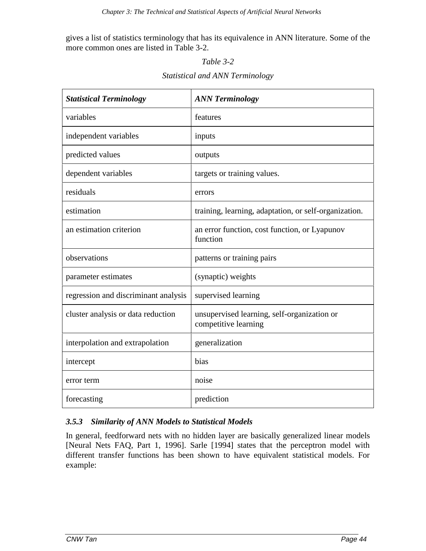gives a list of statistics terminology that has its equivalence in ANN literature. Some of the more common ones are listed in Table 3-2.

### *Table 3-2*

| <b>Statistical and ANN Terminology</b> |  |  |
|----------------------------------------|--|--|
|                                        |  |  |

| <b>Statistical Terminology</b>       | <b>ANN Terminology</b>                                              |
|--------------------------------------|---------------------------------------------------------------------|
| variables                            | features                                                            |
| independent variables                | inputs                                                              |
| predicted values                     | outputs                                                             |
| dependent variables                  | targets or training values.                                         |
| residuals                            | errors                                                              |
| estimation                           | training, learning, adaptation, or self-organization.               |
| an estimation criterion              | an error function, cost function, or Lyapunov<br>function           |
| observations                         | patterns or training pairs                                          |
| parameter estimates                  | (synaptic) weights                                                  |
| regression and discriminant analysis | supervised learning                                                 |
| cluster analysis or data reduction   | unsupervised learning, self-organization or<br>competitive learning |
| interpolation and extrapolation      | generalization                                                      |
| intercept                            | bias                                                                |
| error term                           | noise                                                               |
| forecasting                          | prediction                                                          |

# *3.5.3 Similarity of ANN Models to Statistical Models*

In general, feedforward nets with no hidden layer are basically generalized linear models [Neural Nets FAQ, Part 1, 1996]. Sarle [1994] states that the perceptron model with different transfer functions has been shown to have equivalent statistical models. For example: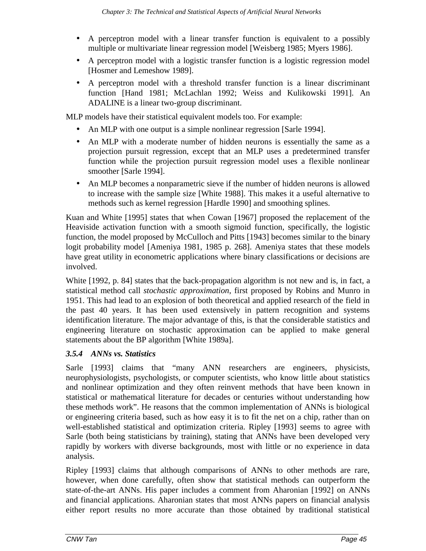- A perceptron model with a linear transfer function is equivalent to a possibly multiple or multivariate linear regression model [Weisberg 1985; Myers 1986].
- A perceptron model with a logistic transfer function is a logistic regression model [Hosmer and Lemeshow 1989].
- A perceptron model with a threshold transfer function is a linear discriminant function [Hand 1981; McLachlan 1992; Weiss and Kulikowski 1991]. An ADALINE is a linear two-group discriminant.

MLP models have their statistical equivalent models too. For example:

- An MLP with one output is a simple nonlinear regression [Sarle 1994].
- An MLP with a moderate number of hidden neurons is essentially the same as a projection pursuit regression, except that an MLP uses a predetermined transfer function while the projection pursuit regression model uses a flexible nonlinear smoother [Sarle 1994].
- An MLP becomes a nonparametric sieve if the number of hidden neurons is allowed to increase with the sample size [White 1988]. This makes it a useful alternative to methods such as kernel regression [Hardle 1990] and smoothing splines.

Kuan and White [1995] states that when Cowan [1967] proposed the replacement of the Heaviside activation function with a smooth sigmoid function, specifically, the logistic function, the model proposed by McCulloch and Pitts [1943] becomes similar to the binary logit probability model [Ameniya 1981, 1985 p. 268]. Ameniya states that these models have great utility in econometric applications where binary classifications or decisions are involved.

White [1992, p. 84] states that the back-propagation algorithm is not new and is, in fact, a statistical method call *stochastic approximation*, first proposed by Robins and Munro in 1951. This had lead to an explosion of both theoretical and applied research of the field in the past 40 years. It has been used extensively in pattern recognition and systems identification literature. The major advantage of this, is that the considerable statistics and engineering literature on stochastic approximation can be applied to make general statements about the BP algorithm [White 1989a].

# *3.5.4 ANNs vs. Statistics*

Sarle [1993] claims that "many ANN researchers are engineers, physicists, neurophysiologists, psychologists, or computer scientists, who know little about statistics and nonlinear optimization and they often reinvent methods that have been known in statistical or mathematical literature for decades or centuries without understanding how these methods work". He reasons that the common implementation of ANNs is biological or engineering criteria based, such as how easy it is to fit the net on a chip, rather than on well-established statistical and optimization criteria. Ripley [1993] seems to agree with Sarle (both being statisticians by training), stating that ANNs have been developed very rapidly by workers with diverse backgrounds, most with little or no experience in data analysis.

Ripley [1993] claims that although comparisons of ANNs to other methods are rare, however, when done carefully, often show that statistical methods can outperform the state-of-the-art ANNs. His paper includes a comment from Aharonian [1992] on ANNs and financial applications. Aharonian states that most ANNs papers on financial analysis either report results no more accurate than those obtained by traditional statistical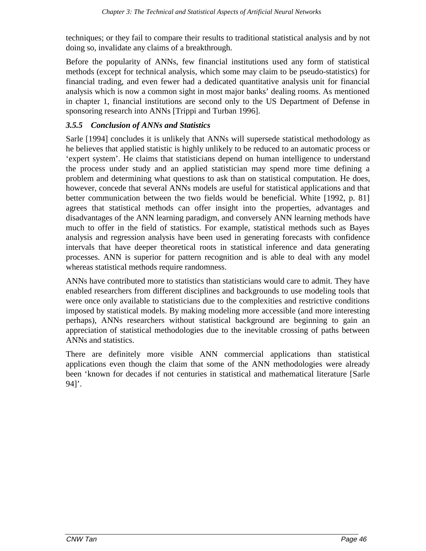techniques; or they fail to compare their results to traditional statistical analysis and by not doing so, invalidate any claims of a breakthrough.

Before the popularity of ANNs, few financial institutions used any form of statistical methods (except for technical analysis, which some may claim to be pseudo-statistics) for financial trading, and even fewer had a dedicated quantitative analysis unit for financial analysis which is now a common sight in most major banks' dealing rooms. As mentioned in chapter 1, financial institutions are second only to the US Department of Defense in sponsoring research into ANNs [Trippi and Turban 1996].

### *3.5.5 Conclusion of ANNs and Statistics*

Sarle [1994] concludes it is unlikely that ANNs will supersede statistical methodology as he believes that applied statistic is highly unlikely to be reduced to an automatic process or 'expert system'. He claims that statisticians depend on human intelligence to understand the process under study and an applied statistician may spend more time defining a problem and determining what questions to ask than on statistical computation. He does, however, concede that several ANNs models are useful for statistical applications and that better communication between the two fields would be beneficial. White [1992, p. 81] agrees that statistical methods can offer insight into the properties, advantages and disadvantages of the ANN learning paradigm, and conversely ANN learning methods have much to offer in the field of statistics. For example, statistical methods such as Bayes analysis and regression analysis have been used in generating forecasts with confidence intervals that have deeper theoretical roots in statistical inference and data generating processes. ANN is superior for pattern recognition and is able to deal with any model whereas statistical methods require randomness.

ANNs have contributed more to statistics than statisticians would care to admit. They have enabled researchers from different disciplines and backgrounds to use modeling tools that were once only available to statisticians due to the complexities and restrictive conditions imposed by statistical models. By making modeling more accessible (and more interesting perhaps), ANNs researchers without statistical background are beginning to gain an appreciation of statistical methodologies due to the inevitable crossing of paths between ANNs and statistics.

There are definitely more visible ANN commercial applications than statistical applications even though the claim that some of the ANN methodologies were already been 'known for decades if not centuries in statistical and mathematical literature [Sarle  $94$ ]'.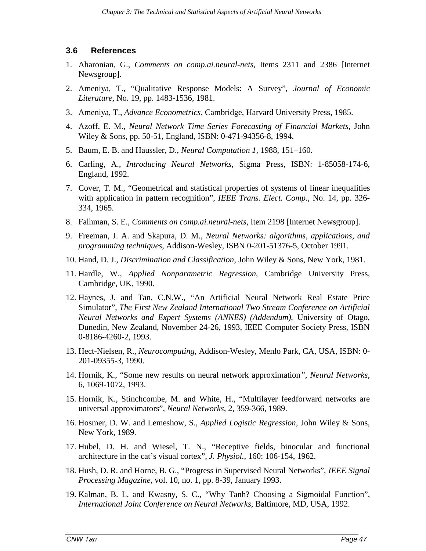### **3.6 References**

- 1. Aharonian, G., *Comments on comp.ai.neural-nets*, Items 2311 and 2386 [Internet Newsgroup].
- 2. Ameniya, T., "Qualitative Response Models: A Survey", *Journal of Economic Literature,* No. 19, pp. 1483-1536, 1981.
- 3. Ameniya, T., *Advance Econometrics*, Cambridge, Harvard University Press, 1985.
- 4. Azoff, E. M., *Neural Network Time Series Forecasting of Financial Markets*, John Wiley & Sons, pp. 50-51, England, ISBN: 0-471-94356-8, 1994.
- 5. Baum, E. B. and Haussler, D., *Neural Computation 1,* 1988, 151–160.
- 6. Carling, A., *Introducing Neural Networks*, Sigma Press, ISBN: 1-85058-174-6, England, 1992.
- 7. Cover, T. M., "Geometrical and statistical properties of systems of linear inequalities with application in pattern recognition", *IEEE Trans. Elect. Comp.*, No. 14, pp. 326- 334, 1965.
- 8. Falhman, S. E., *Comments on comp.ai.neural-nets,* Item 2198 [Internet Newsgroup].
- 9. Freeman, J. A. and Skapura, D. M., *Neural Networks: algorithms, applications, and programming techniques*, Addison-Wesley, ISBN 0-201-51376-5, October 1991.
- 10. Hand, D. J., *Discrimination and Classification,* John Wiley & Sons, New York, 1981.
- 11. Hardle, W., *Applied Nonparametric Regression*, Cambridge University Press, Cambridge, UK, 1990.
- 12. Haynes, J. and Tan, C.N.W., "An Artificial Neural Network Real Estate Price Simulator", *The First New Zealand International Two Stream Conference on Artificial Neural Networks and Expert Systems (ANNES) (Addendum)*, University of Otago, Dunedin, New Zealand, November 24-26, 1993, IEEE Computer Society Press, ISBN 0-8186-4260-2, 1993.
- 13. Hect-Nielsen, R., *Neurocomputing*, Addison-Wesley, Menlo Park, CA, USA, ISBN: 0- 201-09355-3, 1990.
- 14. Hornik, K., "Some new results on neural network approximation*", Neural Networks*, 6, 1069-1072, 1993.
- 15. Hornik, K., Stinchcombe, M. and White, H., "Multilayer feedforward networks are universal approximators", *Neural Networks*, 2, 359-366, 1989.
- 16. Hosmer, D. W. and Lemeshow, S., *Applied Logistic Regression*, John Wiley & Sons, New York, 1989.
- 17. Hubel, D. H. and Wiesel, T. N., "Receptive fields, binocular and functional architecture in the cat's visual cortex", *J. Physiol.*, 160: 106-154, 1962.
- 18. Hush, D. R. and Horne, B. G., "Progress in Supervised Neural Networks", *IEEE Signal Processing Magazine*, vol. 10, no. 1, pp. 8-39, January 1993.
- 19. Kalman, B. L, and Kwasny, S. C., "Why Tanh? Choosing a Sigmoidal Function", *International Joint Conference on Neural Networks*, Baltimore, MD, USA, 1992.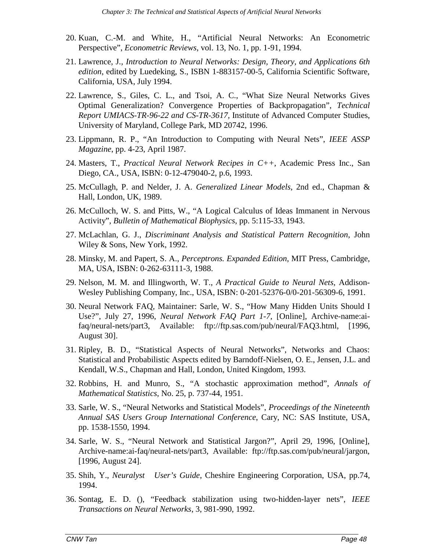- 20. Kuan, C.-M. and White, H., "Artificial Neural Networks: An Econometric Perspective", *Econometric Reviews*, vol. 13, No. 1, pp. 1-91, 1994.
- 21. Lawrence, J*., Introduction to Neural Networks: Design, Theory, and Applications 6th edition*, edited by Luedeking, S., ISBN 1-883157-00-5, California Scientific Software, California, USA, July 1994.
- 22. Lawrence, S., Giles, C. L., and Tsoi, A. C., "What Size Neural Networks Gives Optimal Generalization? Convergence Properties of Backpropagation", *Technical Report UMIACS-TR-96-22 and CS-TR-3617,* Institute of Advanced Computer Studies, University of Maryland, College Park, MD 20742, 1996.
- 23. Lippmann, R. P., "An Introduction to Computing with Neural Nets", *IEEE ASSP Magazine*, pp. 4-23, April 1987.
- 24. Masters, T., *Practical Neural Network Recipes in C++*, Academic Press Inc., San Diego, CA., USA, ISBN: 0-12-479040-2, p.6, 1993.
- 25. McCullagh, P. and Nelder, J. A. *Generalized Linear Models*, 2nd ed., Chapman & Hall, London, UK, 1989.
- 26. McCulloch, W. S. and Pitts, W., "A Logical Calculus of Ideas Immanent in Nervous Activity", *Bulletin of Mathematical Biophysics*, pp. 5:115-33, 1943.
- 27. McLachlan, G. J., *Discriminant Analysis and Statistical Pattern Recognition*, John Wiley & Sons, New York, 1992.
- 28. Minsky, M. and Papert, S. A., *Perceptrons. Expanded Edition*, MIT Press, Cambridge, MA, USA, ISBN: 0-262-63111-3, 1988.
- 29. Nelson, M. M. and Illingworth, W. T., *A Practical Guide to Neural Nets*, Addison-Wesley Publishing Company, Inc., USA, ISBN: 0-201-52376-0/0-201-56309-6, 1991.
- 30. Neural Network FAQ*,* Maintainer: Sarle, W. S., "How Many Hidden Units Should I Use?", July 27, 1996, *Neural Network FAQ Part 1-7,* [Online], Archive-name:aifaq/neural-nets/part3, Available: ftp://ftp.sas.com/pub/neural/FAQ3.html, [1996, August 30].
- 31. Ripley, B. D., "Statistical Aspects of Neural Networks", Networks and Chaos: Statistical and Probabilistic Aspects edited by Barndoff-Nielsen, O. E., Jensen, J.L. and Kendall, W.S., Chapman and Hall, London, United Kingdom, 1993.
- 32. Robbins, H. and Munro, S., "A stochastic approximation method", *Annals of Mathematical Statistics*, No. 25, p. 737-44, 1951.
- 33. Sarle, W. S., "Neural Networks and Statistical Models", *Proceedings of the Nineteenth Annual SAS Users Group International Conference*, Cary, NC: SAS Institute, USA, pp. 1538-1550, 1994.
- 34. Sarle, W. S., "Neural Network and Statistical Jargon?", April 29, 1996, [Online], Archive-name:ai-faq/neural-nets/part3, Available: ftp://ftp.sas.com/pub/neural/jargon, [1996, August 24].
- 35. Shih, Y., *Neuralyst User's Guide*, Cheshire Engineering Corporation, USA, pp.74, 1994.
- 36. Sontag, E. D. (), "Feedback stabilization using two-hidden-layer nets", *IEEE Transactions on Neural Networks*, 3, 981-990, 1992.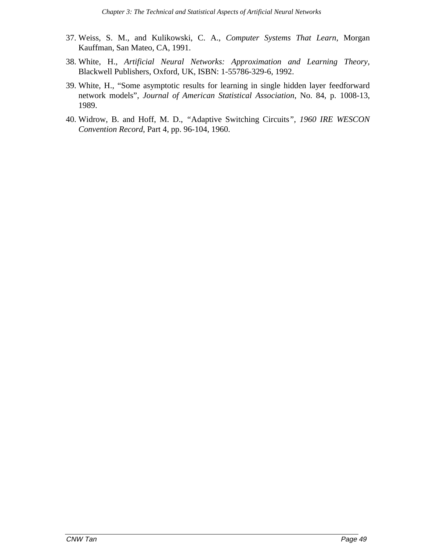- 37. Weiss, S. M., and Kulikowski, C. A., *Computer Systems That Learn*, Morgan Kauffman, San Mateo, CA, 1991.
- 38. White, H., *Artificial Neural Networks: Approximation and Learning Theory,* Blackwell Publishers, Oxford, UK, ISBN: 1-55786-329-6, 1992.
- 39. White, H., "Some asymptotic results for learning in single hidden layer feedforward network models", *Journal of American Statistical Association*, No. 84, p. 1008-13, 1989.
- 40. Widrow, B. and Hoff, M. D., *"*Adaptive Switching Circuits*", 1960 IRE WESCON Convention Record*, Part 4, pp. 96-104, 1960.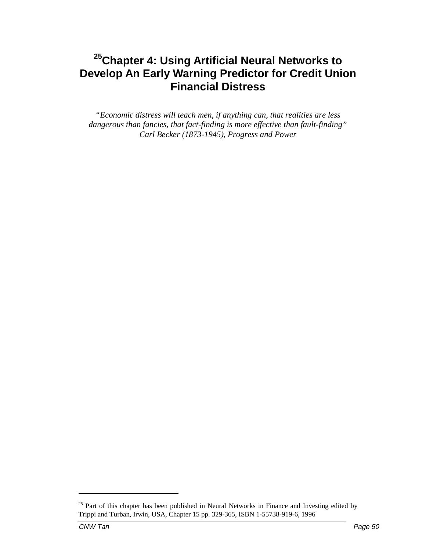*"Economic distress will teach men, if anything can, that realities are less dangerous than fancies, that fact-finding is more effective than fault-finding" Carl Becker (1873-1945), Progress and Power*

 $25$  Part of this chapter has been published in Neural Networks in Finance and Investing edited by Trippi and Turban, Irwin, USA, Chapter 15 pp. 329-365, ISBN 1-55738-919-6, 1996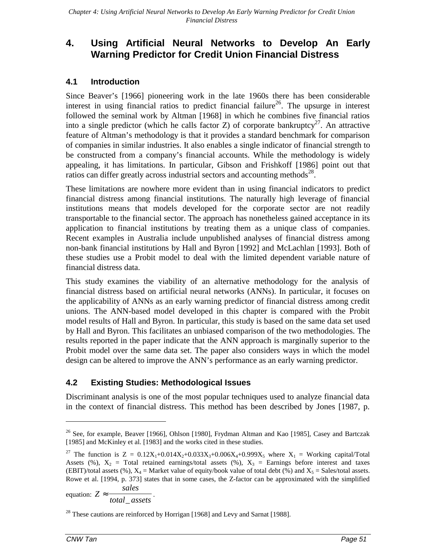# **4.1 Introduction**

Since Beaver's [1966] pioneering work in the late 1960s there has been considerable interest in using financial ratios to predict financial failure<sup>26</sup>. The upsurge in interest followed the seminal work by Altman [1968] in which he combines five financial ratios into a single predictor (which he calls factor Z) of corporate bankruptcy<sup>27</sup>. An attractive feature of Altman's methodology is that it provides a standard benchmark for comparison of companies in similar industries. It also enables a single indicator of financial strength to be constructed from a company's financial accounts. While the methodology is widely appealing, it has limitations. In particular, Gibson and Frishkoff [1986] point out that ratios can differ greatly across industrial sectors and accounting methods<sup>28</sup>.

These limitations are nowhere more evident than in using financial indicators to predict financial distress among financial institutions. The naturally high leverage of financial institutions means that models developed for the corporate sector are not readily transportable to the financial sector. The approach has nonetheless gained acceptance in its application to financial institutions by treating them as a unique class of companies. Recent examples in Australia include unpublished analyses of financial distress among non-bank financial institutions by Hall and Byron [1992] and McLachlan [1993]. Both of these studies use a Probit model to deal with the limited dependent variable nature of financial distress data.

This study examines the viability of an alternative methodology for the analysis of financial distress based on artificial neural networks (ANNs). In particular, it focuses on the applicability of ANNs as an early warning predictor of financial distress among credit unions. The ANN-based model developed in this chapter is compared with the Probit model results of Hall and Byron. In particular, this study is based on the same data set used by Hall and Byron. This facilitates an unbiased comparison of the two methodologies. The results reported in the paper indicate that the ANN approach is marginally superior to the Probit model over the same data set. The paper also considers ways in which the model design can be altered to improve the ANN's performance as an early warning predictor.

# **4.2 Existing Studies: Methodological Issues**

Discriminant analysis is one of the most popular techniques used to analyze financial data in the context of financial distress. This method has been described by Jones [1987, p.

equation: *Z sales*  $\approx \frac{3 \text{ m/s}}{\text{total}\_ \text{asserts}}$ .

-

<sup>&</sup>lt;sup>26</sup> See, for example, Beaver [1966], Ohlson [1980], Frydman Altman and Kao [1985], Casey and Bartczak [1985] and McKinley et al. [1983] and the works cited in these studies.

<sup>&</sup>lt;sup>27</sup> The function is  $Z = 0.12X_1+0.014X_2+0.033X_3+0.006X_4+0.999X_5$  where  $X_1 =$  Working capital/Total Assets (%),  $X_2$  = Total retained earnings/total assets (%),  $X_3$  = Earnings before interest and taxes (EBIT)/total assets (%),  $X_4$  = Market value of equity/book value of total debt (%) and  $X_5$  = Sales/total assets. Rowe et al. [1994, p. 373] states that in some cases, the Z-factor can be approximated with the simplified

 $^{28}$  These cautions are reinforced by Horrigan [1968] and Levy and Sarnat [1988].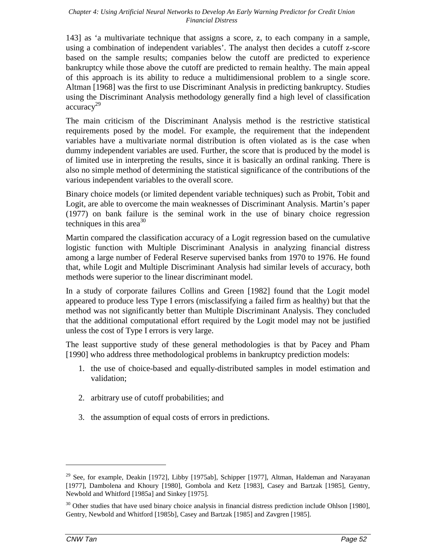143] as 'a multivariate technique that assigns a score, z, to each company in a sample, using a combination of independent variables'. The analyst then decides a cutoff z-score based on the sample results; companies below the cutoff are predicted to experience bankruptcy while those above the cutoff are predicted to remain healthy. The main appeal of this approach is its ability to reduce a multidimensional problem to a single score. Altman [1968] was the first to use Discriminant Analysis in predicting bankruptcy. Studies using the Discriminant Analysis methodology generally find a high level of classification  $\text{accuracy}^{29}$ 

The main criticism of the Discriminant Analysis method is the restrictive statistical requirements posed by the model. For example, the requirement that the independent variables have a multivariate normal distribution is often violated as is the case when dummy independent variables are used. Further, the score that is produced by the model is of limited use in interpreting the results, since it is basically an ordinal ranking. There is also no simple method of determining the statistical significance of the contributions of the various independent variables to the overall score.

Binary choice models (or limited dependent variable techniques) such as Probit, Tobit and Logit, are able to overcome the main weaknesses of Discriminant Analysis. Martin's paper (1977) on bank failure is the seminal work in the use of binary choice regression techniques in this area<sup>30</sup>

Martin compared the classification accuracy of a Logit regression based on the cumulative logistic function with Multiple Discriminant Analysis in analyzing financial distress among a large number of Federal Reserve supervised banks from 1970 to 1976. He found that, while Logit and Multiple Discriminant Analysis had similar levels of accuracy, both methods were superior to the linear discriminant model.

In a study of corporate failures Collins and Green [1982] found that the Logit model appeared to produce less Type I errors (misclassifying a failed firm as healthy) but that the method was not significantly better than Multiple Discriminant Analysis. They concluded that the additional computational effort required by the Logit model may not be justified unless the cost of Type I errors is very large.

The least supportive study of these general methodologies is that by Pacey and Pham [1990] who address three methodological problems in bankruptcy prediction models:

- 1. the use of choice-based and equally-distributed samples in model estimation and validation;
- 2. arbitrary use of cutoff probabilities; and
- 3. the assumption of equal costs of errors in predictions.

<sup>&</sup>lt;sup>29</sup> See, for example, Deakin [1972], Libby [1975ab], Schipper [1977], Altman, Haldeman and Narayanan [1977], Dambolena and Khoury [1980], Gombola and Ketz [1983], Casey and Bartzak [1985], Gentry, Newbold and Whitford [1985a] and Sinkey [1975].

<sup>&</sup>lt;sup>30</sup> Other studies that have used binary choice analysis in financial distress prediction include Ohlson [1980], Gentry, Newbold and Whitford [1985b], Casey and Bartzak [1985] and Zavgren [1985].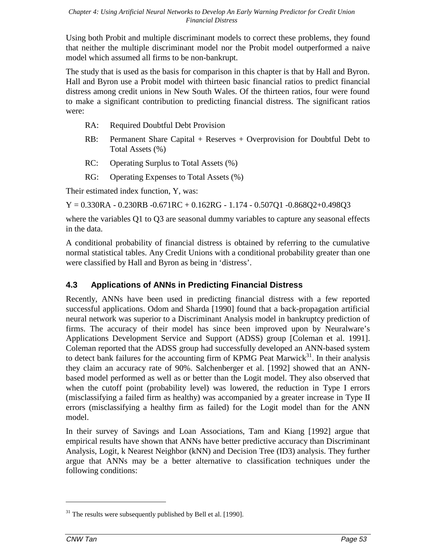Using both Probit and multiple discriminant models to correct these problems, they found that neither the multiple discriminant model nor the Probit model outperformed a naive model which assumed all firms to be non-bankrupt.

The study that is used as the basis for comparison in this chapter is that by Hall and Byron. Hall and Byron use a Probit model with thirteen basic financial ratios to predict financial distress among credit unions in New South Wales. Of the thirteen ratios, four were found to make a significant contribution to predicting financial distress. The significant ratios were:

- RA: Required Doubtful Debt Provision
- RB: Permanent Share Capital + Reserves + Overprovision for Doubtful Debt to Total Assets (%)
- RC: Operating Surplus to Total Assets (%)
- RG: Operating Expenses to Total Assets (%)

Their estimated index function, Y, was:

 $Y = 0.330RA - 0.230RB -0.671RC + 0.162RG - 1.174 - 0.507Q1 -0.868Q2 +0.498Q3$ 

where the variables Q1 to Q3 are seasonal dummy variables to capture any seasonal effects in the data.

A conditional probability of financial distress is obtained by referring to the cumulative normal statistical tables. Any Credit Unions with a conditional probability greater than one were classified by Hall and Byron as being in 'distress'.

# **4.3 Applications of ANNs in Predicting Financial Distress**

Recently, ANNs have been used in predicting financial distress with a few reported successful applications. Odom and Sharda [1990] found that a back-propagation artificial neural network was superior to a Discriminant Analysis model in bankruptcy prediction of firms. The accuracy of their model has since been improved upon by Neuralware's Applications Development Service and Support (ADSS) group [Coleman et al. 1991]. Coleman reported that the ADSS group had successfully developed an ANN-based system to detect bank failures for the accounting firm of KPMG Peat Marwick<sup>31</sup>. In their analysis they claim an accuracy rate of 90%. Salchenberger et al. [1992] showed that an ANNbased model performed as well as or better than the Logit model. They also observed that when the cutoff point (probability level) was lowered, the reduction in Type I errors (misclassifying a failed firm as healthy) was accompanied by a greater increase in Type II errors (misclassifying a healthy firm as failed) for the Logit model than for the ANN model.

In their survey of Savings and Loan Associations, Tam and Kiang [1992] argue that empirical results have shown that ANNs have better predictive accuracy than Discriminant Analysis, Logit, k Nearest Neighbor (kNN) and Decision Tree (ID3) analysis. They further argue that ANNs may be a better alternative to classification techniques under the following conditions:

 $31$  The results were subsequently published by Bell et al. [1990].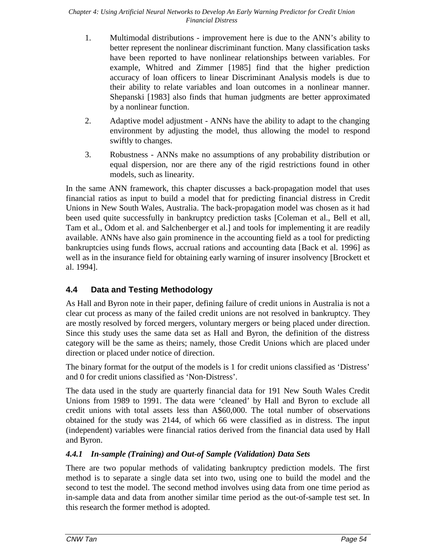- 1. Multimodal distributions improvement here is due to the ANN's ability to better represent the nonlinear discriminant function. Many classification tasks have been reported to have nonlinear relationships between variables. For example, Whitred and Zimmer [1985] find that the higher prediction accuracy of loan officers to linear Discriminant Analysis models is due to their ability to relate variables and loan outcomes in a nonlinear manner. Shepanski [1983] also finds that human judgments are better approximated by a nonlinear function.
- 2. Adaptive model adjustment ANNs have the ability to adapt to the changing environment by adjusting the model, thus allowing the model to respond swiftly to changes.
- 3. Robustness ANNs make no assumptions of any probability distribution or equal dispersion, nor are there any of the rigid restrictions found in other models, such as linearity.

In the same ANN framework, this chapter discusses a back-propagation model that uses financial ratios as input to build a model that for predicting financial distress in Credit Unions in New South Wales, Australia. The back-propagation model was chosen as it had been used quite successfully in bankruptcy prediction tasks [Coleman et al., Bell et all, Tam et al., Odom et al. and Salchenberger et al.] and tools for implementing it are readily available. ANNs have also gain prominence in the accounting field as a tool for predicting bankruptcies using funds flows, accrual rations and accounting data [Back et al. 1996] as well as in the insurance field for obtaining early warning of insurer insolvency [Brockett et al. 1994].

# **4.4 Data and Testing Methodology**

As Hall and Byron note in their paper, defining failure of credit unions in Australia is not a clear cut process as many of the failed credit unions are not resolved in bankruptcy. They are mostly resolved by forced mergers, voluntary mergers or being placed under direction. Since this study uses the same data set as Hall and Byron, the definition of the distress category will be the same as theirs; namely, those Credit Unions which are placed under direction or placed under notice of direction.

The binary format for the output of the models is 1 for credit unions classified as 'Distress' and 0 for credit unions classified as 'Non-Distress'.

The data used in the study are quarterly financial data for 191 New South Wales Credit Unions from 1989 to 1991. The data were 'cleaned' by Hall and Byron to exclude all credit unions with total assets less than A\$60,000. The total number of observations obtained for the study was 2144, of which 66 were classified as in distress. The input (independent) variables were financial ratios derived from the financial data used by Hall and Byron.

# *4.4.1 In-sample (Training) and Out-of Sample (Validation) Data Sets*

There are two popular methods of validating bankruptcy prediction models. The first method is to separate a single data set into two, using one to build the model and the second to test the model. The second method involves using data from one time period as in-sample data and data from another similar time period as the out-of-sample test set. In this research the former method is adopted.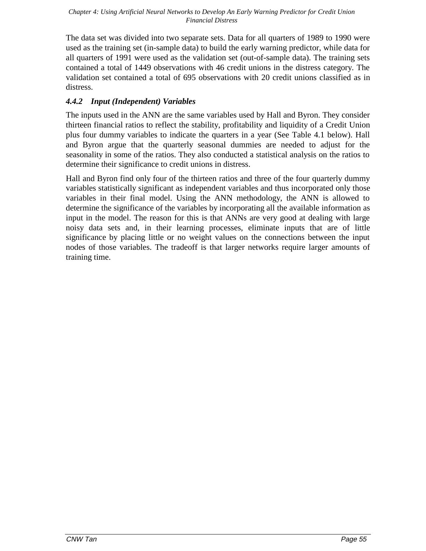The data set was divided into two separate sets. Data for all quarters of 1989 to 1990 were used as the training set (in-sample data) to build the early warning predictor, while data for all quarters of 1991 were used as the validation set (out-of-sample data). The training sets contained a total of 1449 observations with 46 credit unions in the distress category. The validation set contained a total of 695 observations with 20 credit unions classified as in distress.

# *4.4.2 Input (Independent) Variables*

The inputs used in the ANN are the same variables used by Hall and Byron. They consider thirteen financial ratios to reflect the stability, profitability and liquidity of a Credit Union plus four dummy variables to indicate the quarters in a year (See Table 4.1 below). Hall and Byron argue that the quarterly seasonal dummies are needed to adjust for the seasonality in some of the ratios. They also conducted a statistical analysis on the ratios to determine their significance to credit unions in distress.

Hall and Byron find only four of the thirteen ratios and three of the four quarterly dummy variables statistically significant as independent variables and thus incorporated only those variables in their final model. Using the ANN methodology, the ANN is allowed to determine the significance of the variables by incorporating all the available information as input in the model. The reason for this is that ANNs are very good at dealing with large noisy data sets and, in their learning processes, eliminate inputs that are of little significance by placing little or no weight values on the connections between the input nodes of those variables. The tradeoff is that larger networks require larger amounts of training time.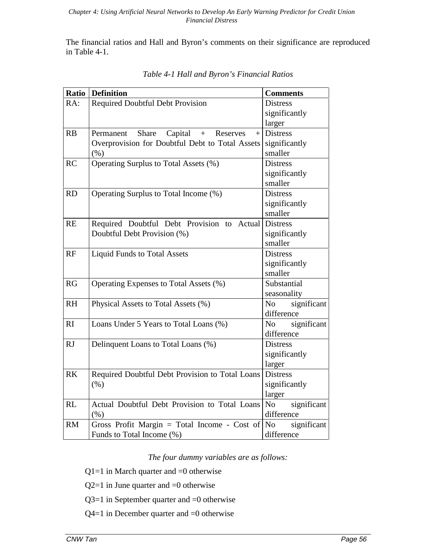The financial ratios and Hall and Byron's comments on their significance are reproduced in Table 4-1.

| Ratio     | <b>Definition</b>                                | <b>Comments</b>               |
|-----------|--------------------------------------------------|-------------------------------|
| RA:       | <b>Required Doubtful Debt Provision</b>          | <b>Distress</b>               |
|           |                                                  | significantly                 |
|           |                                                  | larger                        |
| RB        | Share<br>Capital<br>$+$<br>Reserves<br>Permanent | $+$ Distress                  |
|           | Overprovision for Doubtful Debt to Total Assets  | significantly                 |
|           | (% )                                             | smaller                       |
| <b>RC</b> | Operating Surplus to Total Assets (%)            | <b>Distress</b>               |
|           |                                                  | significantly                 |
|           |                                                  | smaller                       |
| <b>RD</b> | Operating Surplus to Total Income (%)            | <b>Distress</b>               |
|           |                                                  | significantly                 |
|           |                                                  | smaller                       |
| <b>RE</b> | Required Doubtful Debt Provision to Actual       | <b>Distress</b>               |
|           | Doubtful Debt Provision (%)                      | significantly                 |
|           |                                                  | smaller                       |
| RF        | <b>Liquid Funds to Total Assets</b>              | <b>Distress</b>               |
|           |                                                  | significantly                 |
|           |                                                  | smaller                       |
| RG        | Operating Expenses to Total Assets (%)           | Substantial                   |
|           |                                                  | seasonality                   |
| <b>RH</b> | Physical Assets to Total Assets (%)              | significant<br>No No          |
|           |                                                  | difference                    |
| RI        | Loans Under 5 Years to Total Loans (%)           | No No<br>significant          |
|           |                                                  | difference                    |
| <b>RJ</b> | Delinquent Loans to Total Loans (%)              | <b>Distress</b>               |
|           |                                                  | significantly                 |
|           |                                                  | larger                        |
| <b>RK</b> | Required Doubtful Debt Provision to Total Loans  | <b>Distress</b>               |
|           | (% )                                             | significantly                 |
|           |                                                  | larger                        |
| RL        | Actual Doubtful Debt Provision to Total Loans    | significant<br>No             |
|           | $(\% )$                                          | difference                    |
| <b>RM</b> | Gross Profit Margin = Total Income - Cost of     | significant<br>N <sub>o</sub> |
|           | Funds to Total Income (%)                        | difference                    |

*Table 4-1 Hall and Byron's Financial Ratios*

*The four dummy variables are as follows:*

 $Q1=1$  in March quarter and  $=0$  otherwise

 $Q2=1$  in June quarter and  $=0$  otherwise

Q3=1 in September quarter and =0 otherwise

Q4=1 in December quarter and =0 otherwise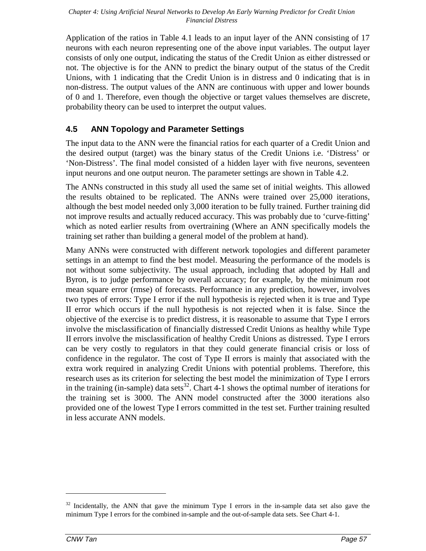Application of the ratios in Table 4.1 leads to an input layer of the ANN consisting of 17 neurons with each neuron representing one of the above input variables. The output layer consists of only one output, indicating the status of the Credit Union as either distressed or not. The objective is for the ANN to predict the binary output of the status of the Credit Unions, with 1 indicating that the Credit Union is in distress and 0 indicating that is in non-distress. The output values of the ANN are continuous with upper and lower bounds of 0 and 1. Therefore, even though the objective or target values themselves are discrete, probability theory can be used to interpret the output values.

# **4.5 ANN Topology and Parameter Settings**

The input data to the ANN were the financial ratios for each quarter of a Credit Union and the desired output (target) was the binary status of the Credit Unions i.e. 'Distress' or 'Non-Distress'. The final model consisted of a hidden layer with five neurons, seventeen input neurons and one output neuron. The parameter settings are shown in Table 4.2.

The ANNs constructed in this study all used the same set of initial weights. This allowed the results obtained to be replicated. The ANNs were trained over 25,000 iterations, although the best model needed only 3,000 iteration to be fully trained. Further training did not improve results and actually reduced accuracy. This was probably due to 'curve-fitting' which as noted earlier results from overtraining (Where an ANN specifically models the training set rather than building a general model of the problem at hand).

Many ANNs were constructed with different network topologies and different parameter settings in an attempt to find the best model. Measuring the performance of the models is not without some subjectivity. The usual approach, including that adopted by Hall and Byron, is to judge performance by overall accuracy; for example, by the minimum root mean square error (rmse) of forecasts. Performance in any prediction, however, involves two types of errors: Type I error if the null hypothesis is rejected when it is true and Type II error which occurs if the null hypothesis is not rejected when it is false. Since the objective of the exercise is to predict distress, it is reasonable to assume that Type I errors involve the misclassification of financially distressed Credit Unions as healthy while Type II errors involve the misclassification of healthy Credit Unions as distressed. Type I errors can be very costly to regulators in that they could generate financial crisis or loss of confidence in the regulator. The cost of Type II errors is mainly that associated with the extra work required in analyzing Credit Unions with potential problems. Therefore, this research uses as its criterion for selecting the best model the minimization of Type I errors in the training (in-sample) data sets<sup>32</sup>. Chart 4-1 shows the optimal number of iterations for the training set is 3000. The ANN model constructed after the 3000 iterations also provided one of the lowest Type I errors committed in the test set. Further training resulted in less accurate ANN models.

 $32$  Incidentally, the ANN that gave the minimum Type I errors in the in-sample data set also gave the minimum Type I errors for the combined in-sample and the out-of-sample data sets. See Chart 4-1.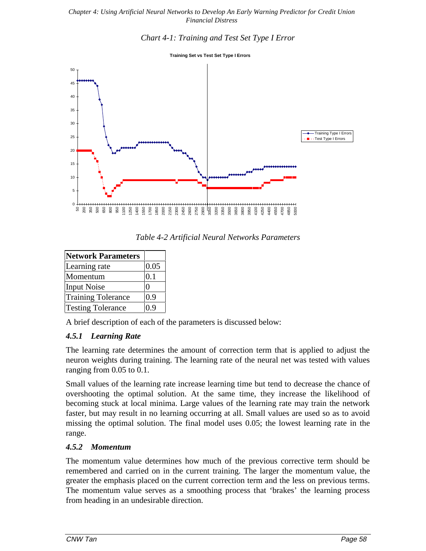### *Chart 4-1: Training and Test Set Type I Error*

**Training Set vs Test Set Type I Errors**



*Table 4-2 Artificial Neural Networks Parameters*

| <b>Network Parameters</b> |         |
|---------------------------|---------|
| Learning rate             | 0.05    |
| Momentum                  | $0.1\,$ |
| <b>Input Noise</b>        |         |
| <b>Training Tolerance</b> | 0.9     |
| <b>Testing Tolerance</b>  | 0.9     |

A brief description of each of the parameters is discussed below:

# *4.5.1 Learning Rate*

The learning rate determines the amount of correction term that is applied to adjust the neuron weights during training. The learning rate of the neural net was tested with values ranging from 0.05 to 0.1.

Small values of the learning rate increase learning time but tend to decrease the chance of overshooting the optimal solution. At the same time, they increase the likelihood of becoming stuck at local minima. Large values of the learning rate may train the network faster, but may result in no learning occurring at all. Small values are used so as to avoid missing the optimal solution. The final model uses 0.05; the lowest learning rate in the range.

### *4.5.2 Momentum*

The momentum value determines how much of the previous corrective term should be remembered and carried on in the current training. The larger the momentum value, the greater the emphasis placed on the current correction term and the less on previous terms. The momentum value serves as a smoothing process that 'brakes' the learning process from heading in an undesirable direction.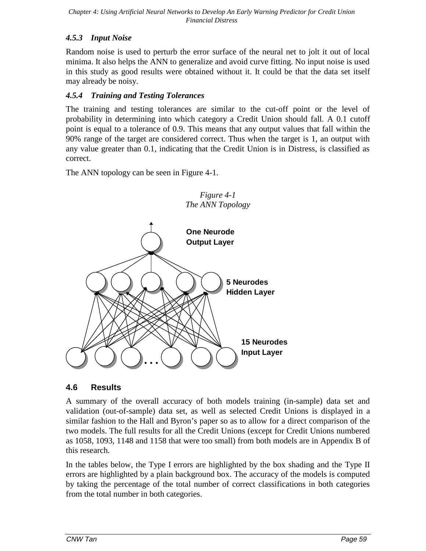# *4.5.3 Input Noise*

Random noise is used to perturb the error surface of the neural net to jolt it out of local minima. It also helps the ANN to generalize and avoid curve fitting. No input noise is used in this study as good results were obtained without it. It could be that the data set itself may already be noisy.

# *4.5.4 Training and Testing Tolerances*

The training and testing tolerances are similar to the cut-off point or the level of probability in determining into which category a Credit Union should fall. A 0.1 cutoff point is equal to a tolerance of 0.9. This means that any output values that fall within the 90% range of the target are considered correct. Thus when the target is 1, an output with any value greater than 0.1, indicating that the Credit Union is in Distress, is classified as correct.

The ANN topology can be seen in Figure 4-1.



*Figure 4-1*

# **4.6 Results**

A summary of the overall accuracy of both models training (in-sample) data set and validation (out-of-sample) data set, as well as selected Credit Unions is displayed in a similar fashion to the Hall and Byron's paper so as to allow for a direct comparison of the two models. The full results for all the Credit Unions (except for Credit Unions numbered as 1058, 1093, 1148 and 1158 that were too small) from both models are in Appendix B of this research.

In the tables below, the Type I errors are highlighted by the box shading and the Type II errors are highlighted by a plain background box. The accuracy of the models is computed by taking the percentage of the total number of correct classifications in both categories from the total number in both categories.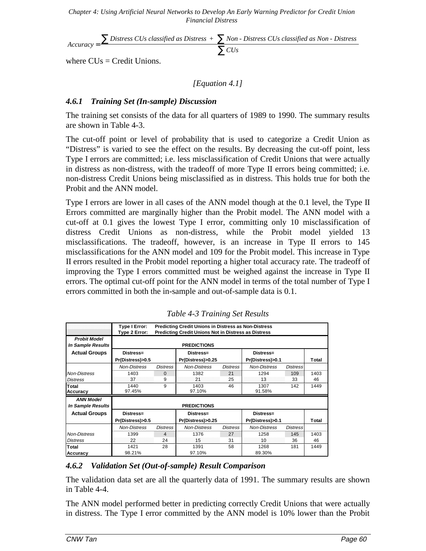$$
Accuracy = \frac{\sum \text{Distress } CUs \text{ classified as Distress } + \sum \text{Non - Distress } CUs \text{ classified as Non - Distress }}{\sum \text{CUs }}
$$

where  $CUs = Credit Unions$ .

### *[Equation 4.1]*

### *4.6.1 Training Set (In-sample) Discussion*

The training set consists of the data for all quarters of 1989 to 1990. The summary results are shown in Table 4-3.

The cut-off point or level of probability that is used to categorize a Credit Union as "Distress" is varied to see the effect on the results. By decreasing the cut-off point, less Type I errors are committed; i.e. less misclassification of Credit Unions that were actually in distress as non-distress, with the tradeoff of more Type II errors being committed; i.e. non-distress Credit Unions being misclassified as in distress. This holds true for both the Probit and the ANN model.

Type I errors are lower in all cases of the ANN model though at the 0.1 level, the Type II Errors committed are marginally higher than the Probit model. The ANN model with a cut-off at 0.1 gives the lowest Type I error, committing only 10 misclassification of distress Credit Unions as non-distress, while the Probit model yielded 13 misclassifications. The tradeoff, however, is an increase in Type II errors to 145 misclassifications for the ANN model and 109 for the Probit model. This increase in Type II errors resulted in the Probit model reporting a higher total accuracy rate. The tradeoff of improving the Type I errors committed must be weighed against the increase in Type II errors. The optimal cut-off point for the ANN model in terms of the total number of Type I errors committed in both the in-sample and out-of-sample data is 0.1.

|                                          | Type I Error:                       | <b>Predicting Credit Unions in Distress as Non-Distress</b><br>Type 2 Error:<br><b>Predicting Credit Unions Not in Distress as Distress</b> |                     |                 |                     |                 |       |  |  |  |
|------------------------------------------|-------------------------------------|---------------------------------------------------------------------------------------------------------------------------------------------|---------------------|-----------------|---------------------|-----------------|-------|--|--|--|
| <b>Probit Model</b><br>In Sample Results |                                     |                                                                                                                                             | <b>PREDICTIONS</b>  |                 |                     |                 |       |  |  |  |
| <b>Actual Groups</b>                     | Distress=<br>Distress=<br>Distress= |                                                                                                                                             |                     |                 |                     |                 |       |  |  |  |
|                                          | Pr(Distress)>0.5                    |                                                                                                                                             | Pr(Distress)>0.25   |                 | Pr(Distress)>0.1    |                 | Total |  |  |  |
|                                          | <b>Non-Distress</b>                 | <b>Distress</b>                                                                                                                             | <b>Non-Distress</b> | <b>Distress</b> | <b>Non-Distress</b> | <b>Distress</b> |       |  |  |  |
| <b>Non-Distress</b>                      | 1403                                | $\Omega$                                                                                                                                    | 1382                | 21              | 1294                | 109             | 1403  |  |  |  |
| <b>Distress</b>                          | 37                                  | 9                                                                                                                                           | 21                  | 25              | 13                  | 33              | 46    |  |  |  |
| Total<br>Accuracy                        | 1440<br>97.45%                      | 9                                                                                                                                           | 1403<br>97.10%      | 46              | 1307<br>91.58%      | 142             | 1449  |  |  |  |
| <b>ANN Model</b><br>In Sample Results    |                                     |                                                                                                                                             | <b>PREDICTIONS</b>  |                 |                     |                 |       |  |  |  |
| <b>Actual Groups</b>                     | Distress=                           |                                                                                                                                             | Distress=           |                 | Distress=           |                 |       |  |  |  |
|                                          | Pr(Distress)>0.5                    |                                                                                                                                             | Pr(Distress)>0.25   |                 | Pr(Distress)>0.1    |                 | Total |  |  |  |
|                                          | <b>Non-Distress</b>                 | <b>Distress</b>                                                                                                                             | <b>Non-Distress</b> | <b>Distress</b> | <b>Non-Distress</b> | <b>Distress</b> |       |  |  |  |
| <b>Non-Distress</b>                      | 1399                                | $\overline{4}$                                                                                                                              | 1376                | 27              | 1258                | 145             | 1403  |  |  |  |
| <b>Distress</b>                          | 22                                  | 24                                                                                                                                          | 15                  | 31              | 10                  | 36              | 46    |  |  |  |
| <b>Total</b>                             | 1421                                | 28                                                                                                                                          | 1391                | 58              | 1268                | 181             | 1449  |  |  |  |
| Accuracy                                 | 98.21%                              |                                                                                                                                             | 97.10%              |                 | 89.30%              |                 |       |  |  |  |

*Table 4-3 Training Set Results*

### *4.6.2 Validation Set (Out-of-sample) Result Comparison*

The validation data set are all the quarterly data of 1991. The summary results are shown in Table 4-4.

The ANN model performed better in predicting correctly Credit Unions that were actually in distress. The Type I error committed by the ANN model is 10% lower than the Probit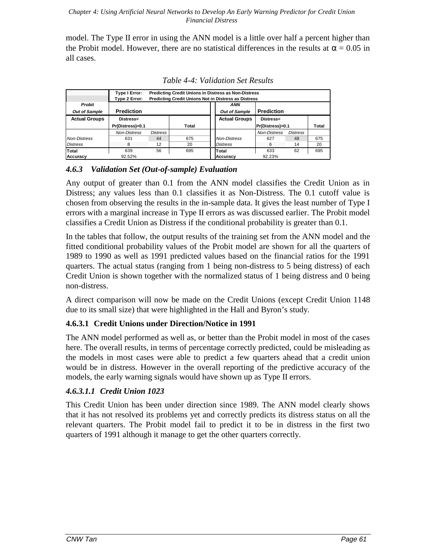model. The Type II error in using the ANN model is a little over half a percent higher than the Probit model. However, there are no statistical differences in the results at  $\alpha = 0.05$  in all cases.

|                      | Type I Error:<br>Type 2 Error: | <b>Predicting Credit Unions in Distress as Non-Distress</b><br><b>Predicting Credit Unions Not in Distress as Distress</b> |       |  |                      |                     |                 |       |  |  |
|----------------------|--------------------------------|----------------------------------------------------------------------------------------------------------------------------|-------|--|----------------------|---------------------|-----------------|-------|--|--|
| <b>Probit</b>        |                                |                                                                                                                            |       |  | ANN                  |                     |                 |       |  |  |
| Out of Sample        | <b>Prediction</b>              |                                                                                                                            |       |  | Out of Sample        | <b>Prediction</b>   |                 |       |  |  |
| <b>Actual Groups</b> | Distress=                      |                                                                                                                            |       |  | <b>Actual Groups</b> | Distress=           |                 |       |  |  |
|                      | Pr(Distress)>0.1               |                                                                                                                            | Total |  |                      | Pr(Distress)>0.1    |                 | Total |  |  |
|                      | <b>Non-Distress</b>            | <b>Distress</b>                                                                                                            |       |  |                      | <b>Non-Distress</b> | <b>Distress</b> |       |  |  |
| <b>Non-Distress</b>  | 631                            | 44                                                                                                                         | 675   |  | <b>Non-Distress</b>  | 627                 | 48              | 675   |  |  |
| <b>Distress</b>      |                                | 12                                                                                                                         | 20    |  | <b>Distress</b>      | 6                   | 14              | 20    |  |  |
| Total                | 639                            | 56                                                                                                                         | 695   |  | Total                | 633                 | 62              | 695   |  |  |
| Accuracy             | 92.52%                         |                                                                                                                            |       |  | Accuracy             | 92.23%              |                 |       |  |  |

*Table 4-4: Validation Set Results*

# *4.6.3 Validation Set (Out-of-sample) Evaluation*

Any output of greater than 0.1 from the ANN model classifies the Credit Union as in Distress; any values less than 0.1 classifies it as Non-Distress. The 0.1 cutoff value is chosen from observing the results in the in-sample data. It gives the least number of Type I errors with a marginal increase in Type II errors as was discussed earlier. The Probit model classifies a Credit Union as Distress if the conditional probability is greater than 0.1.

In the tables that follow, the output results of the training set from the ANN model and the fitted conditional probability values of the Probit model are shown for all the quarters of 1989 to 1990 as well as 1991 predicted values based on the financial ratios for the 1991 quarters. The actual status (ranging from 1 being non-distress to 5 being distress) of each Credit Union is shown together with the normalized status of 1 being distress and 0 being non-distress.

A direct comparison will now be made on the Credit Unions (except Credit Union 1148 due to its small size) that were highlighted in the Hall and Byron's study.

# **4.6.3.1 Credit Unions under Direction/Notice in 1991**

The ANN model performed as well as, or better than the Probit model in most of the cases here. The overall results, in terms of percentage correctly predicted, could be misleading as the models in most cases were able to predict a few quarters ahead that a credit union would be in distress. However in the overall reporting of the predictive accuracy of the models, the early warning signals would have shown up as Type II errors.

# *4.6.3.1.1 Credit Union 1023*

This Credit Union has been under direction since 1989. The ANN model clearly shows that it has not resolved its problems yet and correctly predicts its distress status on all the relevant quarters. The Probit model fail to predict it to be in distress in the first two quarters of 1991 although it manage to get the other quarters correctly.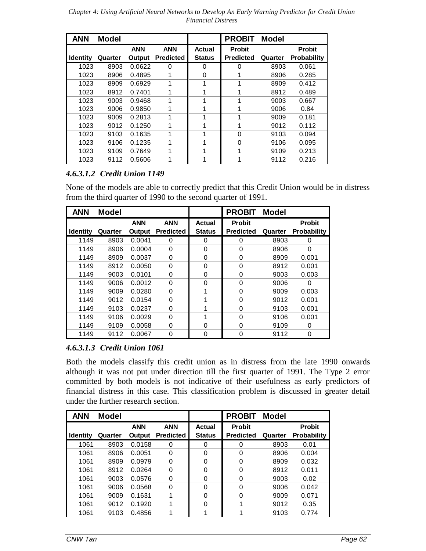*Chapter 4: Using Artificial Neural Networks to Develop An Early Warning Predictor for Credit Union Financial Distress*

| <b>ANN</b>      | Model   |            |                  |               | <b>PROBIT</b>    | <b>Model</b> |                    |
|-----------------|---------|------------|------------------|---------------|------------------|--------------|--------------------|
|                 |         | <b>ANN</b> | <b>ANN</b>       | Actual        | <b>Probit</b>    |              | <b>Probit</b>      |
| <b>Identity</b> | Quarter | Output     | <b>Predicted</b> | <b>Status</b> | <b>Predicted</b> | Quarter      | <b>Probability</b> |
| 1023            | 8903    | 0.0622     | $\Omega$         | 0             | 0                | 8903         | 0.061              |
| 1023            | 8906    | 0.4895     |                  | 0             |                  | 8906         | 0.285              |
| 1023            | 8909    | 0.6929     | 1                | 1             | 1                | 8909         | 0.412              |
| 1023            | 8912    | 0.7401     |                  |               |                  | 8912         | 0.489              |
| 1023            | 9003    | 0.9468     | 1                | 1             | 1                | 9003         | 0.667              |
| 1023            | 9006    | 0.9850     |                  |               |                  | 9006         | 0.84               |
| 1023            | 9009    | 0.2813     | 1                |               |                  | 9009         | 0.181              |
| 1023            | 9012    | 0.1250     |                  |               |                  | 9012         | 0.112              |
| 1023            | 9103    | 0.1635     | 1                | 1             | $\Omega$         | 9103         | 0.094              |
| 1023            | 9106    | 0.1235     |                  |               | 0                | 9106         | 0.095              |
| 1023            | 9109    | 0.7649     | 1                | 1             | 1                | 9109         | 0.213              |
| 1023            | 9112    | 0.5606     |                  |               |                  | 9112         | 0.216              |

# *4.6.3.1.2 Credit Union 1149*

None of the models are able to correctly predict that this Credit Union would be in distress from the third quarter of 1990 to the second quarter of 1991.

| <b>ANN</b>      | <b>Model</b> |            |                  |               | <b>PROBIT</b>    | <b>Model</b> |                    |
|-----------------|--------------|------------|------------------|---------------|------------------|--------------|--------------------|
|                 |              | <b>ANN</b> | <b>ANN</b>       | Actual        | <b>Probit</b>    |              | <b>Probit</b>      |
| <b>Identity</b> | Quarter      | Output     | <b>Predicted</b> | <b>Status</b> | <b>Predicted</b> | Quarter      | <b>Probability</b> |
| 1149            | 8903         | 0.0041     | 0                | 0             | 0                | 8903         | 0                  |
| 1149            | 8906         | 0.0004     | 0                | $\Omega$      | 0                | 8906         | $\Omega$           |
| 1149            | 8909         | 0.0037     | 0                | 0             | 0                | 8909         | 0.001              |
| 1149            | 8912         | 0.0050     | 0                | $\Omega$      | $\Omega$         | 8912         | 0.001              |
| 1149            | 9003         | 0.0101     | 0                | 0             | 0                | 9003         | 0.003              |
| 1149            | 9006         | 0.0012     | 0                | 0             | 0                | 9006         | 0                  |
| 1149            | 9009         | 0.0280     | 0                |               | 0                | 9009         | 0.003              |
| 1149            | 9012         | 0.0154     | 0                | 4             | $\Omega$         | 9012         | 0.001              |
| 1149            | 9103         | 0.0237     | 0                |               | 0                | 9103         | 0.001              |
| 1149            | 9106         | 0.0029     | 0                | 1             | $\Omega$         | 9106         | 0.001              |
| 1149            | 9109         | 0.0058     | 0                | 0             | 0                | 9109         | 0                  |
| 1149            | 9112         | 0.0067     | 0                | 0             | 0                | 9112         | 0                  |

# *4.6.3.1.3 Credit Union 1061*

Both the models classify this credit union as in distress from the late 1990 onwards although it was not put under direction till the first quarter of 1991. The Type 2 error committed by both models is not indicative of their usefulness as early predictors of financial distress in this case. This classification problem is discussed in greater detail under the further research section.

| <b>ANN</b>      | <b>Model</b> |            |                  |               | <b>PROBIT</b>    | <b>Model</b> |                    |
|-----------------|--------------|------------|------------------|---------------|------------------|--------------|--------------------|
|                 |              | <b>ANN</b> | <b>ANN</b>       | Actual        | <b>Probit</b>    |              | <b>Probit</b>      |
| <b>Identity</b> | Quarter      | Output     | <b>Predicted</b> | <b>Status</b> | <b>Predicted</b> | Quarter      | <b>Probability</b> |
| 1061            | 8903         | 0.0158     | 0                | 0             | 0                | 8903         | 0.01               |
| 1061            | 8906         | 0.0051     | 0                | $\Omega$      | $\Omega$         | 8906         | 0.004              |
| 1061            | 8909         | 0.0979     | 0                | 0             | 0                | 8909         | 0.032              |
| 1061            | 8912         | 0.0264     | 0                | $\Omega$      | $\Omega$         | 8912         | 0.011              |
| 1061            | 9003         | 0.0576     | 0                | 0             | 0                | 9003         | 0.02               |
| 1061            | 9006         | 0.0568     | 0                | $\Omega$      | $\Omega$         | 9006         | 0.042              |
| 1061            | 9009         | 0.1631     |                  | 0             | 0                | 9009         | 0.071              |
| 1061            | 9012         | 0.1920     | 1                | $\Omega$      |                  | 9012         | 0.35               |
| 1061            | 9103         | 0.4856     |                  |               |                  | 9103         | 0.774              |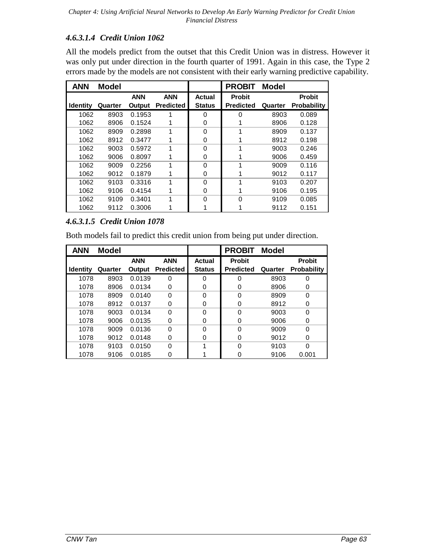# *4.6.3.1.4 Credit Union 1062*

All the models predict from the outset that this Credit Union was in distress. However it was only put under direction in the fourth quarter of 1991. Again in this case, the Type 2 errors made by the models are not consistent with their early warning predictive capability.

| <b>ANN</b>      | <b>Model</b> |            |                  |               | <b>PROBIT</b>    | <b>Model</b> |                    |
|-----------------|--------------|------------|------------------|---------------|------------------|--------------|--------------------|
|                 |              | <b>ANN</b> | <b>ANN</b>       | <b>Actual</b> | <b>Probit</b>    |              | <b>Probit</b>      |
| <b>Identity</b> | Quarter      | Output     | <b>Predicted</b> | <b>Status</b> | <b>Predicted</b> | Quarter      | <b>Probability</b> |
| 1062            | 8903         | 0.1953     |                  | 0             | 0                | 8903         | 0.089              |
| 1062            | 8906         | 0.1524     |                  | 0             |                  | 8906         | 0.128              |
| 1062            | 8909         | 0.2898     | 1                | $\Omega$      |                  | 8909         | 0.137              |
| 1062            | 8912         | 0.3477     |                  | 0             |                  | 8912         | 0.198              |
| 1062            | 9003         | 0.5972     | 1                | $\Omega$      |                  | 9003         | 0.246              |
| 1062            | 9006         | 0.8097     |                  | 0             |                  | 9006         | 0.459              |
| 1062            | 9009         | 0.2256     | 1                | $\Omega$      |                  | 9009         | 0.116              |
| 1062            | 9012         | 0.1879     |                  | 0             |                  | 9012         | 0.117              |
| 1062            | 9103         | 0.3316     | 1                | 0             |                  | 9103         | 0.207              |
| 1062            | 9106         | 0.4154     |                  | 0             |                  | 9106         | 0.195              |
| 1062            | 9109         | 0.3401     | 1                | $\Omega$      | $\Omega$         | 9109         | 0.085              |
| 1062            | 9112         | 0.3006     |                  |               |                  | 9112         | 0.151              |

# *4.6.3.1.5 Credit Union 1078*

Both models fail to predict this credit union from being put under direction.

| <b>ANN</b>      | <b>Model</b> |            |                  |               | <b>PROBIT</b>    | Model   |                    |
|-----------------|--------------|------------|------------------|---------------|------------------|---------|--------------------|
|                 |              | <b>ANN</b> | <b>ANN</b>       | <b>Actual</b> | <b>Probit</b>    |         | <b>Probit</b>      |
| <b>Identity</b> | Quarter      | Output     | <b>Predicted</b> | <b>Status</b> | <b>Predicted</b> | Quarter | <b>Probability</b> |
| 1078            | 8903         | 0.0139     | $\Omega$         | 0             | 0                | 8903    | ი                  |
| 1078            | 8906         | 0.0134     | 0                | 0             | 0                | 8906    | 0                  |
| 1078            | 8909         | 0.0140     | 0                | 0             | 0                | 8909    | 0                  |
| 1078            | 8912         | 0.0137     | 0                | 0             | 0                | 8912    | 0                  |
| 1078            | 9003         | 0.0134     | $\Omega$         | 0             | $\Omega$         | 9003    | ი                  |
| 1078            | 9006         | 0.0135     | 0                | 0             | 0                | 9006    | 0                  |
| 1078            | 9009         | 0.0136     | $\Omega$         | 0             | $\Omega$         | 9009    | ი                  |
| 1078            | 9012         | 0.0148     | $\Omega$         | 0             | 0                | 9012    | 0                  |
| 1078            | 9103         | 0.0150     | $\Omega$         |               | $\Omega$         | 9103    | ი                  |
| 1078            | 9106         | 0.0185     | O                |               | 0                | 9106    | 0.001              |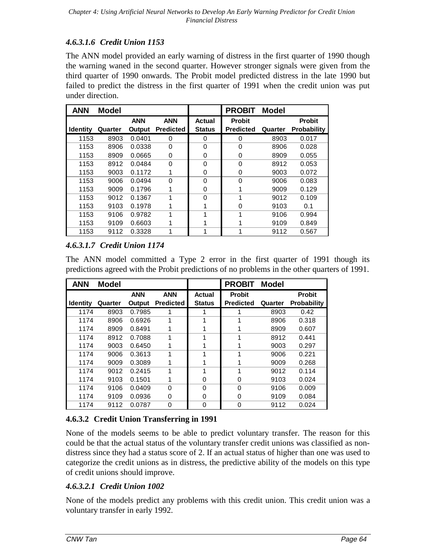# *4.6.3.1.6 Credit Union 1153*

The ANN model provided an early warning of distress in the first quarter of 1990 though the warning waned in the second quarter. However stronger signals were given from the third quarter of 1990 onwards. The Probit model predicted distress in the late 1990 but failed to predict the distress in the first quarter of 1991 when the credit union was put under direction.

| <b>ANN</b>      | <b>Model</b> |            |                  |               | <b>PROBIT</b>    | <b>Model</b> |                    |
|-----------------|--------------|------------|------------------|---------------|------------------|--------------|--------------------|
|                 |              | <b>ANN</b> | <b>ANN</b>       | <b>Actual</b> | <b>Probit</b>    |              | <b>Probit</b>      |
| <b>Identity</b> | Quarter      | Output     | <b>Predicted</b> | <b>Status</b> | <b>Predicted</b> | Quarter      | <b>Probability</b> |
| 1153            | 8903         | 0.0401     | 0                | 0             | 0                | 8903         | 0.017              |
| 1153            | 8906         | 0.0338     | $\Omega$         | $\Omega$      | 0                | 8906         | 0.028              |
| 1153            | 8909         | 0.0665     | 0                | 0             | 0                | 8909         | 0.055              |
| 1153            | 8912         | 0.0484     | $\Omega$         | $\Omega$      | 0                | 8912         | 0.053              |
| 1153            | 9003         | 0.1172     | 1                | 0             | 0                | 9003         | 0.072              |
| 1153            | 9006         | 0.0494     | 0                | $\Omega$      | $\Omega$         | 9006         | 0.083              |
| 1153            | 9009         | 0.1796     |                  | 0             |                  | 9009         | 0.129              |
| 1153            | 9012         | 0.1367     | 1                | $\Omega$      | 1                | 9012         | 0.109              |
| 1153            | 9103         | 0.1978     |                  |               | 0                | 9103         | 0.1                |
| 1153            | 9106         | 0.9782     | 1                | 1             | 1                | 9106         | 0.994              |
| 1153            | 9109         | 0.6603     |                  |               |                  | 9109         | 0.849              |
| 1153            | 9112         | 0.3328     | 1                | 1             | 1                | 9112         | 0.567              |

# *4.6.3.1.7 Credit Union 1174*

The ANN model committed a Type 2 error in the first quarter of 1991 though its predictions agreed with the Probit predictions of no problems in the other quarters of 1991.

| <b>ANN</b>      | <b>Model</b> |            |                  |               | <b>PROBIT</b>    | <b>Model</b> |                    |
|-----------------|--------------|------------|------------------|---------------|------------------|--------------|--------------------|
|                 |              | <b>ANN</b> | <b>ANN</b>       | Actual        | <b>Probit</b>    |              | Probit             |
| <b>Identity</b> | Quarter      | Output     | <b>Predicted</b> | <b>Status</b> | <b>Predicted</b> | Quarter      | <b>Probability</b> |
| 1174            | 8903         | 0.7985     |                  |               |                  | 8903         | 0.42               |
| 1174            | 8906         | 0.6926     | 1                | 1             |                  | 8906         | 0.318              |
| 1174            | 8909         | 0.8491     |                  |               |                  | 8909         | 0.607              |
| 1174            | 8912         | 0.7088     | 1                | 1             |                  | 8912         | 0.441              |
| 1174            | 9003         | 0.6450     |                  | 1             |                  | 9003         | 0.297              |
| 1174            | 9006         | 0.3613     | 1                | 1             |                  | 9006         | 0.221              |
| 1174            | 9009         | 0.3089     |                  |               |                  | 9009         | 0.268              |
| 1174            | 9012         | 0.2415     | 1                | 1             |                  | 9012         | 0.114              |
| 1174            | 9103         | 0.1501     |                  | 0             | 0                | 9103         | 0.024              |
| 1174            | 9106         | 0.0409     | $\Omega$         | $\Omega$      | $\Omega$         | 9106         | 0.009              |
| 1174            | 9109         | 0.0936     | 0                | 0             | 0                | 9109         | 0.084              |
| 1174            | 9112         | 0.0787     | 0                | 0             | 0                | 9112         | 0.024              |

# **4.6.3.2 Credit Union Transferring in 1991**

None of the models seems to be able to predict voluntary transfer. The reason for this could be that the actual status of the voluntary transfer credit unions was classified as nondistress since they had a status score of 2. If an actual status of higher than one was used to categorize the credit unions as in distress, the predictive ability of the models on this type of credit unions should improve.

# *4.6.3.2.1 Credit Union 1002*

None of the models predict any problems with this credit union. This credit union was a voluntary transfer in early 1992.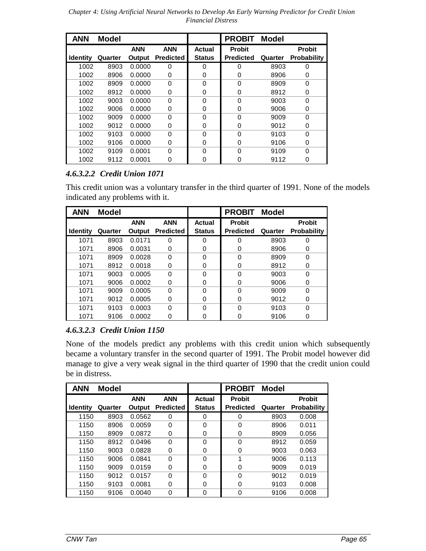*Chapter 4: Using Artificial Neural Networks to Develop An Early Warning Predictor for Credit Union Financial Distress*

| <b>ANN</b>      | <b>Model</b> |            |                  |               | <b>PROBIT</b>    | <b>Model</b> |                    |
|-----------------|--------------|------------|------------------|---------------|------------------|--------------|--------------------|
|                 |              | <b>ANN</b> | <b>ANN</b>       | Actual        | <b>Probit</b>    |              | <b>Probit</b>      |
| <b>Identity</b> | Quarter      | Output     | <b>Predicted</b> | <b>Status</b> | <b>Predicted</b> | Quarter      | <b>Probability</b> |
| 1002            | 8903         | 0.0000     | 0                | 0             | 0                | 8903         | 0                  |
| 1002            | 8906         | 0.0000     | $\Omega$         | 0             | 0                | 8906         | 0                  |
| 1002            | 8909         | 0.0000     | $\Omega$         | $\Omega$      | $\Omega$         | 8909         | $\Omega$           |
| 1002            | 8912         | 0.0000     | 0                | 0             | 0                | 8912         | 0                  |
| 1002            | 9003         | 0.0000     | $\Omega$         | $\Omega$      | $\Omega$         | 9003         | $\Omega$           |
| 1002            | 9006         | 0.0000     | $\Omega$         | 0             | 0                | 9006         | 0                  |
| 1002            | 9009         | 0.0000     | $\Omega$         | $\Omega$      | $\Omega$         | 9009         | $\Omega$           |
| 1002            | 9012         | 0.0000     | $\Omega$         | 0             | 0                | 9012         | 0                  |
| 1002            | 9103         | 0.0000     | $\Omega$         | $\Omega$      | $\Omega$         | 9103         | $\Omega$           |
| 1002            | 9106         | 0.0000     | $\Omega$         | 0             | 0                | 9106         | 0                  |
| 1002            | 9109         | 0.0001     | $\Omega$         | $\Omega$      | $\Omega$         | 9109         | $\Omega$           |
| 1002            | 9112         | 0.0001     | 0                | 0             | 0                | 9112         | 0                  |

# *4.6.3.2.2 Credit Union 1071*

This credit union was a voluntary transfer in the third quarter of 1991. None of the models indicated any problems with it.

| <b>ANN</b>      | <b>Model</b> |            |                  |               | <b>PROBIT</b>    | <b>Model</b> |                    |
|-----------------|--------------|------------|------------------|---------------|------------------|--------------|--------------------|
|                 |              | <b>ANN</b> | <b>ANN</b>       | Actual        | <b>Probit</b>    |              | <b>Probit</b>      |
| <b>Identity</b> | Quarter      | Output     | <b>Predicted</b> | <b>Status</b> | <b>Predicted</b> | Quarter      | <b>Probability</b> |
| 1071            | 8903         | 0.0171     | 0                | 0             | 0                | 8903         | U                  |
| 1071            | 8906         | 0.0031     | 0                | 0             | 0                | 8906         | O                  |
| 1071            | 8909         | 0.0028     | 0                | 0             | 0                | 8909         | 0                  |
| 1071            | 8912         | 0.0018     | 0                | 0             | 0                | 8912         | O                  |
| 1071            | 9003         | 0.0005     | $\Omega$         | 0             | $\Omega$         | 9003         | U                  |
| 1071            | 9006         | 0.0002     | 0                | 0             | 0                | 9006         | O                  |
| 1071            | 9009         | 0.0005     | $\Omega$         | 0             | $\Omega$         | 9009         |                    |
| 1071            | 9012         | 0.0005     | 0                | 0             | 0                | 9012         | 0                  |
| 1071            | 9103         | 0.0003     | $\Omega$         | $\Omega$      | $\Omega$         | 9103         | ი                  |
| 1071            | 9106         | 0.0002     | O                | 0             |                  | 9106         |                    |

# *4.6.3.2.3 Credit Union 1150*

None of the models predict any problems with this credit union which subsequently became a voluntary transfer in the second quarter of 1991. The Probit model however did manage to give a very weak signal in the third quarter of 1990 that the credit union could be in distress.

| <b>ANN</b>      | <b>Model</b> |            |                  |               | <b>PROBIT</b>    | <b>Model</b> |                    |
|-----------------|--------------|------------|------------------|---------------|------------------|--------------|--------------------|
|                 |              | <b>ANN</b> | <b>ANN</b>       | Actual        | <b>Probit</b>    |              | <b>Probit</b>      |
| <b>Identity</b> | Quarter      | Output     | <b>Predicted</b> | <b>Status</b> | <b>Predicted</b> | Quarter      | <b>Probability</b> |
| 1150            | 8903         | 0.0562     | 0                | $\Omega$      | 0                | 8903         | 0.008              |
| 1150            | 8906         | 0.0059     | $\Omega$         | $\Omega$      | 0                | 8906         | 0.011              |
| 1150            | 8909         | 0.0872     | 0                | 0             | 0                | 8909         | 0.056              |
| 1150            | 8912         | 0.0496     | $\Omega$         | $\Omega$      | 0                | 8912         | 0.059              |
| 1150            | 9003         | 0.0828     | 0                | 0             | 0                | 9003         | 0.063              |
| 1150            | 9006         | 0.0841     | $\Omega$         | $\Omega$      | 4                | 9006         | 0.113              |
| 1150            | 9009         | 0.0159     | 0                | 0             | 0                | 9009         | 0.019              |
| 1150            | 9012         | 0.0157     | $\Omega$         | $\Omega$      | 0                | 9012         | 0.019              |
| 1150            | 9103         | 0.0081     | 0                | $\Omega$      | 0                | 9103         | 0.008              |
| 1150            | 9106         | 0.0040     | 0                | $\Omega$      | 0                | 9106         | 0.008              |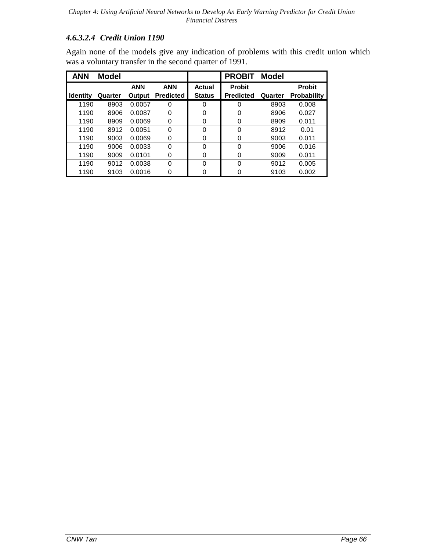# *4.6.3.2.4 Credit Union 1190*

Again none of the models give any indication of problems with this credit union which was a voluntary transfer in the second quarter of 1991.

| <b>ANN</b>      | <b>Model</b> |            |                  |               | <b>PROBIT</b>    | <b>Model</b> |                    |
|-----------------|--------------|------------|------------------|---------------|------------------|--------------|--------------------|
|                 |              | <b>ANN</b> | <b>ANN</b>       | Actual        | <b>Probit</b>    |              | <b>Probit</b>      |
| <b>Identity</b> | Quarter      | Output     | <b>Predicted</b> | <b>Status</b> | <b>Predicted</b> | Quarter      | <b>Probability</b> |
| 1190            | 8903         | 0.0057     | $\Omega$         | 0             | 0                | 8903         | 0.008              |
| 1190            | 8906         | 0.0087     | $\Omega$         | $\Omega$      | $\Omega$         | 8906         | 0.027              |
| 1190            | 8909         | 0.0069     | $\Omega$         | 0             | 0                | 8909         | 0.011              |
| 1190            | 8912         | 0.0051     | $\Omega$         | $\Omega$      | $\Omega$         | 8912         | 0.01               |
| 1190            | 9003         | 0.0069     | $\Omega$         | 0             | 0                | 9003         | 0.011              |
| 1190            | 9006         | 0.0033     | $\Omega$         | $\Omega$      | $\Omega$         | 9006         | 0.016              |
| 1190            | 9009         | 0.0101     | 0                | 0             | 0                | 9009         | 0.011              |
| 1190            | 9012         | 0.0038     | $\Omega$         | $\Omega$      | $\Omega$         | 9012         | 0.005              |
| 1190            | 9103         | 0.0016     | 0                | 0             |                  | 9103         | 0.002              |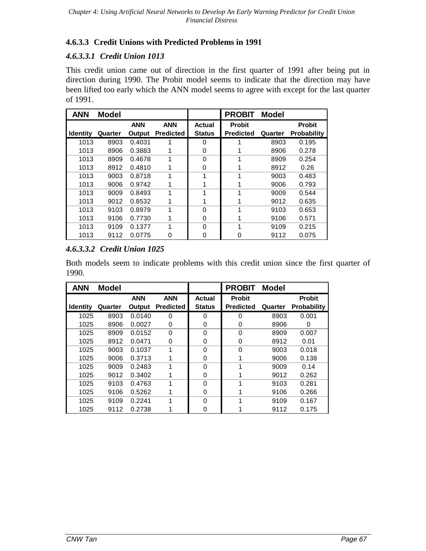# **4.6.3.3 Credit Unions with Predicted Problems in 1991**

# *4.6.3.3.1 Credit Union 1013*

This credit union came out of direction in the first quarter of 1991 after being put in direction during 1990. The Probit model seems to indicate that the direction may have been lifted too early which the ANN model seems to agree with except for the last quarter of 1991.

| <b>ANN</b>      | <b>Model</b> |            |                  |               | <b>PROBIT</b>    | <b>Model</b> |                    |
|-----------------|--------------|------------|------------------|---------------|------------------|--------------|--------------------|
|                 |              | <b>ANN</b> | <b>ANN</b>       | Actual        | <b>Probit</b>    |              | <b>Probit</b>      |
| <b>Identity</b> | Quarter      | Output     | <b>Predicted</b> | <b>Status</b> | <b>Predicted</b> | Quarter      | <b>Probability</b> |
| 1013            | 8903         | 0.4031     |                  | 0             |                  | 8903         | 0.195              |
| 1013            | 8906         | 0.3883     |                  | 0             |                  | 8906         | 0.278              |
| 1013            | 8909         | 0.4678     | 1                | $\Omega$      |                  | 8909         | 0.254              |
| 1013            | 8912         | 0.4810     |                  | 0             |                  | 8912         | 0.26               |
| 1013            | 9003         | 0.8718     | 1                |               |                  | 9003         | 0.483              |
| 1013            | 9006         | 0.9742     |                  |               |                  | 9006         | 0.793              |
| 1013            | 9009         | 0.8493     | 1                |               |                  | 9009         | 0.544              |
| 1013            | 9012         | 0.8532     |                  |               |                  | 9012         | 0.635              |
| 1013            | 9103         | 0.8979     | 1                | $\Omega$      |                  | 9103         | 0.653              |
| 1013            | 9106         | 0.7730     | 1                | 0             |                  | 9106         | 0.571              |
| 1013            | 9109         | 0.1377     | 1                | $\Omega$      |                  | 9109         | 0.215              |
| 1013            | 9112         | 0.0775     | 0                | 0             | 0                | 9112         | 0.075              |

# *4.6.3.3.2 Credit Union 1025*

Both models seem to indicate problems with this credit union since the first quarter of 1990.

| <b>ANN</b>      | <b>Model</b> |            |                  |               | <b>PROBIT</b>    | <b>Model</b> |                    |
|-----------------|--------------|------------|------------------|---------------|------------------|--------------|--------------------|
|                 |              | <b>ANN</b> | <b>ANN</b>       | <b>Actual</b> | <b>Probit</b>    |              | <b>Probit</b>      |
| <b>Identity</b> | Quarter      | Output     | <b>Predicted</b> | <b>Status</b> | <b>Predicted</b> | Quarter      | <b>Probability</b> |
| 1025            | 8903         | 0.0140     | 0                | 0             | 0                | 8903         | 0.001              |
| 1025            | 8906         | 0.0027     | 0                | 0             | 0                | 8906         | 0                  |
| 1025            | 8909         | 0.0152     | $\Omega$         | $\Omega$      | $\Omega$         | 8909         | 0.007              |
| 1025            | 8912         | 0.0471     | 0                | 0             | 0                | 8912         | 0.01               |
| 1025            | 9003         | 0.1037     | 1                | $\Omega$      | $\Omega$         | 9003         | 0.018              |
| 1025            | 9006         | 0.3713     |                  | 0             |                  | 9006         | 0.138              |
| 1025            | 9009         | 0.2483     | 1                | $\Omega$      |                  | 9009         | 0.14               |
| 1025            | 9012         | 0.3402     | 1                | 0             |                  | 9012         | 0.262              |
| 1025            | 9103         | 0.4763     | 1                | $\Omega$      |                  | 9103         | 0.281              |
| 1025            | 9106         | 0.5262     | 1                | 0             |                  | 9106         | 0.266              |
| 1025            | 9109         | 0.2241     | 1                | $\Omega$      |                  | 9109         | 0.167              |
| 1025            | 9112         | 0.2738     |                  | 0             |                  | 9112         | 0.175              |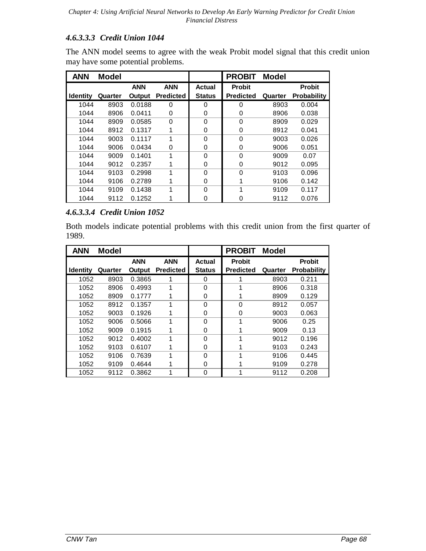# *4.6.3.3.3 Credit Union 1044*

The ANN model seems to agree with the weak Probit model signal that this credit union may have some potential problems.

| <b>ANN</b>      | <b>Model</b> |            |                  |               | <b>PROBIT</b>    | <b>Model</b> |                    |
|-----------------|--------------|------------|------------------|---------------|------------------|--------------|--------------------|
|                 |              | <b>ANN</b> | <b>ANN</b>       | Actual        | <b>Probit</b>    |              | <b>Probit</b>      |
| <b>Identity</b> | Quarter      | Output     | <b>Predicted</b> | <b>Status</b> | <b>Predicted</b> | Quarter      | <b>Probability</b> |
| 1044            | 8903         | 0.0188     | 0                | 0             | 0                | 8903         | 0.004              |
| 1044            | 8906         | 0.0411     | 0                | 0             | 0                | 8906         | 0.038              |
| 1044            | 8909         | 0.0585     | $\Omega$         | $\Omega$      | $\Omega$         | 8909         | 0.029              |
| 1044            | 8912         | 0.1317     | 1                | 0             | 0                | 8912         | 0.041              |
| 1044            | 9003         | 0.1117     | 1                | $\Omega$      | $\Omega$         | 9003         | 0.026              |
| 1044            | 9006         | 0.0434     | 0                | 0             | 0                | 9006         | 0.051              |
| 1044            | 9009         | 0.1401     | 1                | $\Omega$      | $\Omega$         | 9009         | 0.07               |
| 1044            | 9012         | 0.2357     |                  | 0             | 0                | 9012         | 0.095              |
| 1044            | 9103         | 0.2998     | 1                | $\Omega$      | 0                | 9103         | 0.096              |
| 1044            | 9106         | 0.2789     | 1                | $\Omega$      |                  | 9106         | 0.142              |
| 1044            | 9109         | 0.1438     | 1                | $\Omega$      | 1                | 9109         | 0.117              |
| 1044            | 9112         | 0.1252     |                  | 0             | 0                | 9112         | 0.076              |

# *4.6.3.3.4 Credit Union 1052*

Both models indicate potential problems with this credit union from the first quarter of 1989.

| <b>ANN</b>      | <b>Model</b> |            |                  |               | <b>PROBIT</b>    | <b>Model</b> |                    |
|-----------------|--------------|------------|------------------|---------------|------------------|--------------|--------------------|
|                 |              | <b>ANN</b> | <b>ANN</b>       | <b>Actual</b> | <b>Probit</b>    |              | <b>Probit</b>      |
| <b>Identity</b> | Quarter      | Output     | <b>Predicted</b> | <b>Status</b> | <b>Predicted</b> | Quarter      | <b>Probability</b> |
| 1052            | 8903         | 0.3865     |                  | 0             |                  | 8903         | 0.211              |
| 1052            | 8906         | 0.4993     | 1                | $\Omega$      |                  | 8906         | 0.318              |
| 1052            | 8909         | 0.1777     | 1                | 0             |                  | 8909         | 0.129              |
| 1052            | 8912         | 0.1357     | 1                | 0             | 0                | 8912         | 0.057              |
| 1052            | 9003         | 0.1926     |                  | $\Omega$      | 0                | 9003         | 0.063              |
| 1052            | 9006         | 0.5066     | 1                | $\Omega$      | 1                | 9006         | 0.25               |
| 1052            | 9009         | 0.1915     | 1                | 0             |                  | 9009         | 0.13               |
| 1052            | 9012         | 0.4002     | 1                | $\Omega$      | 1                | 9012         | 0.196              |
| 1052            | 9103         | 0.6107     | 1                | 0             |                  | 9103         | 0.243              |
| 1052            | 9106         | 0.7639     | 1                | $\Omega$      | 1                | 9106         | 0.445              |
| 1052            | 9109         | 0.4644     |                  | 0             |                  | 9109         | 0.278              |
| 1052            | 9112         | 0.3862     | 1                | 0             |                  | 9112         | 0.208              |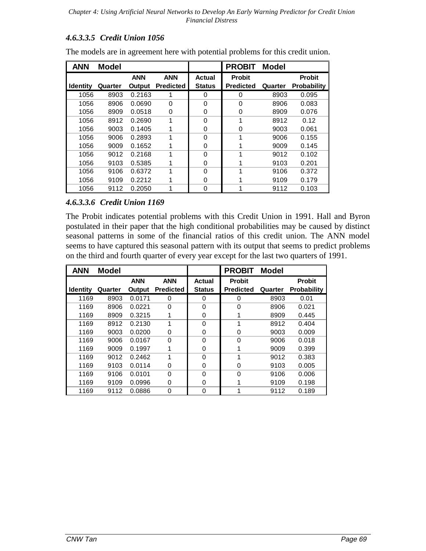### *4.6.3.3.5 Credit Union 1056*

| <b>ANN</b>      | <b>Model</b> |            |                  |               | <b>PROBIT</b>    | <b>Model</b> |                    |
|-----------------|--------------|------------|------------------|---------------|------------------|--------------|--------------------|
|                 |              | <b>ANN</b> | <b>ANN</b>       | Actual        | <b>Probit</b>    |              | <b>Probit</b>      |
| <b>Identity</b> | Quarter      | Output     | <b>Predicted</b> | <b>Status</b> | <b>Predicted</b> | Quarter      | <b>Probability</b> |
| 1056            | 8903         | 0.2163     |                  | 0             | 0                | 8903         | 0.095              |
| 1056            | 8906         | 0.0690     | $\Omega$         | $\Omega$      | $\Omega$         | 8906         | 0.083              |
| 1056            | 8909         | 0.0518     | 0                | 0             | 0                | 8909         | 0.076              |
| 1056            | 8912         | 0.2690     | 1                | 0             | 1                | 8912         | 0.12               |
| 1056            | 9003         | 0.1405     |                  | 0             | 0                | 9003         | 0.061              |
| 1056            | 9006         | 0.2893     | 1                | $\Omega$      | 1                | 9006         | 0.155              |
| 1056            | 9009         | 0.1652     |                  | 0             | 1                | 9009         | 0.145              |
| 1056            | 9012         | 0.2168     | 1                | $\Omega$      | 1                | 9012         | 0.102              |
| 1056            | 9103         | 0.5385     |                  | 0             |                  | 9103         | 0.201              |
| 1056            | 9106         | 0.6372     | 1                | $\Omega$      | 1                | 9106         | 0.372              |
| 1056            | 9109         | 0.2212     |                  | 0             |                  | 9109         | 0.179              |
| 1056            | 9112         | 0.2050     | 1                | 0             | 1                | 9112         | 0.103              |

The models are in agreement here with potential problems for this credit union.

### *4.6.3.3.6 Credit Union 1169*

The Probit indicates potential problems with this Credit Union in 1991. Hall and Byron postulated in their paper that the high conditional probabilities may be caused by distinct seasonal patterns in some of the financial ratios of this credit union. The ANN model seems to have captured this seasonal pattern with its output that seems to predict problems on the third and fourth quarter of every year except for the last two quarters of 1991.

| <b>ANN</b>      | <b>Model</b> |            |                  |               | <b>PROBIT</b>    | <b>Model</b> |                    |
|-----------------|--------------|------------|------------------|---------------|------------------|--------------|--------------------|
|                 |              | <b>ANN</b> | <b>ANN</b>       | Actual        | <b>Probit</b>    |              | <b>Probit</b>      |
| <b>Identity</b> | Quarter      | Output     | <b>Predicted</b> | <b>Status</b> | <b>Predicted</b> | Quarter      | <b>Probability</b> |
| 1169            | 8903         | 0.0171     | 0                | 0             | 0                | 8903         | 0.01               |
| 1169            | 8906         | 0.0221     | $\Omega$         | $\Omega$      | $\Omega$         | 8906         | 0.021              |
| 1169            | 8909         | 0.3215     |                  | 0             |                  | 8909         | 0.445              |
| 1169            | 8912         | 0.2130     | 1                | 0             |                  | 8912         | 0.404              |
| 1169            | 9003         | 0.0200     | 0                | 0             | $\Omega$         | 9003         | 0.009              |
| 1169            | 9006         | 0.0167     | $\Omega$         | $\Omega$      | $\Omega$         | 9006         | 0.018              |
| 1169            | 9009         | 0.1997     | 1                | 0             |                  | 9009         | 0.399              |
| 1169            | 9012         | 0.2462     | 1                | $\Omega$      |                  | 9012         | 0.383              |
| 1169            | 9103         | 0.0114     | 0                | 0             | 0                | 9103         | 0.005              |
| 1169            | 9106         | 0.0101     | $\Omega$         | $\Omega$      | $\Omega$         | 9106         | 0.006              |
| 1169            | 9109         | 0.0996     | 0                | 0             |                  | 9109         | 0.198              |
| 1169            | 9112         | 0.0886     | 0                | 0             |                  | 9112         | 0.189              |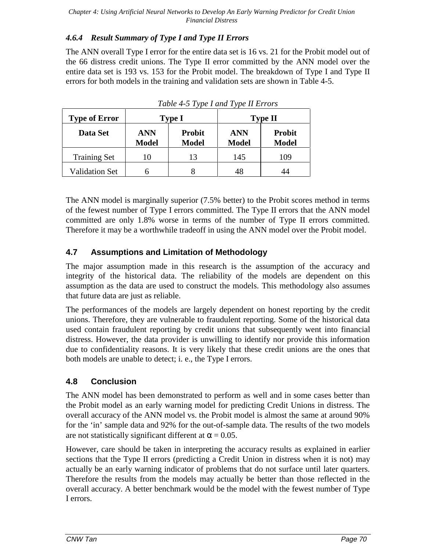### *4.6.4 Result Summary of Type I and Type II Errors*

The ANN overall Type I error for the entire data set is 16 vs. 21 for the Probit model out of the 66 distress credit unions. The Type II error committed by the ANN model over the entire data set is 193 vs. 153 for the Probit model. The breakdown of Type I and Type II errors for both models in the training and validation sets are shown in Table 4-5.

| <b>Type of Error</b>  |                            | <b>Type I</b>                 | <b>Type II</b>             |                               |  |  |
|-----------------------|----------------------------|-------------------------------|----------------------------|-------------------------------|--|--|
| Data Set              | <b>ANN</b><br><b>Model</b> | <b>Probit</b><br><b>Model</b> | <b>ANN</b><br><b>Model</b> | <b>Probit</b><br><b>Model</b> |  |  |
| <b>Training Set</b>   | 10                         | 13                            | 145                        | 109                           |  |  |
| <b>Validation Set</b> |                            |                               | 48                         |                               |  |  |

*Table 4-5 Type I and Type II Errors*

The ANN model is marginally superior (7.5% better) to the Probit scores method in terms of the fewest number of Type I errors committed. The Type II errors that the ANN model committed are only 1.8% worse in terms of the number of Type II errors committed. Therefore it may be a worthwhile tradeoff in using the ANN model over the Probit model.

# **4.7 Assumptions and Limitation of Methodology**

The major assumption made in this research is the assumption of the accuracy and integrity of the historical data. The reliability of the models are dependent on this assumption as the data are used to construct the models. This methodology also assumes that future data are just as reliable.

The performances of the models are largely dependent on honest reporting by the credit unions. Therefore, they are vulnerable to fraudulent reporting. Some of the historical data used contain fraudulent reporting by credit unions that subsequently went into financial distress. However, the data provider is unwilling to identify nor provide this information due to confidentiality reasons. It is very likely that these credit unions are the ones that both models are unable to detect; i. e., the Type I errors.

### **4.8 Conclusion**

The ANN model has been demonstrated to perform as well and in some cases better than the Probit model as an early warning model for predicting Credit Unions in distress. The overall accuracy of the ANN model vs. the Probit model is almost the same at around 90% for the 'in' sample data and 92% for the out-of-sample data. The results of the two models are not statistically significant different at  $\alpha = 0.05$ .

However, care should be taken in interpreting the accuracy results as explained in earlier sections that the Type II errors (predicting a Credit Union in distress when it is not) may actually be an early warning indicator of problems that do not surface until later quarters. Therefore the results from the models may actually be better than those reflected in the overall accuracy. A better benchmark would be the model with the fewest number of Type I errors.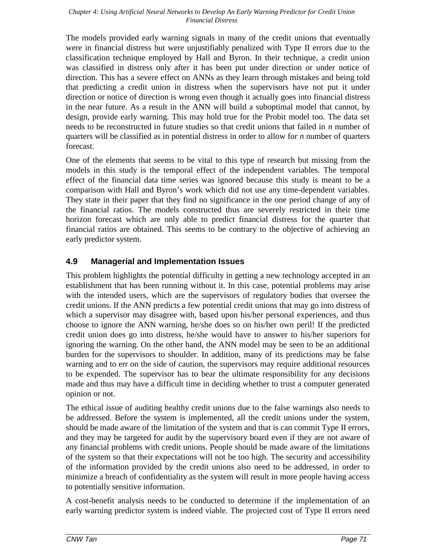The models provided early warning signals in many of the credit unions that eventually were in financial distress but were unjustifiably penalized with Type II errors due to the classification technique employed by Hall and Byron. In their technique, a credit union was classified in distress only after it has been put under direction or under notice of direction. This has a severe effect on ANNs as they learn through mistakes and being told that predicting a credit union in distress when the supervisors have not put it under direction or notice of direction is wrong even though it actually goes into financial distress in the near future. As a result in the ANN will build a suboptimal model that cannot, by design, provide early warning. This may hold true for the Probit model too. The data set needs to be reconstructed in future studies so that credit unions that failed in *n* number of quarters will be classified as in potential distress in order to allow for *n* number of quarters forecast.

One of the elements that seems to be vital to this type of research but missing from the models in this study is the temporal effect of the independent variables. The temporal effect of the financial data time series was ignored because this study is meant to be a comparison with Hall and Byron's work which did not use any time-dependent variables. They state in their paper that they find no significance in the one period change of any of the financial ratios. The models constructed thus are severely restricted in their time horizon forecast which are only able to predict financial distress for the quarter that financial ratios are obtained. This seems to be contrary to the objective of achieving an early predictor system.

### **4.9 Managerial and Implementation Issues**

This problem highlights the potential difficulty in getting a new technology accepted in an establishment that has been running without it. In this case, potential problems may arise with the intended users, which are the supervisors of regulatory bodies that oversee the credit unions. If the ANN predicts a few potential credit unions that may go into distress of which a supervisor may disagree with, based upon his/her personal experiences, and thus choose to ignore the ANN warning, he/she does so on his/her own peril! If the predicted credit union does go into distress, he/she would have to answer to his/her superiors for ignoring the warning. On the other hand, the ANN model may be seen to be an additional burden for the supervisors to shoulder. In addition, many of its predictions may be false warning and to err on the side of caution, the supervisors may require additional resources to be expended. The supervisor has to bear the ultimate responsibility for any decisions made and thus may have a difficult time in deciding whether to trust a computer generated opinion or not.

The ethical issue of auditing healthy credit unions due to the false warnings also needs to be addressed. Before the system is implemented, all the credit unions under the system, should be made aware of the limitation of the system and that is can commit Type II errors, and they may be targeted for audit by the supervisory board even if they are not aware of any financial problems with credit unions. People should be made aware of the limitations of the system so that their expectations will not be too high. The security and accessibility of the information provided by the credit unions also need to be addressed, in order to minimize a breach of confidentiality as the system will result in more people having access to potentially sensitive information.

A cost-benefit analysis needs to be conducted to determine if the implementation of an early warning predictor system is indeed viable. The projected cost of Type II errors need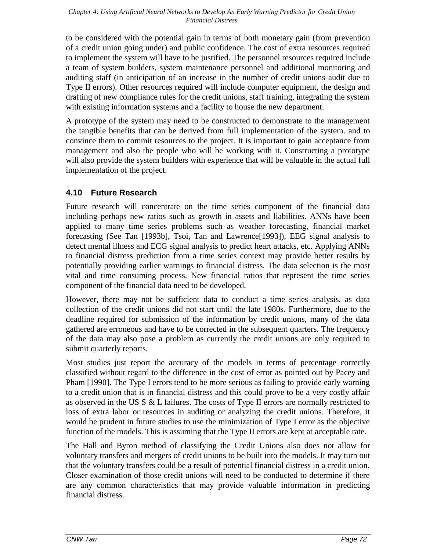to be considered with the potential gain in terms of both monetary gain (from prevention of a credit union going under) and public confidence. The cost of extra resources required to implement the system will have to be justified. The personnel resources required include a team of system builders, system maintenance personnel and additional monitoring and auditing staff (in anticipation of an increase in the number of credit unions audit due to Type II errors). Other resources required will include computer equipment, the design and drafting of new compliance rules for the credit unions, staff training, integrating the system with existing information systems and a facility to house the new department.

A prototype of the system may need to be constructed to demonstrate to the management the tangible benefits that can be derived from full implementation of the system. and to convince them to commit resources to the project. It is important to gain acceptance from management and also the people who will be working with it. Constructing a prototype will also provide the system builders with experience that will be valuable in the actual full implementation of the project.

### **4.10 Future Research**

Future research will concentrate on the time series component of the financial data including perhaps new ratios such as growth in assets and liabilities. ANNs have been applied to many time series problems such as weather forecasting, financial market forecasting (See Tan [1993b], Tsoi, Tan and Lawrence[1993]), EEG signal analysis to detect mental illness and ECG signal analysis to predict heart attacks, etc. Applying ANNs to financial distress prediction from a time series context may provide better results by potentially providing earlier warnings to financial distress. The data selection is the most vital and time consuming process. New financial ratios that represent the time series component of the financial data need to be developed.

However, there may not be sufficient data to conduct a time series analysis, as data collection of the credit unions did not start until the late 1980s. Furthermore, due to the deadline required for submission of the information by credit unions, many of the data gathered are erroneous and have to be corrected in the subsequent quarters. The frequency of the data may also pose a problem as currently the credit unions are only required to submit quarterly reports.

Most studies just report the accuracy of the models in terms of percentage correctly classified without regard to the difference in the cost of error as pointed out by Pacey and Pham [1990]. The Type I errors tend to be more serious as failing to provide early warning to a credit union that is in financial distress and this could prove to be a very costly affair as observed in the US S & L failures. The costs of Type II errors are normally restricted to loss of extra labor or resources in auditing or analyzing the credit unions. Therefore, it would be prudent in future studies to use the minimization of Type I error as the objective function of the models. This is assuming that the Type II errors are kept at acceptable rate.

The Hall and Byron method of classifying the Credit Unions also does not allow for voluntary transfers and mergers of credit unions to be built into the models. It may turn out that the voluntary transfers could be a result of potential financial distress in a credit union. Closer examination of those credit unions will need to be conducted to determine if there are any common characteristics that may provide valuable information in predicting financial distress.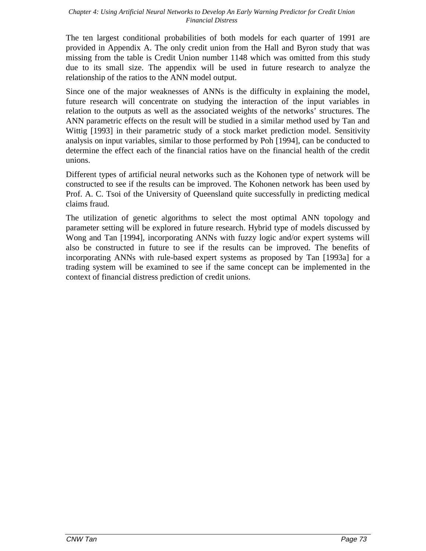The ten largest conditional probabilities of both models for each quarter of 1991 are provided in Appendix A. The only credit union from the Hall and Byron study that was missing from the table is Credit Union number 1148 which was omitted from this study due to its small size. The appendix will be used in future research to analyze the relationship of the ratios to the ANN model output.

Since one of the major weaknesses of ANNs is the difficulty in explaining the model, future research will concentrate on studying the interaction of the input variables in relation to the outputs as well as the associated weights of the networks' structures. The ANN parametric effects on the result will be studied in a similar method used by Tan and Wittig [1993] in their parametric study of a stock market prediction model. Sensitivity analysis on input variables, similar to those performed by Poh [1994], can be conducted to determine the effect each of the financial ratios have on the financial health of the credit unions.

Different types of artificial neural networks such as the Kohonen type of network will be constructed to see if the results can be improved. The Kohonen network has been used by Prof. A. C. Tsoi of the University of Queensland quite successfully in predicting medical claims fraud.

The utilization of genetic algorithms to select the most optimal ANN topology and parameter setting will be explored in future research. Hybrid type of models discussed by Wong and Tan [1994], incorporating ANNs with fuzzy logic and/or expert systems will also be constructed in future to see if the results can be improved. The benefits of incorporating ANNs with rule-based expert systems as proposed by Tan [1993a] for a trading system will be examined to see if the same concept can be implemented in the context of financial distress prediction of credit unions.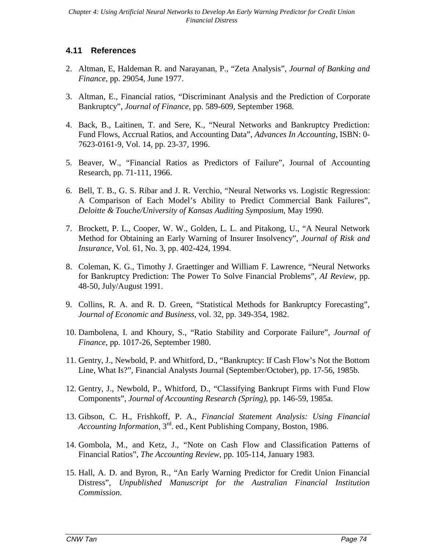### **4.11 References**

- 2. Altman, E, Haldeman R. and Narayanan, P., "Zeta Analysis", *Journal of Banking and Finance*, pp. 29054, June 1977.
- 3. Altman, E., Financial ratios, "Discriminant Analysis and the Prediction of Corporate Bankruptcy", *Journal of Finance*, pp. 589-609, September 1968.
- 4. Back, B., Laitinen, T. and Sere, K., "Neural Networks and Bankruptcy Prediction: Fund Flows, Accrual Ratios, and Accounting Data", *Advances In Accounting*, ISBN: 0- 7623-0161-9, Vol. 14, pp. 23-37, 1996.
- 5. Beaver, W., "Financial Ratios as Predictors of Failure", Journal of Accounting Research, pp. 71-111, 1966.
- 6. Bell, T. B., G. S. Ribar and J. R. Verchio, "Neural Networks vs. Logistic Regression: A Comparison of Each Model's Ability to Predict Commercial Bank Failures", *Deloitte & Touche/University of Kansas Auditing Symposium*, May 1990.
- 7. Brockett, P. L., Cooper, W. W., Golden, L. L. and Pitakong, U., "A Neural Network Method for Obtaining an Early Warning of Insurer Insolvency", *Journal of Risk and Insurance*, Vol. 61, No. 3, pp. 402-424, 1994.
- 8. Coleman, K. G., Timothy J. Graettinger and William F. Lawrence, "Neural Networks for Bankruptcy Prediction: The Power To Solve Financial Problems", *AI Review*, pp. 48-50, July/August 1991.
- 9. Collins, R. A. and R. D. Green, "Statistical Methods for Bankruptcy Forecasting", *Journal of Economic and Business*, vol. 32, pp. 349-354, 1982.
- 10. Dambolena, I. and Khoury, S., "Ratio Stability and Corporate Failure", *Journal of Finance*, pp. 1017-26, September 1980.
- 11. Gentry, J., Newbold, P. and Whitford, D., "Bankruptcy: If Cash Flow's Not the Bottom Line, What Is?", Financial Analysts Journal (September/October), pp. 17-56, 1985b.
- 12. Gentry, J., Newbold, P., Whitford, D., "Classifying Bankrupt Firms with Fund Flow Components", *Journal of Accounting Research (Spring)*, pp. 146-59, 1985a.
- 13. Gibson, C. H., Frishkoff, P. A., *Financial Statement Analysis: Using Financial Accounting Information*, 3rd. ed., Kent Publishing Company, Boston, 1986.
- 14. Gombola, M., and Ketz, J., "Note on Cash Flow and Classification Patterns of Financial Ratios", *The Accounting Review*, pp. 105-114, January 1983.
- 15. Hall, A. D. and Byron, R., "An Early Warning Predictor for Credit Union Financial Distress", *Unpublished Manuscript for the Australian Financial Institution Commission*.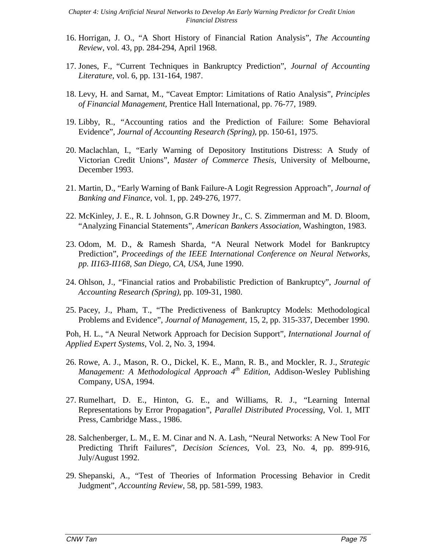- 16. Horrigan, J. O., "A Short History of Financial Ration Analysis", *The Accounting Review*, vol. 43, pp. 284-294, April 1968.
- 17. Jones, F., "Current Techniques in Bankruptcy Prediction", *Journal of Accounting Literature*, vol. 6, pp. 131-164, 1987.
- 18. Levy, H. and Sarnat, M., "Caveat Emptor: Limitations of Ratio Analysis", *Principles of Financial Management*, Prentice Hall International, pp. 76-77, 1989.
- 19. Libby, R., "Accounting ratios and the Prediction of Failure: Some Behavioral Evidence", *Journal of Accounting Research (Spring)*, pp. 150-61, 1975.
- 20. Maclachlan, I., "Early Warning of Depository Institutions Distress: A Study of Victorian Credit Unions", *Master of Commerce Thesis*, University of Melbourne, December 1993.
- 21. Martin, D., "Early Warning of Bank Failure-A Logit Regression Approach", *Journal of Banking and Finance*, vol. 1, pp. 249-276, 1977.
- 22. McKinley, J. E., R. L Johnson, G.R Downey Jr., C. S. Zimmerman and M. D. Bloom, "Analyzing Financial Statements", *American Bankers Association*, Washington, 1983.
- 23. Odom, M. D., & Ramesh Sharda, "A Neural Network Model for Bankruptcy Prediction", *Proceedings of the IEEE International Conference on Neural Networks, pp. II163-II168, San Diego, CA, USA,* June 1990.
- 24. Ohlson, J., "Financial ratios and Probabilistic Prediction of Bankruptcy", *Journal of Accounting Research (Spring)*, pp. 109-31, 1980.
- 25. Pacey, J., Pham, T., "The Predictiveness of Bankruptcy Models: Methodological Problems and Evidence", *Journal of Management*, 15, 2, pp. 315-337, December 1990.

Poh, H. L., "A Neural Network Approach for Decision Support", *International Journal of Applied Expert Systems*, Vol. 2, No. 3, 1994.

- 26. Rowe, A. J., Mason, R. O., Dickel, K. E., Mann, R. B., and Mockler, R. J., *Strategic Management: A Methodological Approach 4th Edition*, Addison-Wesley Publishing Company, USA, 1994.
- 27. Rumelhart, D. E., Hinton, G. E., and Williams, R. J., "Learning Internal Representations by Error Propagation", *Parallel Distributed Processing*, Vol. 1, MIT Press, Cambridge Mass., 1986.
- 28. Salchenberger, L. M., E. M. Cinar and N. A. Lash, "Neural Networks: A New Tool For Predicting Thrift Failures", *Decision Sciences*, Vol. 23, No. 4, pp. 899-916, July/August 1992.
- 29. Shepanski, A., "Test of Theories of Information Processing Behavior in Credit Judgment", *Accounting Review*, 58, pp. 581-599, 1983.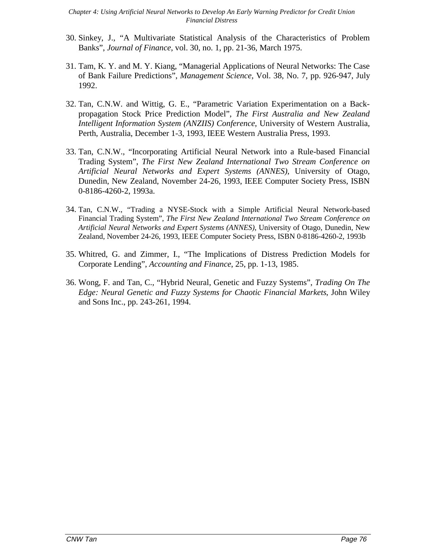- 30. Sinkey, J., "A Multivariate Statistical Analysis of the Characteristics of Problem Banks", *Journal of Finance*, vol. 30, no. 1, pp. 21-36, March 1975.
- 31. Tam, K. Y. and M. Y. Kiang, "Managerial Applications of Neural Networks: The Case of Bank Failure Predictions", *Management Science,* Vol. 38, No. 7, pp. 926-947, July 1992.
- 32. Tan, C.N.W. and Wittig, G. E., "Parametric Variation Experimentation on a Backpropagation Stock Price Prediction Model", *The First Australia and New Zealand Intelligent Information System (ANZIIS) Conference*, University of Western Australia, Perth, Australia, December 1-3, 1993, IEEE Western Australia Press, 1993.
- 33. Tan, C.N.W., "Incorporating Artificial Neural Network into a Rule-based Financial Trading System", *The First New Zealand International Two Stream Conference on Artificial Neural Networks and Expert Systems (ANNES)*, University of Otago, Dunedin, New Zealand, November 24-26, 1993, IEEE Computer Society Press, ISBN 0-8186-4260-2, 1993a.
- 34. Tan, C.N.W., "Trading a NYSE-Stock with a Simple Artificial Neural Network-based Financial Trading System", *The First New Zealand International Two Stream Conference on Artificial Neural Networks and Expert Systems (ANNES)*, University of Otago, Dunedin, New Zealand, November 24-26, 1993, IEEE Computer Society Press, ISBN 0-8186-4260-2, 1993b
- 35. Whitred, G. and Zimmer, I., "The Implications of Distress Prediction Models for Corporate Lending", *Accounting and Finance*, 25, pp. 1-13, 1985.
- 36. Wong, F. and Tan, C., "Hybrid Neural, Genetic and Fuzzy Systems", *Trading On The Edge: Neural Genetic and Fuzzy Systems for Chaotic Financial Markets*, John Wiley and Sons Inc., pp. 243-261, 1994.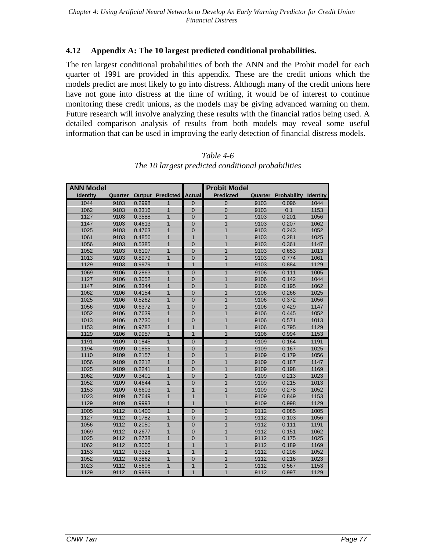#### **4.12 Appendix A: The 10 largest predicted conditional probabilities.**

The ten largest conditional probabilities of both the ANN and the Probit model for each quarter of 1991 are provided in this appendix. These are the credit unions which the models predict are most likely to go into distress. Although many of the credit unions here have not gone into distress at the time of writing, it would be of interest to continue monitoring these credit unions, as the models may be giving advanced warning on them. Future research will involve analyzing these results with the financial ratios being used. A detailed comparison analysis of results from both models may reveal some useful information that can be used in improving the early detection of financial distress models.

| <b>ANN Model</b> |         |        |                         |                  | <b>Probit Model</b> |         |             |                 |
|------------------|---------|--------|-------------------------|------------------|---------------------|---------|-------------|-----------------|
| <b>Identity</b>  | Quarter |        | <b>Output Predicted</b> | <b>Actual</b>    | <b>Predicted</b>    | Quarter | Probability | <b>Identity</b> |
| 1044             | 9103    | 0.2998 | $\mathbf{1}$            | $\Omega$         | $\Omega$            | 9103    | 0.096       | 1044            |
| 1062             | 9103    | 0.3316 | 1                       | $\mathbf 0$      | $\mathbf 0$         | 9103    | 0.1         | 1153            |
| 1127             | 9103    | 0.3588 | $\overline{1}$          | $\overline{0}$   | $\overline{1}$      | 9103    | 0.201       | 1056            |
| 1147             | 9103    | 0.4613 | $\overline{1}$          | $\mathbf 0$      | 1                   | 9103    | 0.207       | 1062            |
| 1025             | 9103    | 0.4763 | $\overline{1}$          | $\Omega$         | $\overline{1}$      | 9103    | 0.243       | 1052            |
| 1061             | 9103    | 0.4856 | $\overline{1}$          | $\mathbf{1}$     | $\overline{1}$      | 9103    | 0.281       | 1025            |
| 1056             | 9103    | 0.5385 | $\overline{1}$          | $\Omega$         | $\overline{1}$      | 9103    | 0.361       | 1147            |
| 1052             | 9103    | 0.6107 | $\overline{1}$          | $\mathbf 0$      | $\overline{1}$      | 9103    | 0.653       | 1013            |
| 1013             | 9103    | 0.8979 | $\overline{1}$          | $\mathbf 0$      | $\overline{1}$      | 9103    | 0.774       | 1061            |
| 1129             | 9103    | 0.9979 | 1                       | $\mathbf{1}$     | 1                   | 9103    | 0.884       | 1129            |
| 1069             | 9106    | 0.2863 | $\overline{1}$          | $\mathbf 0$      | $\overline{1}$      | 9106    | 0.111       | 1005            |
| 1127             | 9106    | 0.3052 | $\overline{1}$          | $\overline{0}$   | $\overline{1}$      | 9106    | 0.142       | 1044            |
| 1147             | 9106    | 0.3344 | $\overline{1}$          | $\overline{0}$   | $\overline{1}$      | 9106    | 0.195       | 1062            |
| 1062             | 9106    | 0.4154 | $\overline{1}$          | $\mathbf 0$      | $\overline{1}$      | 9106    | 0.266       | 1025            |
| 1025             | 9106    | 0.5262 | $\overline{1}$          | $\overline{0}$   | $\overline{1}$      | 9106    | 0.372       | 1056            |
| 1056             | 9106    | 0.6372 | $\overline{1}$          | $\overline{0}$   | $\overline{1}$      | 9106    | 0.429       | 1147            |
| 1052             | 9106    | 0.7639 | $\overline{1}$          | $\Omega$         | $\overline{1}$      | 9106    | 0.445       | 1052            |
| 1013             | 9106    | 0.7730 | $\overline{1}$          | $\overline{0}$   | $\overline{1}$      | 9106    | 0.571       | 1013            |
| 1153             | 9106    | 0.9782 | $\mathbf{1}$            | $\mathbf{1}$     | $\overline{1}$      | 9106    | 0.795       | 1129            |
| 1129             | 9106    | 0.9957 | $\overline{1}$          | $\overline{1}$   | $\overline{1}$      | 9106    | 0.994       | 1153            |
| 1191             | 9109    | 0.1845 | $\overline{1}$          | $\mathbf 0$      | $\overline{1}$      | 9109    | 0.164       | 1191            |
| 1194             | 9109    | 0.1855 | $\overline{1}$          | $\mathbf 0$      | $\overline{1}$      | 9109    | 0.167       | 1025            |
| 1110             | 9109    | 0.2157 | $\overline{1}$          | $\overline{0}$   | $\overline{1}$      | 9109    | 0.179       | 1056            |
| 1056             | 9109    | 0.2212 | $\overline{1}$          | $\overline{0}$   | $\overline{1}$      | 9109    | 0.187       | 1147            |
| 1025             | 9109    | 0.2241 | $\mathbf{1}$            | $\overline{0}$   | $\overline{1}$      | 9109    | 0.198       | 1169            |
| 1062             | 9109    | 0.3401 | $\overline{1}$          | $\mathbf 0$      | $\overline{1}$      | 9109    | 0.213       | 1023            |
| 1052             | 9109    | 0.4644 | $\overline{1}$          | $\mathbf 0$      | $\overline{1}$      | 9109    | 0.215       | 1013            |
| 1153             | 9109    | 0.6603 | $\overline{1}$          | $\overline{1}$   | $\overline{1}$      | 9109    | 0.278       | 1052            |
| 1023             | 9109    | 0.7649 | $\overline{1}$          | $\mathbf{1}$     | $\overline{1}$      | 9109    | 0.849       | 1153            |
| 1129             | 9109    | 0.9993 | $\overline{1}$          | $\overline{1}$   | $\overline{1}$      | 9109    | 0.998       | 1129            |
| 1005             | 9112    | 0.1400 | $\overline{1}$          | $\overline{0}$   | $\overline{0}$      | 9112    | 0.085       | 1005            |
| 1127             | 9112    | 0.1782 | $\overline{1}$          | $\mathbf 0$      | 1                   | 9112    | 0.103       | 1056            |
| 1056             | 9112    | 0.2050 | $\mathbf{1}$            | $\Omega$         | $\overline{1}$      | 9112    | 0.111       | 1191            |
| 1069             | 9112    | 0.2677 | $\overline{1}$          | $\mathbf 0$      | $\overline{1}$      | 9112    | 0.151       | 1062            |
| 1025             | 9112    | 0.2738 | $\overline{1}$          | $\overline{0}$   | $\overline{1}$      | 9112    | 0.175       | 1025            |
| 1062             | 9112    | 0.3006 | $\overline{1}$          | $\overline{1}$   | 1                   | 9112    | 0.189       | 1169            |
| 1153             | 9112    | 0.3328 | $\overline{1}$          | $\mathbf{1}$     | $\overline{1}$      | 9112    | 0.208       | 1052            |
| 1052             | 9112    | 0.3862 | $\overline{1}$          | $\boldsymbol{0}$ | $\overline{1}$      | 9112    | 0.216       | 1023            |
| 1023             | 9112    | 0.5606 | $\overline{1}$          | $\mathbf{1}$     | 1                   | 9112    | 0.567       | 1153            |
| 1129             | 9112    | 0.9989 | $\overline{1}$          | $\overline{1}$   | 1                   | 9112    | 0.997       | 1129            |

*Table 4-6 The 10 largest predicted conditional probabilities*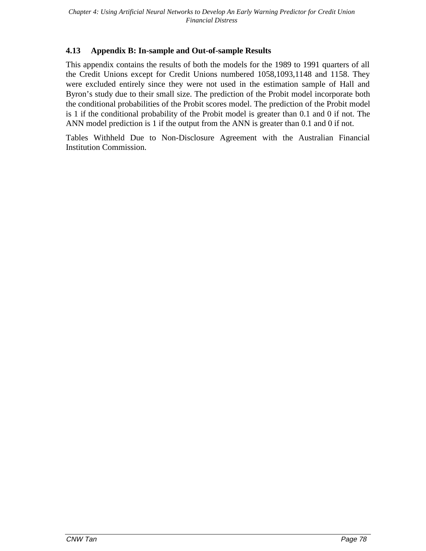### **4.13 Appendix B: In-sample and Out-of-sample Results**

This appendix contains the results of both the models for the 1989 to 1991 quarters of all the Credit Unions except for Credit Unions numbered 1058,1093,1148 and 1158. They were excluded entirely since they were not used in the estimation sample of Hall and Byron's study due to their small size. The prediction of the Probit model incorporate both the conditional probabilities of the Probit scores model. The prediction of the Probit model is 1 if the conditional probability of the Probit model is greater than 0.1 and 0 if not. The ANN model prediction is 1 if the output from the ANN is greater than 0.1 and 0 if not.

Tables Withheld Due to Non-Disclosure Agreement with the Australian Financial Institution Commission.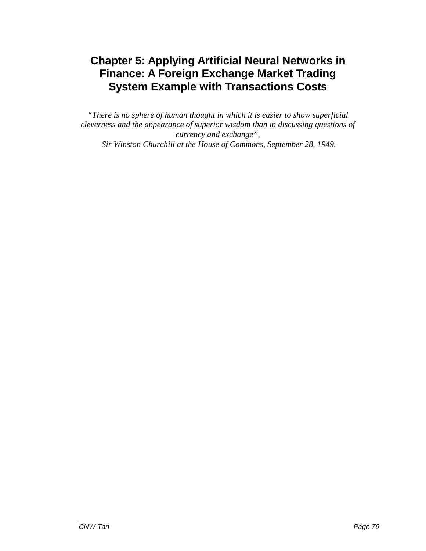*"There is no sphere of human thought in which it is easier to show superficial cleverness and the appearance of superior wisdom than in discussing questions of currency and exchange", Sir Winston Churchill at the House of Commons, September 28, 1949.*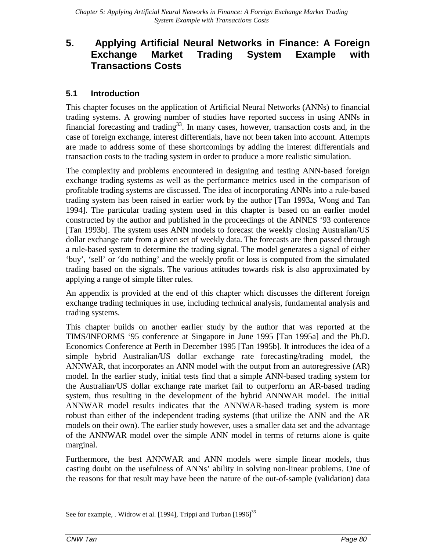### **5.1 Introduction**

This chapter focuses on the application of Artificial Neural Networks (ANNs) to financial trading systems. A growing number of studies have reported success in using ANNs in financial forecasting and trading<sup>33</sup>. In many cases, however, transaction costs and, in the case of foreign exchange, interest differentials, have not been taken into account. Attempts are made to address some of these shortcomings by adding the interest differentials and transaction costs to the trading system in order to produce a more realistic simulation.

The complexity and problems encountered in designing and testing ANN-based foreign exchange trading systems as well as the performance metrics used in the comparison of profitable trading systems are discussed. The idea of incorporating ANNs into a rule-based trading system has been raised in earlier work by the author [Tan 1993a, Wong and Tan 1994]. The particular trading system used in this chapter is based on an earlier model constructed by the author and published in the proceedings of the ANNES '93 conference [Tan 1993b]. The system uses ANN models to forecast the weekly closing Australian/US dollar exchange rate from a given set of weekly data. The forecasts are then passed through a rule-based system to determine the trading signal. The model generates a signal of either 'buy', 'sell' or 'do nothing' and the weekly profit or loss is computed from the simulated trading based on the signals. The various attitudes towards risk is also approximated by applying a range of simple filter rules.

An appendix is provided at the end of this chapter which discusses the different foreign exchange trading techniques in use, including technical analysis, fundamental analysis and trading systems.

This chapter builds on another earlier study by the author that was reported at the TIMS/INFORMS '95 conference at Singapore in June 1995 [Tan 1995a] and the Ph.D. Economics Conference at Perth in December 1995 [Tan 1995b]. It introduces the idea of a simple hybrid Australian/US dollar exchange rate forecasting/trading model, the ANNWAR, that incorporates an ANN model with the output from an autoregressive (AR) model. In the earlier study, initial tests find that a simple ANN-based trading system for the Australian/US dollar exchange rate market fail to outperform an AR-based trading system, thus resulting in the development of the hybrid ANNWAR model. The initial ANNWAR model results indicates that the ANNWAR-based trading system is more robust than either of the independent trading systems (that utilize the ANN and the AR models on their own). The earlier study however, uses a smaller data set and the advantage of the ANNWAR model over the simple ANN model in terms of returns alone is quite marginal.

Furthermore, the best ANNWAR and ANN models were simple linear models, thus casting doubt on the usefulness of ANNs' ability in solving non-linear problems. One of the reasons for that result may have been the nature of the out-of-sample (validation) data

See for example, . Widrow et al. [1994], Trippi and Turban [1996]<sup>33</sup>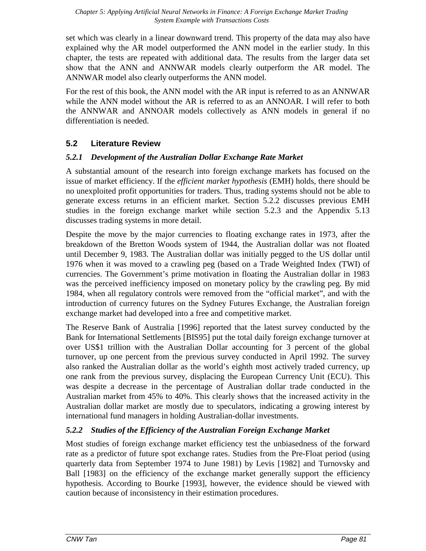set which was clearly in a linear downward trend. This property of the data may also have explained why the AR model outperformed the ANN model in the earlier study. In this chapter, the tests are repeated with additional data. The results from the larger data set show that the ANN and ANNWAR models clearly outperform the AR model. The ANNWAR model also clearly outperforms the ANN model.

For the rest of this book, the ANN model with the AR input is referred to as an ANNWAR while the ANN model without the AR is referred to as an ANNOAR. I will refer to both the ANNWAR and ANNOAR models collectively as ANN models in general if no differentiation is needed.

### **5.2 Literature Review**

### *5.2.1 Development of the Australian Dollar Exchange Rate Market*

A substantial amount of the research into foreign exchange markets has focused on the issue of market efficiency. If the *efficient market hypothesis* (EMH) holds, there should be no unexploited profit opportunities for traders. Thus, trading systems should not be able to generate excess returns in an efficient market. Section 5.2.2 discusses previous EMH studies in the foreign exchange market while section 5.2.3 and the Appendix 5.13 discusses trading systems in more detail.

Despite the move by the major currencies to floating exchange rates in 1973, after the breakdown of the Bretton Woods system of 1944, the Australian dollar was not floated until December 9, 1983. The Australian dollar was initially pegged to the US dollar until 1976 when it was moved to a crawling peg (based on a Trade Weighted Index (TWI) of currencies. The Government's prime motivation in floating the Australian dollar in 1983 was the perceived inefficiency imposed on monetary policy by the crawling peg. By mid 1984, when all regulatory controls were removed from the "official market", and with the introduction of currency futures on the Sydney Futures Exchange, the Australian foreign exchange market had developed into a free and competitive market.

The Reserve Bank of Australia [1996] reported that the latest survey conducted by the Bank for International Settlements [BIS95] put the total daily foreign exchange turnover at over US\$1 trillion with the Australian Dollar accounting for 3 percent of the global turnover, up one percent from the previous survey conducted in April 1992. The survey also ranked the Australian dollar as the world's eighth most actively traded currency, up one rank from the previous survey, displacing the European Currency Unit (ECU). This was despite a decrease in the percentage of Australian dollar trade conducted in the Australian market from 45% to 40%. This clearly shows that the increased activity in the Australian dollar market are mostly due to speculators, indicating a growing interest by international fund managers in holding Australian-dollar investments.

### *5.2.2 Studies of the Efficiency of the Australian Foreign Exchange Market*

Most studies of foreign exchange market efficiency test the unbiasedness of the forward rate as a predictor of future spot exchange rates. Studies from the Pre-Float period (using quarterly data from September 1974 to June 1981) by Levis [1982] and Turnovsky and Ball [1983] on the efficiency of the exchange market generally support the efficiency hypothesis. According to Bourke [1993], however, the evidence should be viewed with caution because of inconsistency in their estimation procedures.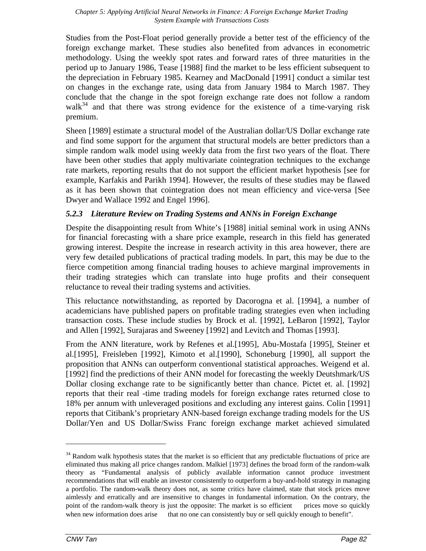Studies from the Post-Float period generally provide a better test of the efficiency of the foreign exchange market. These studies also benefited from advances in econometric methodology. Using the weekly spot rates and forward rates of three maturities in the period up to January 1986, Tease [1988] find the market to be less efficient subsequent to the depreciation in February 1985. Kearney and MacDonald [1991] conduct a similar test on changes in the exchange rate, using data from January 1984 to March 1987. They conclude that the change in the spot foreign exchange rate does not follow a random walk $34$  and that there was strong evidence for the existence of a time-varying risk premium.

Sheen [1989] estimate a structural model of the Australian dollar/US Dollar exchange rate and find some support for the argument that structural models are better predictors than a simple random walk model using weekly data from the first two years of the float. There have been other studies that apply multivariate cointegration techniques to the exchange rate markets, reporting results that do not support the efficient market hypothesis [see for example, Karfakis and Parikh 1994]. However, the results of these studies may be flawed as it has been shown that cointegration does not mean efficiency and vice-versa [See Dwyer and Wallace 1992 and Engel 1996].

### *5.2.3 Literature Review on Trading Systems and ANNs in Foreign Exchange*

Despite the disappointing result from White's [1988] initial seminal work in using ANNs for financial forecasting with a share price example, research in this field has generated growing interest. Despite the increase in research activity in this area however, there are very few detailed publications of practical trading models. In part, this may be due to the fierce competition among financial trading houses to achieve marginal improvements in their trading strategies which can translate into huge profits and their consequent reluctance to reveal their trading systems and activities.

This reluctance notwithstanding, as reported by Dacorogna et al. [1994], a number of academicians have published papers on profitable trading strategies even when including transaction costs. These include studies by Brock et al. [1992], LeBaron [1992], Taylor and Allen [1992], Surajaras and Sweeney [1992] and Levitch and Thomas [1993].

From the ANN literature, work by Refenes et al.[1995], Abu-Mostafa [1995], Steiner et al.[1995], Freisleben [1992], Kimoto et al.[1990], Schoneburg [1990], all support the proposition that ANNs can outperform conventional statistical approaches. Weigend et al. [1992] find the predictions of their ANN model for forecasting the weekly Deutshmark/US Dollar closing exchange rate to be significantly better than chance. Pictet et. al. [1992] reports that their real -time trading models for foreign exchange rates returned close to 18% per annum with unleveraged positions and excluding any interest gains. Colin [1991] reports that Citibank's proprietary ANN-based foreign exchange trading models for the US Dollar/Yen and US Dollar/Swiss Franc foreign exchange market achieved simulated

<sup>&</sup>lt;sup>34</sup> Random walk hypothesis states that the market is so efficient that any predictable fluctuations of price are eliminated thus making all price changes random. Malkiel [1973] defines the broad form of the random-walk theory as "Fundamental analysis of publicly available information cannot produce investment recommendations that will enable an investor consistently to outperform a buy-and-hold strategy in managing a portfolio. The random-walk theory does not, as some critics have claimed, state that stock prices move aimlessly and erratically and are insensitive to changes in fundamental information. On the contrary, the point of the random-walk theory is just the opposite: The market is so efficient — prices move so quickly when new information does arise — that no one can consistently buy or sell quickly enough to benefit".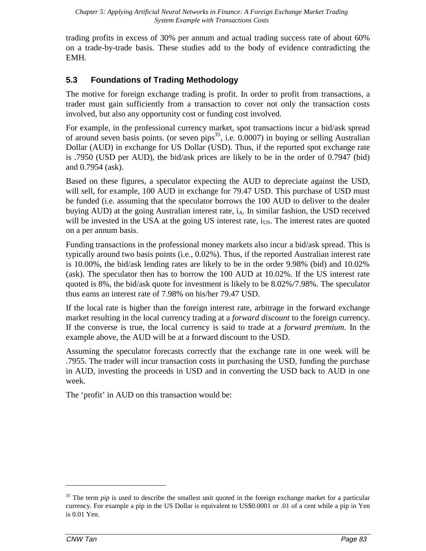trading profits in excess of 30% per annum and actual trading success rate of about 60% on a trade-by-trade basis. These studies add to the body of evidence contradicting the EMH.

# **5.3 Foundations of Trading Methodology**

The motive for foreign exchange trading is profit. In order to profit from transactions, a trader must gain sufficiently from a transaction to cover not only the transaction costs involved, but also any opportunity cost or funding cost involved.

For example, in the professional currency market, spot transactions incur a bid/ask spread of around seven basis points. (or seven pips<sup>35</sup>, i.e.  $0.0007$ ) in buying or selling Australian Dollar (AUD) in exchange for US Dollar (USD). Thus, if the reported spot exchange rate is .7950 (USD per AUD), the bid/ask prices are likely to be in the order of 0.7947 (bid) and 0.7954 (ask).

Based on these figures, a speculator expecting the AUD to depreciate against the USD, will sell, for example, 100 AUD in exchange for 79.47 USD. This purchase of USD must be funded (i.e. assuming that the speculator borrows the 100 AUD to deliver to the dealer buying AUD) at the going Australian interest rate,  $i_A$ . In similar fashion, the USD received will be invested in the USA at the going US interest rate,  $i<sub>US</sub>$ . The interest rates are quoted on a per annum basis.

Funding transactions in the professional money markets also incur a bid/ask spread. This is typically around two basis points (i.e., 0.02%). Thus, if the reported Australian interest rate is 10.00%, the bid/ask lending rates are likely to be in the order 9.98% (bid) and 10.02% (ask). The speculator then has to borrow the 100 AUD at 10.02%. If the US interest rate quoted is 8%, the bid/ask quote for investment is likely to be 8.02%/7.98%. The speculator thus earns an interest rate of 7.98% on his/her 79.47 USD.

If the local rate is higher than the foreign interest rate, arbitrage in the forward exchange market resulting in the local currency trading at a *forward discount* to the foreign currency. If the converse is true, the local currency is said to trade at a *forward premium*. In the example above, the AUD will be at a forward discount to the USD.

Assuming the speculator forecasts correctly that the exchange rate in one week will be .7955. The trader will incur transaction costs in purchasing the USD, funding the purchase in AUD, investing the proceeds in USD and in converting the USD back to AUD in one week.

The 'profit' in AUD on this transaction would be:

<sup>&</sup>lt;sup>35</sup> The term *pip* is used to describe the smallest unit quoted in the foreign exchange market for a particular currency. For example a pip in the US Dollar is equivalent to US\$0.0001 or .01 of a cent while a pip in Yen is 0.01 Yen.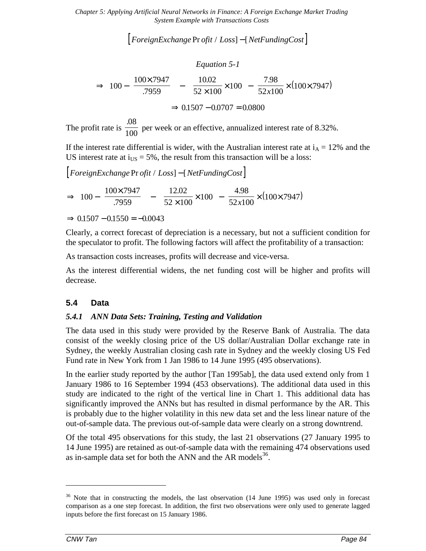$\lceil$  *ForeignExchange Pr ofit / Loss* $\rceil - \lceil$  *NetFundingCost* $\rceil$ 

*Equation 5-1*

$$
\Rightarrow \left[100 - \left(\frac{100 \times 7947}{7959}\right)\right] - \left[\left(\frac{10.02}{52 \times 100} \times 100\right) - \left(\frac{7.98}{52 \times 100} \times (100 \times 7947)\right)\right]
$$

$$
\Rightarrow 0.1507 - 0.0707 = 0.0800
$$

The profit rate is .08  $\frac{100}{100}$  per week or an effective, annualized interest rate of 8.32%.

If the interest rate differential is wider, with the Australian interest rate at  $i_A = 12\%$  and the US interest rate at  $i_{\text{US}} = 5\%$ , the result from this transaction will be a loss:

 $\lceil$  *ForeignExchange Pr ofit / Loss* $\rceil - \lceil$  *NetFundingCost* $\rceil$ 

$$
\Rightarrow \left[100 - \left(\frac{100 \times 7947}{7959}\right)\right] - \left[\left(\frac{12.02}{52 \times 100} \times 100\right) - \left(\frac{4.98}{52 \times 100} \times (100 \times 7947)\right)\right]
$$

$$
\Rightarrow 0.1507 - 0.1550 = -0.0043
$$

Clearly, a correct forecast of depreciation is a necessary, but not a sufficient condition for the speculator to profit. The following factors will affect the profitability of a transaction:

As transaction costs increases, profits will decrease and vice-versa.

As the interest differential widens, the net funding cost will be higher and profits will decrease.

### **5.4 Data**

#### *5.4.1 ANN Data Sets: Training, Testing and Validation*

The data used in this study were provided by the Reserve Bank of Australia. The data consist of the weekly closing price of the US dollar/Australian Dollar exchange rate in Sydney, the weekly Australian closing cash rate in Sydney and the weekly closing US Fed Fund rate in New York from 1 Jan 1986 to 14 June 1995 (495 observations).

In the earlier study reported by the author [Tan 1995ab], the data used extend only from 1 January 1986 to 16 September 1994 (453 observations). The additional data used in this study are indicated to the right of the vertical line in Chart 1. This additional data has significantly improved the ANNs but has resulted in dismal performance by the AR. This is probably due to the higher volatility in this new data set and the less linear nature of the out-of-sample data. The previous out-of-sample data were clearly on a strong downtrend.

Of the total 495 observations for this study, the last 21 observations (27 January 1995 to 14 June 1995) are retained as out-of-sample data with the remaining 474 observations used as in-sample data set for both the ANN and the AR models $^{36}$ .

 $36$  Note that in constructing the models, the last observation (14 June 1995) was used only in forecast comparison as a one step forecast. In addition, the first two observations were only used to generate lagged inputs before the first forecast on 15 January 1986.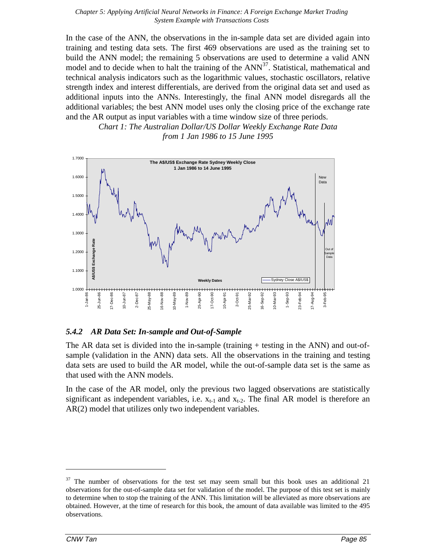In the case of the ANN, the observations in the in-sample data set are divided again into training and testing data sets. The first 469 observations are used as the training set to build the ANN model; the remaining 5 observations are used to determine a valid ANN model and to decide when to halt the training of the ANN<sup>37</sup>. Statistical, mathematical and technical analysis indicators such as the logarithmic values, stochastic oscillators, relative strength index and interest differentials, are derived from the original data set and used as additional inputs into the ANNs. Interestingly, the final ANN model disregards all the additional variables; the best ANN model uses only the closing price of the exchange rate and the AR output as input variables with a time window size of three periods.

> *Chart 1: The Australian Dollar/US Dollar Weekly Exchange Rate Data from 1 Jan 1986 to 15 June 1995*



#### *5.4.2 AR Data Set: In-sample and Out-of-Sample*

The AR data set is divided into the in-sample (training + testing in the ANN) and out-ofsample (validation in the ANN) data sets. All the observations in the training and testing data sets are used to build the AR model, while the out-of-sample data set is the same as that used with the ANN models.

In the case of the AR model, only the previous two lagged observations are statistically significant as independent variables, i.e.  $x_{t-1}$  and  $x_{t-2}$ . The final AR model is therefore an AR(2) model that utilizes only two independent variables.

 $37$  The number of observations for the test set may seem small but this book uses an additional 21 observations for the out-of-sample data set for validation of the model. The purpose of this test set is mainly to determine when to stop the training of the ANN. This limitation will be alleviated as more observations are obtained. However, at the time of research for this book, the amount of data available was limited to the 495 observations.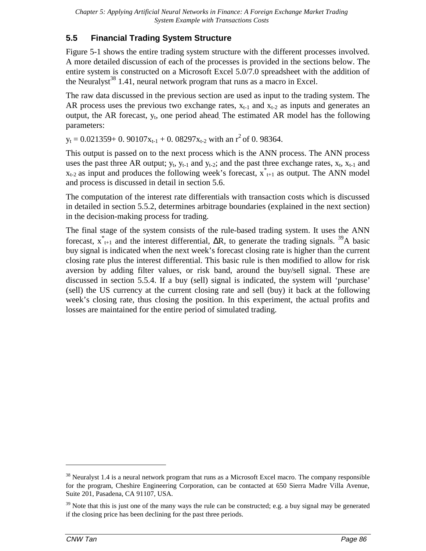### **5.5 Financial Trading System Structure**

Figure 5-1 shows the entire trading system structure with the different processes involved. A more detailed discussion of each of the processes is provided in the sections below. The entire system is constructed on a Microsoft Excel 5.0/7.0 spreadsheet with the addition of the Neuralyst<sup>38</sup> 1.41, neural network program that runs as a macro in Excel.

The raw data discussed in the previous section are used as input to the trading system. The AR process uses the previous two exchange rates,  $x_{t-1}$  and  $x_{t-2}$  as inputs and generates an output, the AR forecast,  $y_t$ , one period ahead. The estimated AR model has the following parameters:

 $y_t = 0.021359 + 0.90107x_{t-1} + 0.08297x_{t-2}$  with an  $r^2$  of 0.98364.

This output is passed on to the next process which is the ANN process. The ANN process uses the past three AR output;  $y_t$ ,  $y_{t-1}$  and  $y_{t-2}$ ; and the past three exchange rates,  $x_t$ ,  $x_{t-1}$  and  $x_{t-2}$  as input and produces the following week's forecast,  $x_{t+1}^*$  as output. The ANN model and process is discussed in detail in section 5.6.

The computation of the interest rate differentials with transaction costs which is discussed in detailed in section 5.5.2, determines arbitrage boundaries (explained in the next section) in the decision-making process for trading.

The final stage of the system consists of the rule-based trading system. It uses the ANN forecast,  $x^*_{t+1}$  and the interest differential,  $\Delta R$ , to generate the trading signals. <sup>39</sup>A basic buy signal is indicated when the next week's forecast closing rate is higher than the current closing rate plus the interest differential. This basic rule is then modified to allow for risk aversion by adding filter values, or risk band, around the buy/sell signal. These are discussed in section 5.5.4. If a buy (sell) signal is indicated, the system will 'purchase' (sell) the US currency at the current closing rate and sell (buy) it back at the following week's closing rate, thus closing the position. In this experiment, the actual profits and losses are maintained for the entire period of simulated trading.

<sup>&</sup>lt;sup>38</sup> Neuralyst 1.4 is a neural network program that runs as a Microsoft Excel macro. The company responsible for the program, Cheshire Engineering Corporation, can be contacted at 650 Sierra Madre Villa Avenue, Suite 201, Pasadena, CA 91107, USA.

<sup>&</sup>lt;sup>39</sup> Note that this is just one of the many ways the rule can be constructed; e.g. a buy signal may be generated if the closing price has been declining for the past three periods.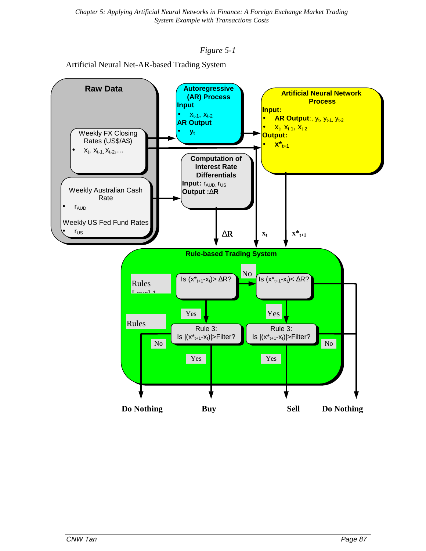#### *Figure 5-1*

Artificial Neural Net-AR-based Trading System

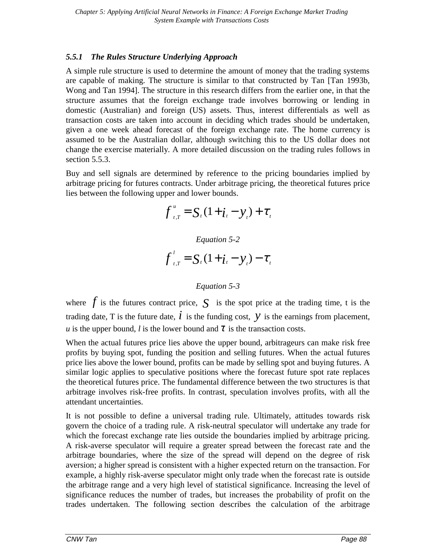#### *5.5.1 The Rules Structure Underlying Approach*

A simple rule structure is used to determine the amount of money that the trading systems are capable of making. The structure is similar to that constructed by Tan [Tan 1993b, Wong and Tan 1994]. The structure in this research differs from the earlier one, in that the structure assumes that the foreign exchange trade involves borrowing or lending in domestic (Australian) and foreign (US) assets. Thus, interest differentials as well as transaction costs are taken into account in deciding which trades should be undertaken, given a one week ahead forecast of the foreign exchange rate. The home currency is assumed to be the Australian dollar, although switching this to the US dollar does not change the exercise materially. A more detailed discussion on the trading rules follows in section 5.5.3.

Buy and sell signals are determined by reference to the pricing boundaries implied by arbitrage pricing for futures contracts. Under arbitrage pricing, the theoretical futures price lies between the following upper and lower bounds.

$$
f_{t,T}^{u} = S_{t} (1 + i_{t} - y_{t}) + \tau_{t}
$$

*Equation 5-2*

$$
f'_{i,T} = S_i (1 + i_i - y_i) - \tau_i
$$

#### *Equation 5-3*

where  $f$  is the futures contract price,  $S$  is the spot price at the trading time, t is the trading date, T is the future date,  $\vec{l}$  is the funding cost,  $\gamma$  is the earnings from placement, *u* is the upper bound, *l* is the lower bound and  $\tau$  is the transaction costs.

When the actual futures price lies above the upper bound, arbitrageurs can make risk free profits by buying spot, funding the position and selling futures. When the actual futures price lies above the lower bound, profits can be made by selling spot and buying futures. A similar logic applies to speculative positions where the forecast future spot rate replaces the theoretical futures price. The fundamental difference between the two structures is that arbitrage involves risk-free profits. In contrast, speculation involves profits, with all the attendant uncertainties.

It is not possible to define a universal trading rule. Ultimately, attitudes towards risk govern the choice of a trading rule. A risk-neutral speculator will undertake any trade for which the forecast exchange rate lies outside the boundaries implied by arbitrage pricing. A risk-averse speculator will require a greater spread between the forecast rate and the arbitrage boundaries, where the size of the spread will depend on the degree of risk aversion; a higher spread is consistent with a higher expected return on the transaction. For example, a highly risk-averse speculator might only trade when the forecast rate is outside the arbitrage range and a very high level of statistical significance. Increasing the level of significance reduces the number of trades, but increases the probability of profit on the trades undertaken. The following section describes the calculation of the arbitrage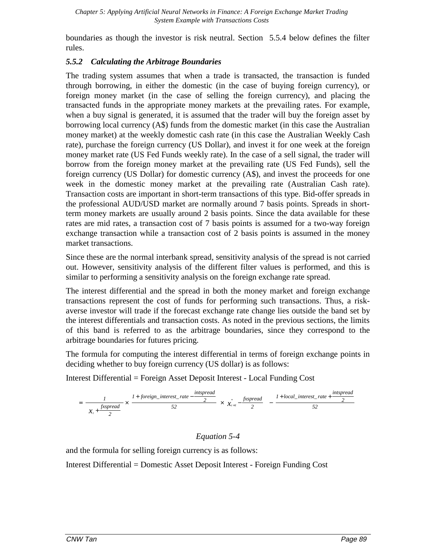boundaries as though the investor is risk neutral. Section 5.5.4 below defines the filter rules.

### *5.5.2 Calculating the Arbitrage Boundaries*

The trading system assumes that when a trade is transacted, the transaction is funded through borrowing, in either the domestic (in the case of buying foreign currency), or foreign money market (in the case of selling the foreign currency), and placing the transacted funds in the appropriate money markets at the prevailing rates. For example, when a buy signal is generated, it is assumed that the trader will buy the foreign asset by borrowing local currency (A\$) funds from the domestic market (in this case the Australian money market) at the weekly domestic cash rate (in this case the Australian Weekly Cash rate), purchase the foreign currency (US Dollar), and invest it for one week at the foreign money market rate (US Fed Funds weekly rate). In the case of a sell signal, the trader will borrow from the foreign money market at the prevailing rate (US Fed Funds), sell the foreign currency (US Dollar) for domestic currency (A\$), and invest the proceeds for one week in the domestic money market at the prevailing rate (Australian Cash rate). Transaction costs are important in short-term transactions of this type. Bid-offer spreads in the professional AUD/USD market are normally around 7 basis points. Spreads in shortterm money markets are usually around 2 basis points. Since the data available for these rates are mid rates, a transaction cost of 7 basis points is assumed for a two-way foreign exchange transaction while a transaction cost of 2 basis points is assumed in the money market transactions.

Since these are the normal interbank spread, sensitivity analysis of the spread is not carried out. However, sensitivity analysis of the different filter values is performed, and this is similar to performing a sensitivity analysis on the foreign exchange rate spread.

The interest differential and the spread in both the money market and foreign exchange transactions represent the cost of funds for performing such transactions. Thus, a riskaverse investor will trade if the forecast exchange rate change lies outside the band set by the interest differentials and transaction costs. As noted in the previous sections, the limits of this band is referred to as the arbitrage boundaries, since they correspond to the arbitrage boundaries for futures pricing.

The formula for computing the interest differential in terms of foreign exchange points in deciding whether to buy foreign currency (US dollar) is as follows:

Interest Differential = Foreign Asset Deposit Interest - Local Funding Cost

$$
= \left[\frac{1}{\left(x_{i} + \frac{fxspread}{2}\right)} \times \left(\frac{1 + foreign\_interest\_rate - \frac{intspread}{2}}{52}\right) \times \left(x_{i+1}^{*} - \frac{fxspread}{2}\right)\right] - \left[\frac{1 + local\_interest\_rate + \frac{intpred}{2}}{52}\right]
$$

*Equation 5-4*

and the formula for selling foreign currency is as follows:

Interest Differential = Domestic Asset Deposit Interest - Foreign Funding Cost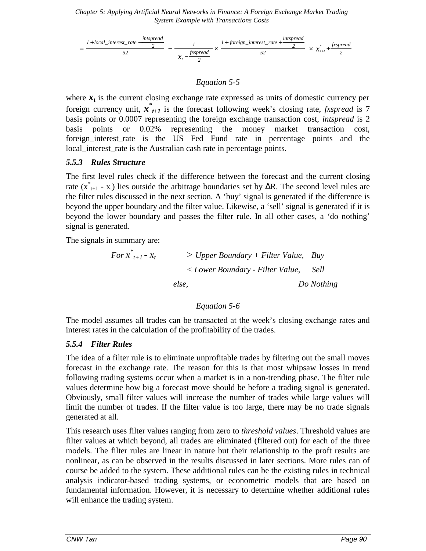

#### *Equation 5-5*

where  $x_t$  is the current closing exchange rate expressed as units of domestic currency per foreign currency unit, *x\* t+1* is the forecast following week's closing rate, *fxspread* is 7 basis points or 0.0007 representing the foreign exchange transaction cost, *intspread* is 2 basis points or 0.02% representing the money market transaction cost, foreign interest rate is the US Fed Fund rate in percentage points and the local\_interest\_rate is the Australian cash rate in percentage points.

#### *5.5.3 Rules Structure*

The first level rules check if the difference between the forecast and the current closing rate ( $x^*_{t+1}$  -  $x_t$ ) lies outside the arbitrage boundaries set by  $\Delta R$ . The second level rules are the filter rules discussed in the next section. A 'buy' signal is generated if the difference is beyond the upper boundary and the filter value. Likewise, a 'sell' signal is generated if it is beyond the lower boundary and passes the filter rule. In all other cases, a 'do nothing' signal is generated.

The signals in summary are:

$$
For x*t+1 - xt > Upper Boundary + Filter Value, BuyLower Boundary - Filter Value, Sellelse, Do Nothing
$$

#### *Equation 5-6*

The model assumes all trades can be transacted at the week's closing exchange rates and interest rates in the calculation of the profitability of the trades.

#### *5.5.4 Filter Rules*

The idea of a filter rule is to eliminate unprofitable trades by filtering out the small moves forecast in the exchange rate. The reason for this is that most whipsaw losses in trend following trading systems occur when a market is in a non-trending phase. The filter rule values determine how big a forecast move should be before a trading signal is generated. Obviously, small filter values will increase the number of trades while large values will limit the number of trades. If the filter value is too large, there may be no trade signals generated at all.

This research uses filter values ranging from zero to *threshold values*. Threshold values are filter values at which beyond, all trades are eliminated (filtered out) for each of the three models. The filter rules are linear in nature but their relationship to the proft results are nonlinear, as can be observed in the results discussed in later sections. More rules can of course be added to the system. These additional rules can be the existing rules in technical analysis indicator-based trading systems, or econometric models that are based on fundamental information. However, it is necessary to determine whether additional rules will enhance the trading system.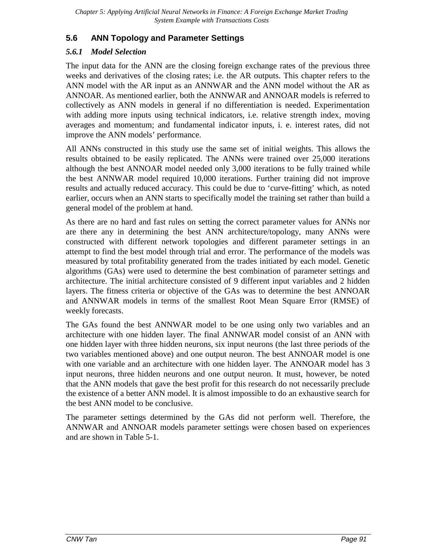# **5.6 ANN Topology and Parameter Settings**

### *5.6.1 Model Selection*

The input data for the ANN are the closing foreign exchange rates of the previous three weeks and derivatives of the closing rates; i.e. the AR outputs. This chapter refers to the ANN model with the AR input as an ANNWAR and the ANN model without the AR as ANNOAR. As mentioned earlier, both the ANNWAR and ANNOAR models is referred to collectively as ANN models in general if no differentiation is needed. Experimentation with adding more inputs using technical indicators, i.e. relative strength index, moving averages and momentum; and fundamental indicator inputs, i. e. interest rates, did not improve the ANN models' performance.

All ANNs constructed in this study use the same set of initial weights. This allows the results obtained to be easily replicated. The ANNs were trained over 25,000 iterations although the best ANNOAR model needed only 3,000 iterations to be fully trained while the best ANNWAR model required 10,000 iterations. Further training did not improve results and actually reduced accuracy. This could be due to 'curve-fitting' which, as noted earlier, occurs when an ANN starts to specifically model the training set rather than build a general model of the problem at hand.

As there are no hard and fast rules on setting the correct parameter values for ANNs nor are there any in determining the best ANN architecture/topology, many ANNs were constructed with different network topologies and different parameter settings in an attempt to find the best model through trial and error. The performance of the models was measured by total profitability generated from the trades initiated by each model. Genetic algorithms (GAs) were used to determine the best combination of parameter settings and architecture. The initial architecture consisted of 9 different input variables and 2 hidden layers. The fitness criteria or objective of the GAs was to determine the best ANNOAR and ANNWAR models in terms of the smallest Root Mean Square Error (RMSE) of weekly forecasts.

The GAs found the best ANNWAR model to be one using only two variables and an architecture with one hidden layer. The final ANNWAR model consist of an ANN with one hidden layer with three hidden neurons, six input neurons (the last three periods of the two variables mentioned above) and one output neuron. The best ANNOAR model is one with one variable and an architecture with one hidden layer. The ANNOAR model has 3 input neurons, three hidden neurons and one output neuron. It must, however, be noted that the ANN models that gave the best profit for this research do not necessarily preclude the existence of a better ANN model. It is almost impossible to do an exhaustive search for the best ANN model to be conclusive.

The parameter settings determined by the GAs did not perform well. Therefore, the ANNWAR and ANNOAR models parameter settings were chosen based on experiences and are shown in Table 5-1.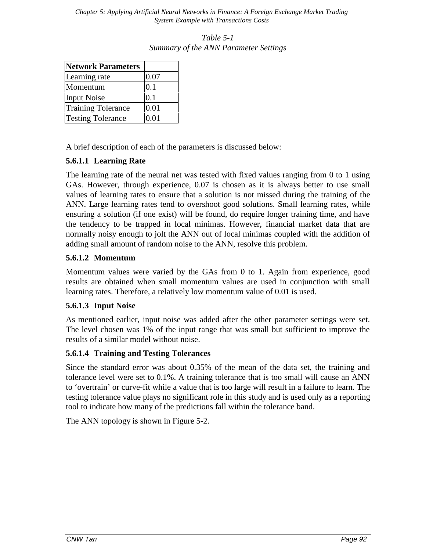**Network Parameters** Learning rate  $\vert 0.07 \rangle$ Momentum 0.1 Input Noise  $\vert$  0.1 Training Tolerance | 0.01 Testing Tolerance | 0.01

*Table 5-1 Summary of the ANN Parameter Settings*

A brief description of each of the parameters is discussed below:

#### **5.6.1.1 Learning Rate**

The learning rate of the neural net was tested with fixed values ranging from 0 to 1 using GAs. However, through experience, 0.07 is chosen as it is always better to use small values of learning rates to ensure that a solution is not missed during the training of the ANN. Large learning rates tend to overshoot good solutions. Small learning rates, while ensuring a solution (if one exist) will be found, do require longer training time, and have the tendency to be trapped in local minimas. However, financial market data that are normally noisy enough to jolt the ANN out of local minimas coupled with the addition of adding small amount of random noise to the ANN, resolve this problem.

#### **5.6.1.2 Momentum**

Momentum values were varied by the GAs from 0 to 1. Again from experience, good results are obtained when small momentum values are used in conjunction with small learning rates. Therefore, a relatively low momentum value of 0.01 is used.

#### **5.6.1.3 Input Noise**

As mentioned earlier, input noise was added after the other parameter settings were set. The level chosen was 1% of the input range that was small but sufficient to improve the results of a similar model without noise.

#### **5.6.1.4 Training and Testing Tolerances**

Since the standard error was about 0.35% of the mean of the data set, the training and tolerance level were set to 0.1%. A training tolerance that is too small will cause an ANN to 'overtrain' or curve-fit while a value that is too large will result in a failure to learn. The testing tolerance value plays no significant role in this study and is used only as a reporting tool to indicate how many of the predictions fall within the tolerance band.

The ANN topology is shown in Figure 5-2.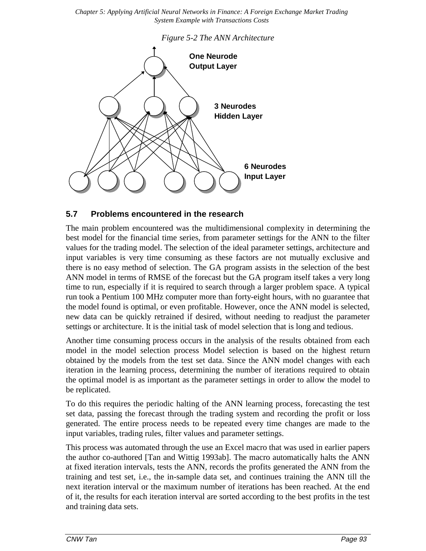

#### **5.7 Problems encountered in the research**

The main problem encountered was the multidimensional complexity in determining the best model for the financial time series, from parameter settings for the ANN to the filter values for the trading model. The selection of the ideal parameter settings, architecture and input variables is very time consuming as these factors are not mutually exclusive and there is no easy method of selection. The GA program assists in the selection of the best ANN model in terms of RMSE of the forecast but the GA program itself takes a very long time to run, especially if it is required to search through a larger problem space. A typical run took a Pentium 100 MHz computer more than forty-eight hours, with no guarantee that the model found is optimal, or even profitable. However, once the ANN model is selected, new data can be quickly retrained if desired, without needing to readjust the parameter settings or architecture. It is the initial task of model selection that is long and tedious.

Another time consuming process occurs in the analysis of the results obtained from each model in the model selection process Model selection is based on the highest return obtained by the models from the test set data. Since the ANN model changes with each iteration in the learning process, determining the number of iterations required to obtain the optimal model is as important as the parameter settings in order to allow the model to be replicated.

To do this requires the periodic halting of the ANN learning process, forecasting the test set data, passing the forecast through the trading system and recording the profit or loss generated. The entire process needs to be repeated every time changes are made to the input variables, trading rules, filter values and parameter settings.

This process was automated through the use an Excel macro that was used in earlier papers the author co-authored [Tan and Wittig 1993ab]. The macro automatically halts the ANN at fixed iteration intervals, tests the ANN, records the profits generated the ANN from the training and test set, i.e., the in-sample data set, and continues training the ANN till the next iteration interval or the maximum number of iterations has been reached. At the end of it, the results for each iteration interval are sorted according to the best profits in the test and training data sets.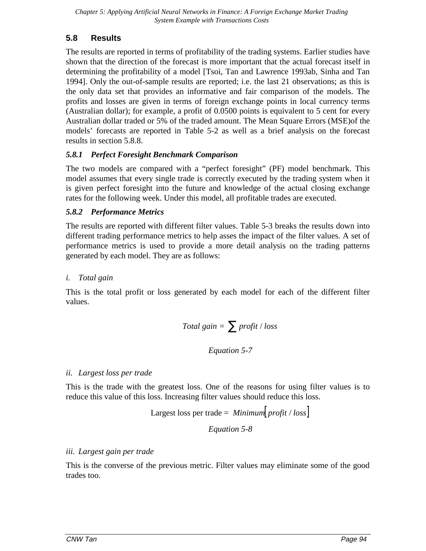# **5.8 Results**

The results are reported in terms of profitability of the trading systems. Earlier studies have shown that the direction of the forecast is more important that the actual forecast itself in determining the profitability of a model [Tsoi, Tan and Lawrence 1993ab, Sinha and Tan 1994]. Only the out-of-sample results are reported; i.e. the last 21 observations; as this is the only data set that provides an informative and fair comparison of the models. The profits and losses are given in terms of foreign exchange points in local currency terms (Australian dollar); for example, a profit of 0.0500 points is equivalent to 5 cent for every Australian dollar traded or 5% of the traded amount. The Mean Square Errors (MSE)of the models' forecasts are reported in Table 5-2 as well as a brief analysis on the forecast results in section 5.8.8.

### *5.8.1 Perfect Foresight Benchmark Comparison*

The two models are compared with a "perfect foresight" (PF) model benchmark. This model assumes that every single trade is correctly executed by the trading system when it is given perfect foresight into the future and knowledge of the actual closing exchange rates for the following week. Under this model, all profitable trades are executed.

### *5.8.2 Performance Metrics*

The results are reported with different filter values. Table 5-3 breaks the results down into different trading performance metrics to help asses the impact of the filter values. A set of performance metrics is used to provide a more detail analysis on the trading patterns generated by each model. They are as follows:

### *i. Total gain*

This is the total profit or loss generated by each model for each of the different filter values.

$$
Total gain = \sum profit / loss
$$

### *Equation 5-7*

### *ii. Largest loss per trade*

This is the trade with the greatest loss. One of the reasons for using filter values is to reduce this value of this loss. Increasing filter values should reduce this loss.

Largest loss per trade = *Minimum profit loss* [ ] / *Equation 5-8*

### *iii. Largest gain per trade*

This is the converse of the previous metric. Filter values may eliminate some of the good trades too.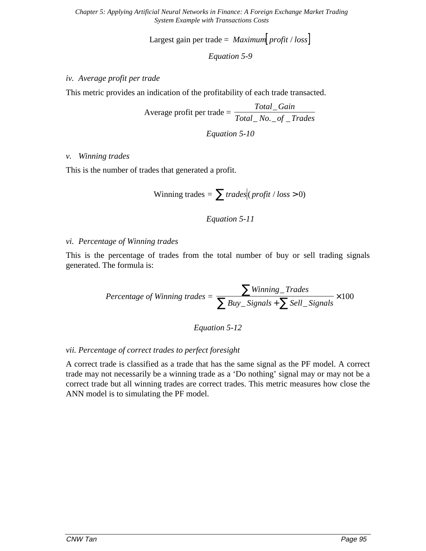Largest gain per trade =  $Maximum$  *profit* /  $loss$ 

*Equation 5-9*

#### *iv. Average profit per trade*

This metric provides an indication of the profitability of each trade transacted.

Average profit per trade = 
$$
\frac{Total\_Gain}{Total\_No\_of\_Trades}
$$

*Equation 5-10*

#### *v. Winning trades*

This is the number of trades that generated a profit.

$$
Winning \; trades = \sum \; trades \, | \; profits / \; loss > 0)
$$

#### *Equation 5-11*

#### *vi. Percentage of Winning trades*

This is the percentage of trades from the total number of buy or sell trading signals generated. The formula is:

$$
Percentage of Winning trades = \frac{\sum Winning\_Trades}{\sum Buy\_Signals + \sum Sell\_Signals} \times 100
$$

*Equation 5-12*

#### *vii. Percentage of correct trades to perfect foresight*

A correct trade is classified as a trade that has the same signal as the PF model. A correct trade may not necessarily be a winning trade as a 'Do nothing' signal may or may not be a correct trade but all winning trades are correct trades. This metric measures how close the ANN model is to simulating the PF model.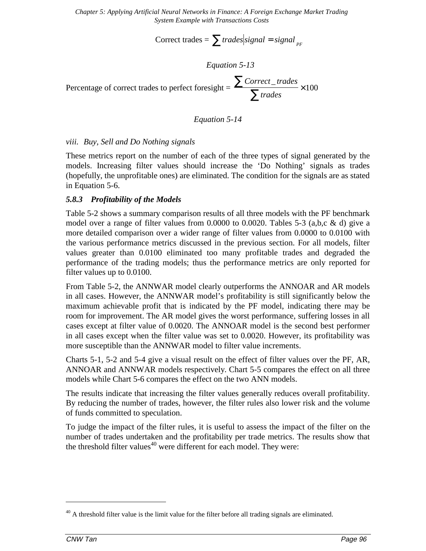Correct trades =  $\sum$  *trades signal* = *signal*  $_{PF}$ 

*Equation 5-13*

Percentage of correct trades to perfect foresight  $=$  $Correct\_trades$ *trades*  $\sum$ Correct\_  $\frac{1}{\sum \text{trades}} \times 100$ 

#### *Equation 5-14*

#### *viii. Buy, Sell and Do Nothing signals*

These metrics report on the number of each of the three types of signal generated by the models. Increasing filter values should increase the 'Do Nothing' signals as trades (hopefully, the unprofitable ones) are eliminated. The condition for the signals are as stated in Equation 5-6.

#### *5.8.3 Profitability of the Models*

Table 5-2 shows a summary comparison results of all three models with the PF benchmark model over a range of filter values from  $0.0000$  to  $0.0020$ . Tables 5-3 (a,b,c & d) give a more detailed comparison over a wider range of filter values from 0.0000 to 0.0100 with the various performance metrics discussed in the previous section. For all models, filter values greater than 0.0100 eliminated too many profitable trades and degraded the performance of the trading models; thus the performance metrics are only reported for filter values up to 0.0100.

From Table 5-2, the ANNWAR model clearly outperforms the ANNOAR and AR models in all cases. However, the ANNWAR model's profitability is still significantly below the maximum achievable profit that is indicated by the PF model, indicating there may be room for improvement. The AR model gives the worst performance, suffering losses in all cases except at filter value of 0.0020. The ANNOAR model is the second best performer in all cases except when the filter value was set to 0.0020. However, its profitability was more susceptible than the ANNWAR model to filter value increments.

Charts 5-1, 5-2 and 5-4 give a visual result on the effect of filter values over the PF, AR, ANNOAR and ANNWAR models respectively. Chart 5-5 compares the effect on all three models while Chart 5-6 compares the effect on the two ANN models.

The results indicate that increasing the filter values generally reduces overall profitability. By reducing the number of trades, however, the filter rules also lower risk and the volume of funds committed to speculation.

To judge the impact of the filter rules, it is useful to assess the impact of the filter on the number of trades undertaken and the profitability per trade metrics. The results show that the threshold filter values<sup>40</sup> were different for each model. They were:

 $40$  A threshold filter value is the limit value for the filter before all trading signals are eliminated.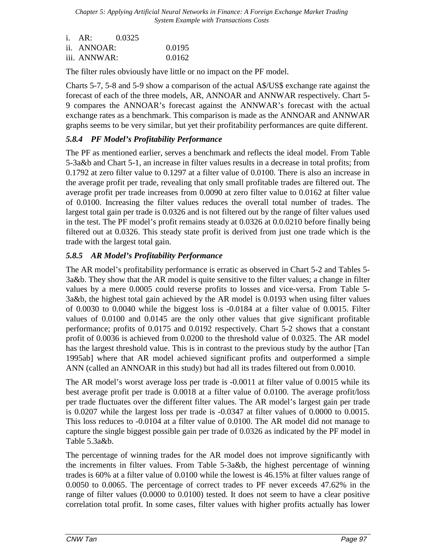| $i. \quad AR:$ | 0.0325 |        |
|----------------|--------|--------|
| ii. ANNOAR:    |        | 0.0195 |
| iii. ANNWAR:   |        | 0.0162 |

The filter rules obviously have little or no impact on the PF model.

Charts 5-7, 5-8 and 5-9 show a comparison of the actual A\$/US\$ exchange rate against the forecast of each of the three models, AR, ANNOAR and ANNWAR respectively. Chart 5- 9 compares the ANNOAR's forecast against the ANNWAR's forecast with the actual exchange rates as a benchmark. This comparison is made as the ANNOAR and ANNWAR graphs seems to be very similar, but yet their profitability performances are quite different.

### *5.8.4 PF Model's Profitability Performance*

The PF as mentioned earlier, serves a benchmark and reflects the ideal model. From Table 5-3a&b and Chart 5-1, an increase in filter values results in a decrease in total profits; from 0.1792 at zero filter value to 0.1297 at a filter value of 0.0100. There is also an increase in the average profit per trade, revealing that only small profitable trades are filtered out. The average profit per trade increases from 0.0090 at zero filter value to 0.0162 at filter value of 0.0100. Increasing the filter values reduces the overall total number of trades. The largest total gain per trade is 0.0326 and is not filtered out by the range of filter values used in the test. The PF model's profit remains steady at 0.0326 at 0.0.0210 before finally being filtered out at 0.0326. This steady state profit is derived from just one trade which is the trade with the largest total gain.

#### *5.8.5 AR Model's Profitability Performance*

The AR model's profitability performance is erratic as observed in Chart 5-2 and Tables 5- 3a&b. They show that the AR model is quite sensitive to the filter values; a change in filter values by a mere 0.0005 could reverse profits to losses and vice-versa. From Table 5- 3a&b, the highest total gain achieved by the AR model is 0.0193 when using filter values of 0.0030 to 0.0040 while the biggest loss is -0.0184 at a filter value of 0.0015. Filter values of 0.0100 and 0.0145 are the only other values that give significant profitable performance; profits of 0.0175 and 0.0192 respectively. Chart 5-2 shows that a constant profit of 0.0036 is achieved from 0.0200 to the threshold value of 0.0325. The AR model has the largest threshold value. This is in contrast to the previous study by the author [Tan 1995ab] where that AR model achieved significant profits and outperformed a simple ANN (called an ANNOAR in this study) but had all its trades filtered out from 0.0010.

The AR model's worst average loss per trade is -0.0011 at filter value of 0.0015 while its best average profit per trade is 0.0018 at a filter value of 0.0100. The average profit/loss per trade fluctuates over the different filter values. The AR model's largest gain per trade is 0.0207 while the largest loss per trade is -0.0347 at filter values of 0.0000 to 0.0015. This loss reduces to -0.0104 at a filter value of 0.0100. The AR model did not manage to capture the single biggest possible gain per trade of 0.0326 as indicated by the PF model in Table 5.3a&b.

The percentage of winning trades for the AR model does not improve significantly with the increments in filter values. From Table 5-3a&b, the highest percentage of winning trades is 60% at a filter value of 0.0100 while the lowest is 46.15% at filter values range of 0.0050 to 0.0065. The percentage of correct trades to PF never exceeds 47.62% in the range of filter values (0.0000 to 0.0100) tested. It does not seem to have a clear positive correlation total profit. In some cases, filter values with higher profits actually has lower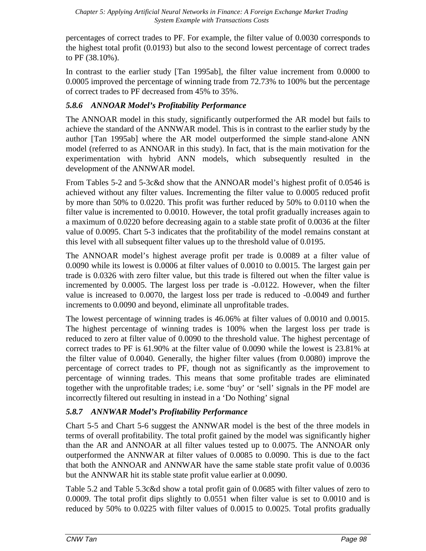percentages of correct trades to PF. For example, the filter value of 0.0030 corresponds to the highest total profit (0.0193) but also to the second lowest percentage of correct trades to PF (38.10%).

In contrast to the earlier study [Tan 1995ab], the filter value increment from 0.0000 to 0.0005 improved the percentage of winning trade from 72.73% to 100% but the percentage of correct trades to PF decreased from 45% to 35%.

### *5.8.6 ANNOAR Model's Profitability Performance*

The ANNOAR model in this study, significantly outperformed the AR model but fails to achieve the standard of the ANNWAR model. This is in contrast to the earlier study by the author [Tan 1995ab] where the AR model outperformed the simple stand-alone ANN model (referred to as ANNOAR in this study). In fact, that is the main motivation for the experimentation with hybrid ANN models, which subsequently resulted in the development of the ANNWAR model.

From Tables 5-2 and 5-3c&d show that the ANNOAR model's highest profit of 0.0546 is achieved without any filter values. Incrementing the filter value to 0.0005 reduced profit by more than 50% to 0.0220. This profit was further reduced by 50% to 0.0110 when the filter value is incremented to 0.0010. However, the total profit gradually increases again to a maximum of 0.0220 before decreasing again to a stable state profit of 0.0036 at the filter value of 0.0095. Chart 5-3 indicates that the profitability of the model remains constant at this level with all subsequent filter values up to the threshold value of 0.0195.

The ANNOAR model's highest average profit per trade is 0.0089 at a filter value of 0.0090 while its lowest is 0.0006 at filter values of 0.0010 to 0.0015. The largest gain per trade is 0.0326 with zero filter value, but this trade is filtered out when the filter value is incremented by 0.0005. The largest loss per trade is -0.0122. However, when the filter value is increased to 0.0070, the largest loss per trade is reduced to -0.0049 and further increments to 0.0090 and beyond, eliminate all unprofitable trades.

The lowest percentage of winning trades is 46.06% at filter values of 0.0010 and 0.0015. The highest percentage of winning trades is 100% when the largest loss per trade is reduced to zero at filter value of 0.0090 to the threshold value. The highest percentage of correct trades to PF is 61.90% at the filter value of 0.0090 while the lowest is 23.81% at the filter value of 0.0040. Generally, the higher filter values (from 0.0080) improve the percentage of correct trades to PF, though not as significantly as the improvement to percentage of winning trades. This means that some profitable trades are eliminated together with the unprofitable trades; i.e. some 'buy' or 'sell' signals in the PF model are incorrectly filtered out resulting in instead in a 'Do Nothing' signal

### *5.8.7 ANNWAR Model's Profitability Performance*

Chart 5-5 and Chart 5-6 suggest the ANNWAR model is the best of the three models in terms of overall profitability. The total profit gained by the model was significantly higher than the AR and ANNOAR at all filter values tested up to 0.0075. The ANNOAR only outperformed the ANNWAR at filter values of 0.0085 to 0.0090. This is due to the fact that both the ANNOAR and ANNWAR have the same stable state profit value of 0.0036 but the ANNWAR hit its stable state profit value earlier at 0.0090.

Table 5.2 and Table 5.3c&d show a total profit gain of 0.0685 with filter values of zero to 0.0009. The total profit dips slightly to 0.0551 when filter value is set to 0.0010 and is reduced by 50% to 0.0225 with filter values of 0.0015 to 0.0025. Total profits gradually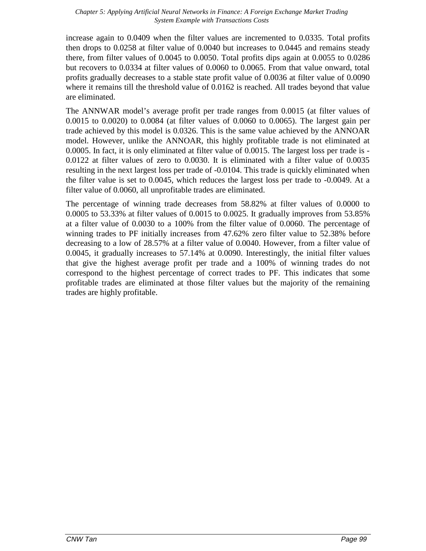increase again to 0.0409 when the filter values are incremented to 0.0335. Total profits then drops to 0.0258 at filter value of 0.0040 but increases to 0.0445 and remains steady there, from filter values of 0.0045 to 0.0050. Total profits dips again at 0.0055 to 0.0286 but recovers to 0.0334 at filter values of 0.0060 to 0.0065. From that value onward, total profits gradually decreases to a stable state profit value of 0.0036 at filter value of 0.0090 where it remains till the threshold value of 0.0162 is reached. All trades beyond that value are eliminated.

The ANNWAR model's average profit per trade ranges from 0.0015 (at filter values of 0.0015 to 0.0020) to 0.0084 (at filter values of 0.0060 to 0.0065). The largest gain per trade achieved by this model is 0.0326. This is the same value achieved by the ANNOAR model. However, unlike the ANNOAR, this highly profitable trade is not eliminated at 0.0005. In fact, it is only eliminated at filter value of 0.0015. The largest loss per trade is - 0.0122 at filter values of zero to 0.0030. It is eliminated with a filter value of 0.0035 resulting in the next largest loss per trade of -0.0104. This trade is quickly eliminated when the filter value is set to 0.0045, which reduces the largest loss per trade to -0.0049. At a filter value of 0.0060, all unprofitable trades are eliminated.

The percentage of winning trade decreases from 58.82% at filter values of 0.0000 to 0.0005 to 53.33% at filter values of 0.0015 to 0.0025. It gradually improves from 53.85% at a filter value of 0.0030 to a 100% from the filter value of 0.0060. The percentage of winning trades to PF initially increases from 47.62% zero filter value to 52.38% before decreasing to a low of 28.57% at a filter value of 0.0040. However, from a filter value of 0.0045, it gradually increases to 57.14% at 0.0090. Interestingly, the initial filter values that give the highest average profit per trade and a 100% of winning trades do not correspond to the highest percentage of correct trades to PF. This indicates that some profitable trades are eliminated at those filter values but the majority of the remaining trades are highly profitable.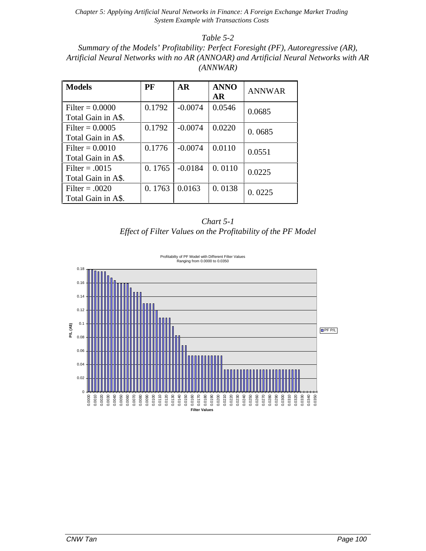*Table 5-2*

*Summary of the Models' Profitability: Perfect Foresight (PF), Autoregressive (AR), Artificial Neural Networks with no AR (ANNOAR) and Artificial Neural Networks with AR (ANNWAR)*

| <b>Models</b>                           | PF     | <b>AR</b> | <b>ANNO</b><br><b>AR</b> | <b>ANNWAR</b> |
|-----------------------------------------|--------|-----------|--------------------------|---------------|
| Filter = $0.0000$<br>Total Gain in A\$. | 0.1792 | $-0.0074$ | 0.0546                   | 0.0685        |
| Filter = $0.0005$<br>Total Gain in A\$. | 0.1792 | $-0.0074$ | 0.0220                   | 0.0685        |
| Filter = $0.0010$<br>Total Gain in A\$. | 0.1776 | $-0.0074$ | 0.0110                   | 0.0551        |
| Filter $= .0015$<br>Total Gain in A\$.  | 0.1765 | $-0.0184$ | 0.0110                   | 0.0225        |
| Filter = $.0020$<br>Total Gain in A\$.  | 0.1763 | 0.0163    | 0.0138                   | 0.0225        |



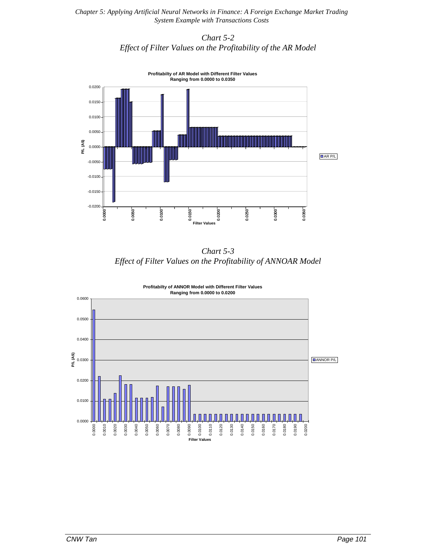#### *Chart 5-2 Effect of Filter Values on the Profitability of the AR Model*



*Chart 5-3 Effect of Filter Values on the Profitability of ANNOAR Model*

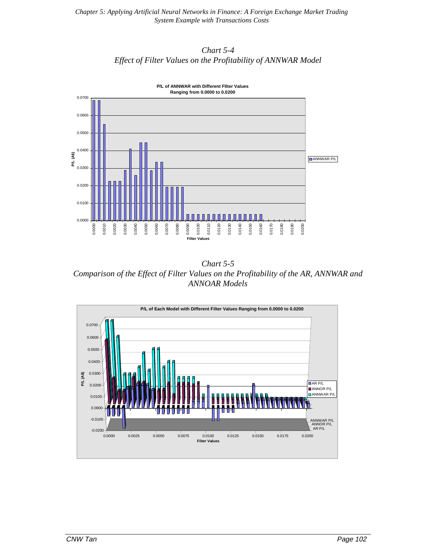



*Chart 5-5 Comparison of the Effect of Filter Values on the Profitability of the AR, ANNWAR and ANNOAR Models*

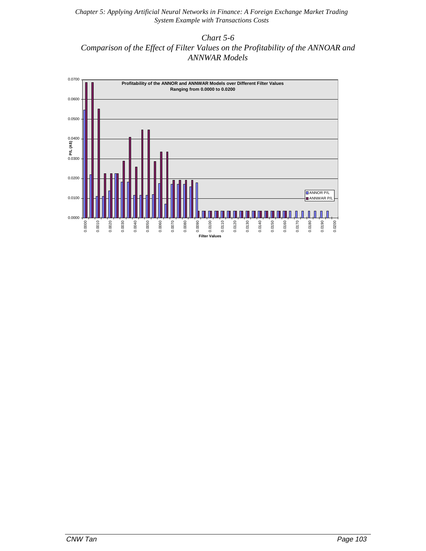*Chart 5-6 Comparison of the Effect of Filter Values on the Profitability of the ANNOAR and ANNWAR Models*

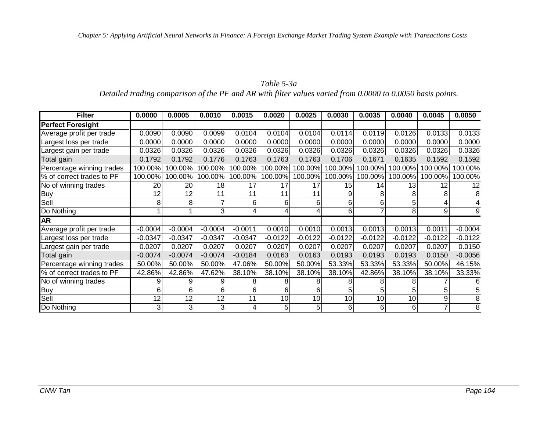#### *Table 5-3a*

*Detailed trading comparison of the PF and AR with filter values varied from 0.0000 to 0.0050 basis points.*

| <b>Filter</b>             | 0.0000    | 0.0005    | 0.0010         | 0.0015         | 0.0020    | 0.0025    | 0.0030    | 0.0035    | 0.0040    | 0.0045         | 0.0050    |
|---------------------------|-----------|-----------|----------------|----------------|-----------|-----------|-----------|-----------|-----------|----------------|-----------|
| <b>Perfect Foresight</b>  |           |           |                |                |           |           |           |           |           |                |           |
| Average profit per trade  | 0.0090    | 0.0090    | 0.0099         | 0.0104         | 0.0104    | 0.0104    | 0.0114    | 0.0119    | 0.0126    | 0.0133         | 0.0133    |
| Largest loss per trade    | 0.0000    | 0.0000    | 0.0000         | 0.0000         | 0.0000    | 0.0000    | 0.0000    | 0.0000    | 0.0000    | 0.0000         | 0.0000    |
| Largest gain per trade    | 0.0326    | 0.0326    | 0.0326         | 0.0326         | 0.0326    | 0.0326    | 0.0326    | 0.0326    | 0.0326    | 0.0326         | 0.0326    |
| Total gain                | 0.1792    | 0.1792    | 0.1776         | 0.1763         | 0.1763    | 0.1763    | 0.1706    | 0.1671    | 0.1635    | 0.1592         | 0.1592    |
| Percentage winning trades | 100.00%   | 100.00%   | 100.00%        | 100.00%        | 100.00%   | 100.00%   | 100.00%   | 100.00%   | 100.00%   | 100.00%        | 100.00%   |
| % of correct trades to PF | 100.00%   | 100.00%   | 100.00%        | 100.00%        | 100.00%   | 100.00%   | 100.00%   | 100.00%   | 100.00%   | 100.00%        | 100.00%   |
| No of winning trades      | 20        | 20        | 18             | 17             | 17        | 17        | 15        | 14        | 13        | 12             | 12        |
| <b>Buy</b>                | 12        | 12        | 11             | 11             | 11        | 11        | 9         |           | 8         | 8              |           |
| Sell                      | 8         | 8         |                | 6 <sup>1</sup> | 6         | 6         | 6         | 6         |           | 4              |           |
| Do Nothing                |           |           | 3              | 4              |           | 4         | 6         |           | 8         | 9              |           |
| <b>AR</b>                 |           |           |                |                |           |           |           |           |           |                |           |
| Average profit per trade  | $-0.0004$ | $-0.0004$ | $-0.0004$      | $-0.0011$      | 0.0010    | 0.0010    | 0.0013    | 0.0013    | 0.0013    | 0.0011         | $-0.0004$ |
| Largest loss per trade    | $-0.0347$ | $-0.0347$ | $-0.0347$      | $-0.0347$      | $-0.0122$ | $-0.0122$ | $-0.0122$ | $-0.0122$ | $-0.0122$ | $-0.0122$      | $-0.0122$ |
| Largest gain per trade    | 0.0207    | 0.0207    | 0.0207         | 0.0207         | 0.0207    | 0.0207    | 0.0207    | 0.0207    | 0.0207    | 0.0207         | 0.0150    |
| Total gain                | $-0.0074$ | $-0.0074$ | $-0.0074$      | $-0.0184$      | 0.0163    | 0.0163    | 0.0193    | 0.0193    | 0.0193    | 0.0150         | $-0.0056$ |
| Percentage winning trades | 50.00%    | 50.00%    | 50.00%         | 47.06%         | 50.00%    | 50.00%    | 53.33%    | 53.33%    | 53.33%    | 50.00%         | 46.15%    |
| % of correct trades to PF | 42.86%    | 42.86%    | 47.62%         | 38.10%         | 38.10%    | 38.10%    | 38.10%    | 42.86%    | 38.10%    | 38.10%         | 33.33%    |
| No of winning trades      | g         |           | 9              | 8              | 8         | 8         | 8         |           |           |                |           |
| <b>Buy</b>                | 6         | 6         | 6              | 6              | 6         | 6         | 5         |           |           | 5              |           |
| Sell                      | 12        | 12        | 12             | 11             | 10        | 10        | 10        | 10        | 10        | 9              |           |
| Do Nothing                | 3         | 3         | 3 <sub>1</sub> | 4              | 5         | 5         | 6         | 6         | 6         | $\overline{7}$ | 8         |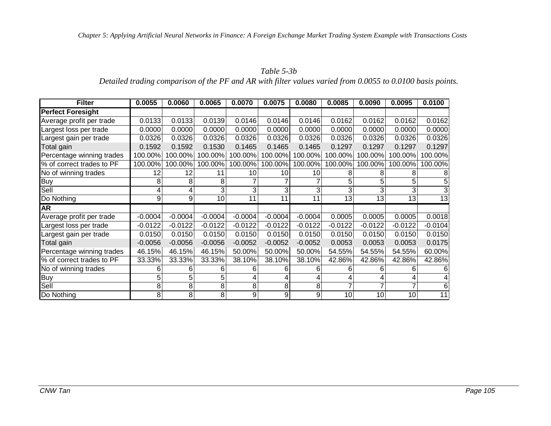### *Table 5-3b Detailed trading comparison of the PF and AR with filter values varied from 0.0055 to 0.0100 basis points.*

| <b>Filter</b>             | 0.0055    | 0.0060    | 0.0065    | 0.0070    | 0.0075    | 0.0080    | 0.0085    | 0.0090    | 0.0095    | 0.0100    |
|---------------------------|-----------|-----------|-----------|-----------|-----------|-----------|-----------|-----------|-----------|-----------|
| <b>Perfect Foresight</b>  |           |           |           |           |           |           |           |           |           |           |
| Average profit per trade  | 0.0133    | 0.0133    | 0.0139    | 0.0146    | 0.0146    | 0.0146    | 0.0162    | 0.0162    | 0.0162    | 0.0162    |
| Largest loss per trade    | 0.0000    | 0.0000    | 0.0000    | 0.0000    | 0.0000    | 0.0000    | 0.0000    | 0.0000    | 0.0000    | 0.0000    |
| Largest gain per trade    | 0.0326    | 0.0326    | 0.0326    | 0.0326    | 0.0326    | 0.0326    | 0.0326    | 0.0326    | 0.0326    | 0.0326    |
| Total gain                | 0.1592    | 0.1592    | 0.1530    | 0.1465    | 0.1465    | 0.1465    | 0.1297    | 0.1297    | 0.1297    | 0.1297    |
| Percentage winning trades | 100.00%   | 100.00%   | 100.00%   | 100.00%   | 100.00%   | 100.00%   | 100.00%   | 100.00%   | 100.00%   | 100.00%   |
| % of correct trades to PF | 100.00%   | 100.00%   | 100.00%   | 100.00%   | 100.00%   | 100.00%   | 100.00%   | 100.00%   | 100.00%   | 100.00%   |
| No of winning trades      | 12        | 12        | 11        | 10        | 10        | 10        | 8         | 8         |           | 8         |
| <b>Buy</b>                | 8         | 8         | 8         |           |           |           | 5         | 5         |           | 5         |
| Sell                      | 4         |           |           | 3         | 3         |           | 3         | 3         |           | 3         |
| Do Nothing                | 9         | 9         | 10        | 11        | 11        | 11        | 13        | 13        | 13        | 13        |
| $\overline{\mathsf{AR}}$  |           |           |           |           |           |           |           |           |           |           |
| Average profit per trade  | $-0.0004$ | $-0.0004$ | $-0.0004$ | $-0.0004$ | $-0.0004$ | $-0.0004$ | 0.0005    | 0.0005    | 0.0005    | 0.0018    |
| Largest loss per trade    | $-0.0122$ | $-0.0122$ | $-0.0122$ | $-0.0122$ | $-0.0122$ | $-0.0122$ | $-0.0122$ | $-0.0122$ | $-0.0122$ | $-0.0104$ |
| Largest gain per trade    | 0.0150    | 0.0150    | 0.0150    | 0.0150    | 0.0150    | 0.0150    | 0.0150    | 0.0150    | 0.0150    | 0.0150    |
| Total gain                | $-0.0056$ | $-0.0056$ | $-0.0056$ | $-0.0052$ | $-0.0052$ | $-0.0052$ | 0.0053    | 0.0053    | 0.0053    | 0.0175    |
| Percentage winning trades | 46.15%    | 46.15%    | 46.15%    | 50.00%    | 50.00%    | 50.00%    | 54.55%    | 54.55%    | 54.55%    | 60.00%    |
| % of correct trades to PF | 33.33%    | 33.33%    | 33.33%    | 38.10%    | 38.10%    | 38.10%    | 42.86%    | 42.86%    | 42.86%    | 42.86%    |
| No of winning trades      | 6         | 6         | 6         | 6         | 6         | 6         | 6         | 6         | 6         | 6         |
| <b>Buy</b>                | 5         | 5         | 5         |           |           |           | 4         | 4         |           | 4         |
| Sell                      | 8         | 8         | 8         | 8         | 8         | 8         |           |           |           | 6         |
| Do Nothing                | 8         | 8         | 8         | 9         | 9         | 9         | 10        | 10        | 10        | 11        |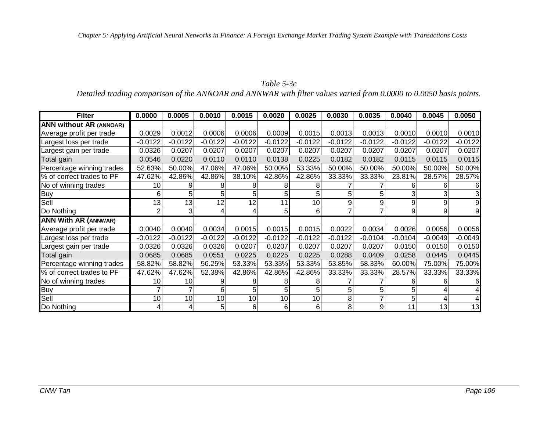### *Table 5-3c*

*Detailed trading comparison of the ANNOAR and ANNWAR with filter values varied from 0.0000 to 0.0050 basis points.*

| <b>Filter</b>                  | 0.0000    | 0.0005    | 0.0010    | 0.0015    | 0.0020    | 0.0025    | 0.0030         | 0.0035    | 0.0040    | 0.0045    | 0.0050    |
|--------------------------------|-----------|-----------|-----------|-----------|-----------|-----------|----------------|-----------|-----------|-----------|-----------|
| <b>ANN without AR (ANNOAR)</b> |           |           |           |           |           |           |                |           |           |           |           |
| Average profit per trade       | 0.0029    | 0.0012    | 0.0006    | 0.0006    | 0.0009    | 0.0015    | 0.0013         | 0.0013    | 0.0010    | 0.0010    | 0.0010    |
| Largest loss per trade         | $-0.0122$ | $-0.0122$ | $-0.0122$ | $-0.0122$ | $-0.0122$ | $-0.0122$ | $-0.0122$      | $-0.0122$ | $-0.0122$ | $-0.0122$ | $-0.0122$ |
| Largest gain per trade         | 0.0326    | 0.0207    | 0.0207    | 0.0207    | 0.0207    | 0.0207    | 0.0207         | 0.0207    | 0.0207    | 0.0207    | 0.0207    |
| Total gain                     | 0.0546    | 0.0220    | 0.0110    | 0.0110    | 0.0138    | 0.0225    | 0.0182         | 0.0182    | 0.0115    | 0.0115    | 0.0115    |
| Percentage winning trades      | 52.63%    | 50.00%    | 47.06%    | 47.06%    | 50.00%    | 53.33%    | 50.00%         | 50.00%    | 50.00%    | 50.00%    | 50.00%    |
| % of correct trades to PF      | 47.62%    | 42.86%    | 42.86%    | 38.10%    | 42.86%    | 42.86%    | 33.33%         | 33.33%    | 23.81%    | 28.57%    | 28.57%    |
| No of winning trades           | 10        | 9         | 8         | 8         |           | 8         |                |           | 6         | 6         |           |
| <b>Buy</b>                     | 6         | 5         | 5         |           |           | 5         | 5              |           | 3         | 3         |           |
| Sell                           | 13        | 13        | 12        | 12        | 11        | 10        | 9              | 9         | 9         | 9         |           |
| Do Nothing                     | 2         | 3         |           | 41        | 5         | 6         | $\overline{7}$ |           | 9         | 9         |           |
| <b>ANN With AR (ANNWAR)</b>    |           |           |           |           |           |           |                |           |           |           |           |
| Average profit per trade       | 0.0040    | 0.0040    | 0.0034    | 0.0015    | 0.0015    | 0.0015    | 0.0022         | 0.0034    | 0.0026    | 0.0056    | 0.0056    |
| Largest loss per trade         | $-0.0122$ | $-0.0122$ | $-0.0122$ | $-0.0122$ | $-0.0122$ | $-0.0122$ | $-0.0122$      | $-0.0104$ | $-0.0104$ | $-0.0049$ | $-0.0049$ |
| Largest gain per trade         | 0.0326    | 0.0326    | 0.0326    | 0.0207    | 0.0207    | 0.0207    | 0.0207         | 0.0207    | 0.0150    | 0.0150    | 0.0150    |
| Total gain                     | 0.0685    | 0.0685    | 0.0551    | 0.0225    | 0.0225    | 0.0225    | 0.0288         | 0.0409    | 0.0258    | 0.0445    | 0.0445    |
| Percentage winning trades      | 58.82%    | 58.82%    | 56.25%    | 53.33%    | 53.33%    | 53.33%    | 53.85%         | 58.33%    | 60.00%    | 75.00%    | 75.00%    |
| % of correct trades to PF      | 47.62%    | 47.62%    | 52.38%    | 42.86%    | 42.86%    | 42.86%    | 33.33%         | 33.33%    | 28.57%    | 33.33%    | 33.33%    |
| No of winning trades           | 10        | 10        |           |           |           | 8         |                |           | 6         | 6         |           |
| <b>Buy</b>                     |           |           | 6         | 51        |           | 5         | 5              |           | 5         |           |           |
| Sell                           | 10        | 10        | 10        | 10        | 10        | 10        | 8              |           | 5         |           |           |
| Do Nothing                     | 4         | 4         | 5         | $6 \mid$  | 6         | 6         | 8              | 9         | 11        | 13        | 13        |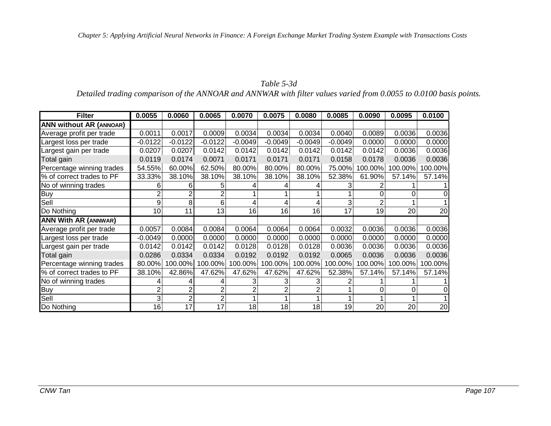### *Table 5-3d*

*Detailed trading comparison of the ANNOAR and ANNWAR with filter values varied from 0.0055 to 0.0100 basis points.*

| <b>Filter</b>                  | 0.0055    | 0.0060    | 0.0065    | 0.0070    | 0.0075    | 0.0080    | 0.0085    | 0.0090  | 0.0095  | 0.0100  |
|--------------------------------|-----------|-----------|-----------|-----------|-----------|-----------|-----------|---------|---------|---------|
| <b>ANN without AR (ANNOAR)</b> |           |           |           |           |           |           |           |         |         |         |
| Average profit per trade       | 0.0011    | 0.0017    | 0.0009    | 0.0034    | 0.0034    | 0.0034    | 0.0040    | 0.0089  | 0.0036  | 0.0036  |
| Largest loss per trade         | $-0.0122$ | $-0.0122$ | $-0.0122$ | $-0.0049$ | $-0.0049$ | $-0.0049$ | $-0.0049$ | 0.0000  | 0.0000  | 0.0000  |
| Largest gain per trade         | 0.0207    | 0.0207    | 0.0142    | 0.0142    | 0.0142    | 0.0142    | 0.0142    | 0.0142  | 0.0036  | 0.0036  |
| Total gain                     | 0.0119    | 0.0174    | 0.0071    | 0.0171    | 0.0171    | 0.0171    | 0.0158    | 0.0178  | 0.0036  | 0.0036  |
| Percentage winning trades      | 54.55%    | 60.00%    | 62.50%    | 80.00%    | 80.00%    | 80.00%    | 75.00%    | 100.00% | 100.00% | 100.00% |
| % of correct trades to PF      | 33.33%    | 38.10%    | 38.10%    | 38.10%    | 38.10%    | 38.10%    | 52.38%    | 61.90%  | 57.14%  | 57.14%  |
| No of winning trades           | 6         | 6         |           |           |           |           |           |         |         |         |
| Buy                            |           |           |           |           |           |           |           |         |         |         |
| Sell                           | 9         | 8         | 6         | 4         | 4         |           | 3         |         |         |         |
| Do Nothing                     | 10        | 11        | 13        | 16        | 16        | 16        | 17        | 19      | 20      | 20      |
| <b>ANN With AR (ANNWAR)</b>    |           |           |           |           |           |           |           |         |         |         |
| Average profit per trade       | 0.0057    | 0.0084    | 0.0084    | 0.0064    | 0.0064    | 0.0064    | 0.0032    | 0.0036  | 0.0036  | 0.0036  |
| Largest loss per trade         | $-0.0049$ | 0.0000    | 0.0000    | 0.0000    | 0.0000    | 0.0000    | 0.0000    | 0.0000  | 0.0000  | 0.0000  |
| Largest gain per trade         | 0.0142    | 0.0142    | 0.0142    | 0.0128    | 0.0128    | 0.0128    | 0.0036    | 0.0036  | 0.0036  | 0.0036  |
| Total gain                     | 0.0286    | 0.0334    | 0.0334    | 0.0192    | 0.0192    | 0.0192    | 0.0065    | 0.0036  | 0.0036  | 0.0036  |
| Percentage winning trades      | 80.00%    | 100.00%   | 100.00%   | 100.00%   | 100.00%   | 100.00%   | 100.00%   | 100.00% | 100.00% | 100.00% |
| % of correct trades to PF      | 38.10%    | 42.86%    | 47.62%    | 47.62%    | 47.62%    | 47.62%    | 52.38%    | 57.14%  | 57.14%  | 57.14%  |
| No of winning trades           |           |           |           |           | 3         |           |           |         |         |         |
| <b>Buy</b>                     |           |           |           |           |           |           |           | 0       | 0       | 0       |
| Sell                           | 3         | 2         | 2         |           |           |           |           |         |         |         |
| Do Nothing                     | 16        | 17        | 17        | 18        | 18        | 18        | 19        | 20      | 20      | 20      |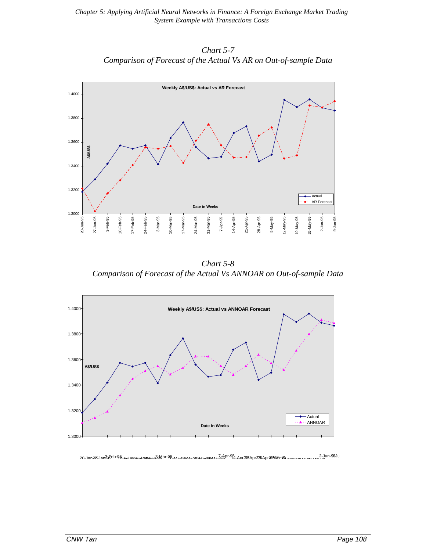*Chart 5-7 Comparison of Forecast of the Actual Vs AR on Out-of-sample Data*



*Chart 5-8 Comparison of Forecast of the Actual Vs ANNOAR on Out-of-sample Data*



20-Jan205 Jan305eb-95 FamosFamosFam3dMar-95 MarcosManosManoasMan<sup>7</sup>dApr-95 Apr295 Apr295 Apr595May-95 May no manapama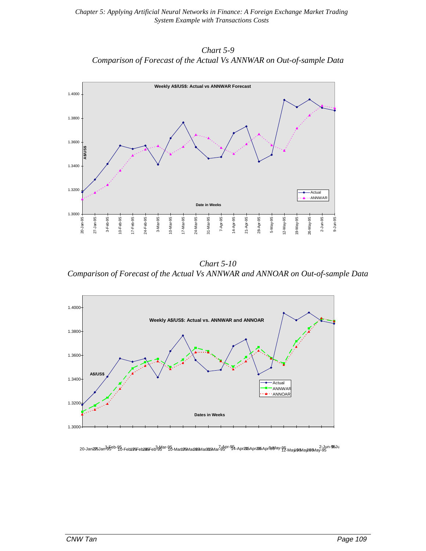*Chart 5-9 Comparison of Forecast of the Actual Vs ANNWAR on Out-of-sample Data*



*Chart 5-10 Comparison of Forecast of the Actual Vs ANNWAR and ANNOAR on Out-of-sample Data*



20-Jana <del>95</del> 3-Jun-95 3-Mar-95 3-Jun-95 3-Mar-95 3-Mar-95 3-Mar-95 34-Mar-95 31-May-95 3-May-95 3-May-95 2-Jun-95<br>29-May <del>19-May 98-May-95 2-Jun-95 20-May 95 20-May 95 20-May 95 20-May 95 20-May 95 20-May-95 20-May-95 20-</del>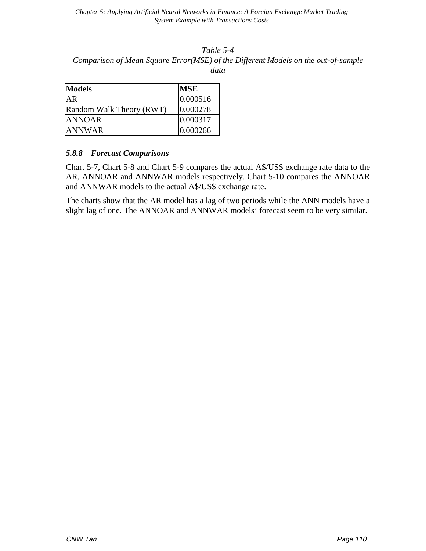#### *Table 5-4 Comparison of Mean Square Error(MSE) of the Different Models on the out-of-sample data*

| <b>Models</b>            | <b>MSE</b> |
|--------------------------|------------|
| AR                       | 0.000516   |
| Random Walk Theory (RWT) | 0.000278   |
| <b>ANNOAR</b>            | 0.000317   |
| <b>ANNWAR</b>            | 0.000266   |

#### *5.8.8 Forecast Comparisons*

Chart 5-7, Chart 5-8 and Chart 5-9 compares the actual A\$/US\$ exchange rate data to the AR, ANNOAR and ANNWAR models respectively. Chart 5-10 compares the ANNOAR and ANNWAR models to the actual A\$/US\$ exchange rate.

The charts show that the AR model has a lag of two periods while the ANN models have a slight lag of one. The ANNOAR and ANNWAR models' forecast seem to be very similar.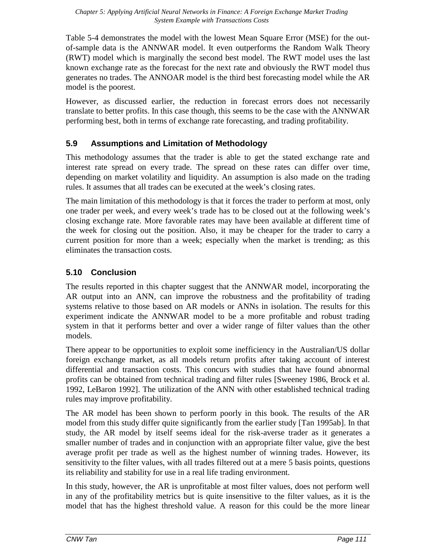Table 5-4 demonstrates the model with the lowest Mean Square Error (MSE) for the outof-sample data is the ANNWAR model. It even outperforms the Random Walk Theory (RWT) model which is marginally the second best model. The RWT model uses the last known exchange rate as the forecast for the next rate and obviously the RWT model thus generates no trades. The ANNOAR model is the third best forecasting model while the AR model is the poorest.

However, as discussed earlier, the reduction in forecast errors does not necessarily translate to better profits. In this case though, this seems to be the case with the ANNWAR performing best, both in terms of exchange rate forecasting, and trading profitability.

# **5.9 Assumptions and Limitation of Methodology**

This methodology assumes that the trader is able to get the stated exchange rate and interest rate spread on every trade. The spread on these rates can differ over time, depending on market volatility and liquidity. An assumption is also made on the trading rules. It assumes that all trades can be executed at the week's closing rates.

The main limitation of this methodology is that it forces the trader to perform at most, only one trader per week, and every week's trade has to be closed out at the following week's closing exchange rate. More favorable rates may have been available at different time of the week for closing out the position. Also, it may be cheaper for the trader to carry a current position for more than a week; especially when the market is trending; as this eliminates the transaction costs.

# **5.10 Conclusion**

The results reported in this chapter suggest that the ANNWAR model, incorporating the AR output into an ANN, can improve the robustness and the profitability of trading systems relative to those based on AR models or ANNs in isolation. The results for this experiment indicate the ANNWAR model to be a more profitable and robust trading system in that it performs better and over a wider range of filter values than the other models.

There appear to be opportunities to exploit some inefficiency in the Australian/US dollar foreign exchange market, as all models return profits after taking account of interest differential and transaction costs. This concurs with studies that have found abnormal profits can be obtained from technical trading and filter rules [Sweeney 1986, Brock et al. 1992, LeBaron 1992]. The utilization of the ANN with other established technical trading rules may improve profitability.

The AR model has been shown to perform poorly in this book. The results of the AR model from this study differ quite significantly from the earlier study [Tan 1995ab]. In that study, the AR model by itself seems ideal for the risk-averse trader as it generates a smaller number of trades and in conjunction with an appropriate filter value, give the best average profit per trade as well as the highest number of winning trades. However, its sensitivity to the filter values, with all trades filtered out at a mere 5 basis points, questions its reliability and stability for use in a real life trading environment.

In this study, however, the AR is unprofitable at most filter values, does not perform well in any of the profitability metrics but is quite insensitive to the filter values, as it is the model that has the highest threshold value. A reason for this could be the more linear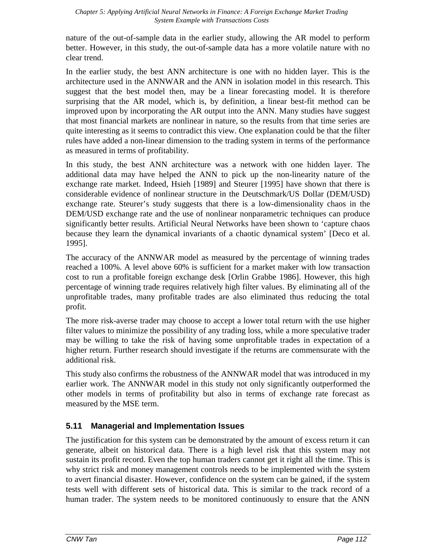nature of the out-of-sample data in the earlier study, allowing the AR model to perform better. However, in this study, the out-of-sample data has a more volatile nature with no clear trend.

In the earlier study, the best ANN architecture is one with no hidden layer. This is the architecture used in the ANNWAR and the ANN in isolation model in this research. This suggest that the best model then, may be a linear forecasting model. It is therefore surprising that the AR model, which is, by definition, a linear best-fit method can be improved upon by incorporating the AR output into the ANN. Many studies have suggest that most financial markets are nonlinear in nature, so the results from that time series are quite interesting as it seems to contradict this view. One explanation could be that the filter rules have added a non-linear dimension to the trading system in terms of the performance as measured in terms of profitability.

In this study, the best ANN architecture was a network with one hidden layer. The additional data may have helped the ANN to pick up the non-linearity nature of the exchange rate market. Indeed, Hsieh [1989] and Steurer [1995] have shown that there is considerable evidence of nonlinear structure in the Deutschmark/US Dollar (DEM/USD) exchange rate. Steurer's study suggests that there is a low-dimensionality chaos in the DEM/USD exchange rate and the use of nonlinear nonparametric techniques can produce significantly better results. Artificial Neural Networks have been shown to 'capture chaos because they learn the dynamical invariants of a chaotic dynamical system' [Deco et al. 1995].

The accuracy of the ANNWAR model as measured by the percentage of winning trades reached a 100%. A level above 60% is sufficient for a market maker with low transaction cost to run a profitable foreign exchange desk [Orlin Grabbe 1986]. However, this high percentage of winning trade requires relatively high filter values. By eliminating all of the unprofitable trades, many profitable trades are also eliminated thus reducing the total profit.

The more risk-averse trader may choose to accept a lower total return with the use higher filter values to minimize the possibility of any trading loss, while a more speculative trader may be willing to take the risk of having some unprofitable trades in expectation of a higher return. Further research should investigate if the returns are commensurate with the additional risk.

This study also confirms the robustness of the ANNWAR model that was introduced in my earlier work. The ANNWAR model in this study not only significantly outperformed the other models in terms of profitability but also in terms of exchange rate forecast as measured by the MSE term.

# **5.11 Managerial and Implementation Issues**

The justification for this system can be demonstrated by the amount of excess return it can generate, albeit on historical data. There is a high level risk that this system may not sustain its profit record. Even the top human traders cannot get it right all the time. This is why strict risk and money management controls needs to be implemented with the system to avert financial disaster. However, confidence on the system can be gained, if the system tests well with different sets of historical data. This is similar to the track record of a human trader. The system needs to be monitored continuously to ensure that the ANN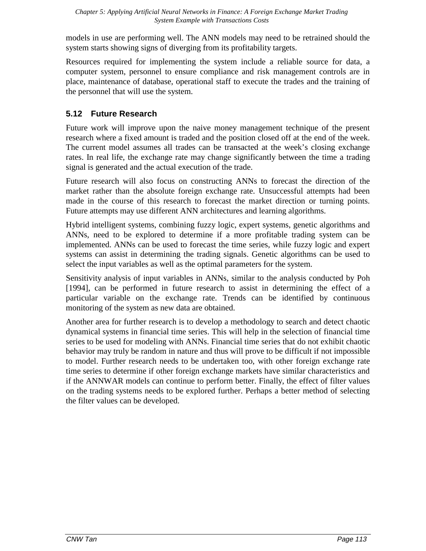models in use are performing well. The ANN models may need to be retrained should the system starts showing signs of diverging from its profitability targets.

Resources required for implementing the system include a reliable source for data, a computer system, personnel to ensure compliance and risk management controls are in place, maintenance of database, operational staff to execute the trades and the training of the personnel that will use the system.

# **5.12 Future Research**

Future work will improve upon the naive money management technique of the present research where a fixed amount is traded and the position closed off at the end of the week. The current model assumes all trades can be transacted at the week's closing exchange rates. In real life, the exchange rate may change significantly between the time a trading signal is generated and the actual execution of the trade.

Future research will also focus on constructing ANNs to forecast the direction of the market rather than the absolute foreign exchange rate. Unsuccessful attempts had been made in the course of this research to forecast the market direction or turning points. Future attempts may use different ANN architectures and learning algorithms.

Hybrid intelligent systems, combining fuzzy logic, expert systems, genetic algorithms and ANNs, need to be explored to determine if a more profitable trading system can be implemented. ANNs can be used to forecast the time series, while fuzzy logic and expert systems can assist in determining the trading signals. Genetic algorithms can be used to select the input variables as well as the optimal parameters for the system.

Sensitivity analysis of input variables in ANNs, similar to the analysis conducted by Poh [1994], can be performed in future research to assist in determining the effect of a particular variable on the exchange rate. Trends can be identified by continuous monitoring of the system as new data are obtained.

Another area for further research is to develop a methodology to search and detect chaotic dynamical systems in financial time series. This will help in the selection of financial time series to be used for modeling with ANNs. Financial time series that do not exhibit chaotic behavior may truly be random in nature and thus will prove to be difficult if not impossible to model. Further research needs to be undertaken too, with other foreign exchange rate time series to determine if other foreign exchange markets have similar characteristics and if the ANNWAR models can continue to perform better. Finally, the effect of filter values on the trading systems needs to be explored further. Perhaps a better method of selecting the filter values can be developed.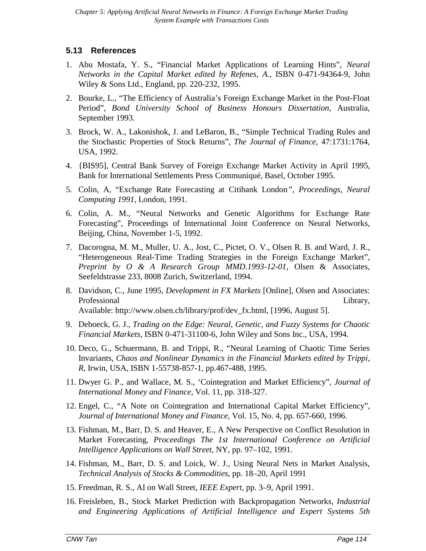# **5.13 References**

- 1. Abu Mostafa, Y. S., "Financial Market Applications of Learning Hints", *Neural Networks in the Capital Market edited by Refenes, A.*, ISBN 0-471-94364-9, John Wiley & Sons Ltd., England, pp. 220-232, 1995.
- 2. Bourke, L., "The Efficiency of Australia's Foreign Exchange Market in the Post-Float Period", *Bond University School of Business Honours Dissertation*, Australia, September 1993.
- 3. Brock, W. A., Lakonishok, J. and LeBaron, B., "Simple Technical Trading Rules and the Stochastic Properties of Stock Returns", *The Journal of Finance*, 47:1731:1764, USA, 1992.
- 4. {BIS95], Central Bank Survey of Foreign Exchange Market Activity in April 1995, Bank for International Settlements Press Communiqué, Basel, October 1995.
- 5. Colin, A, "Exchange Rate Forecasting at Citibank London*", Proceedings, Neural Computing 1991*, London, 1991.
- 6. Colin, A. M., "Neural Networks and Genetic Algorithms for Exchange Rate Forecasting", Proceedings of International Joint Conference on Neural Networks, Beijing, China, November 1-5, 1992.
- 7. Dacorogna, M. M., Muller, U. A., Jost, C., Pictet, O. V., Olsen R. B. and Ward, J. R., "Heterogeneous Real-Time Trading Strategies in the Foreign Exchange Market", *Preprint by O & A Research Group MMD.1993-12-01*, Olsen & Associates, Seefeldstrasse 233, 8008 Zurich, Switzerland, 1994.
- 8. Davidson, C., June 1995, *Development in FX Markets* [Online], Olsen and Associates: Professional Library*,* Available: http://www.olsen.ch/library/prof/dev\_fx.html, [1996, August 5].
- 9. Deboeck, G. J., *Trading on the Edge: Neural, Genetic, and Fuzzy Systems for Chaotic Financial Markets,* ISBN 0-471-31100-6, John Wiley and Sons Inc., USA, 1994.
- 10. Deco, G., Schuermann, B. and Trippi, R., "Neural Learning of Chaotic Time Series Invariants, *Chaos and Nonlinear Dynamics in the Financial Markets edited by Trippi, R*, Irwin, USA, ISBN 1-55738-857-1, pp.467-488, 1995.
- 11. Dwyer G. P., and Wallace, M. S., 'Cointegration and Market Efficiency", *Journal of International Money and Finance*, Vol. 11, pp. 318-327.
- 12. Engel, C., "A Note on Cointegration and International Capital Market Efficiency", *Journal of International Money and Finance*, Vol. 15, No. 4, pp. 657-660, 1996.
- 13. Fishman, M., Barr, D. S. and Heaver, E., A New Perspective on Conflict Resolution in Market Forecasting, *Proceedings The 1st International Conference on Artificial Intelligence Applications on Wall Street*, NY, pp. 97–102, 1991.
- 14. Fishman, M., Barr, D. S. and Loick, W. J., Using Neural Nets in Market Analysis, *Technical Analysis of Stocks & Commodities*, pp. 18–20, April 1991
- 15. Freedman, R. S., AI on Wall Street, *IEEE Expert*, pp. 3–9, April 1991.
- 16. Freisleben, B., Stock Market Prediction with Backpropagation Networks, *Industrial and Engineering Applications of Artificial Intelligence and Expert Systems 5th*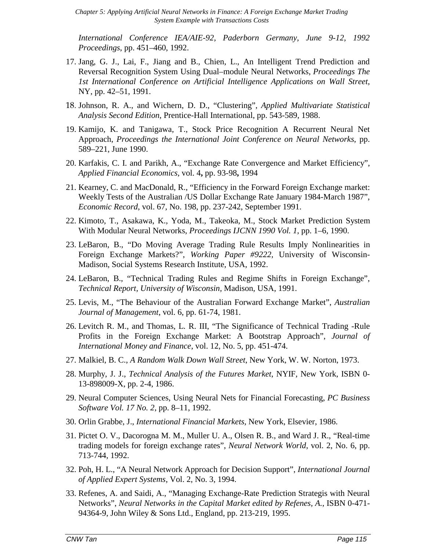*International Conference IEA/AIE-92, Paderborn Germany, June 9-12, 1992 Proceedings*, pp. 451–460, 1992.

- 17. Jang, G. J., Lai, F., Jiang and B., Chien, L., An Intelligent Trend Prediction and Reversal Recognition System Using Dual–module Neural Networks, *Proceedings The 1st International Conference on Artificial Intelligence Applications on Wall Street*, NY, pp. 42–51, 1991.
- Johnson, R. A., and Wichern, D. D., "Clustering", *Applied Multivariate Statistical Analysis Second Edition*, Prentice-Hall International, pp. 543-589, 1988.
- 19. Kamijo, K. and Tanigawa, T., Stock Price Recognition A Recurrent Neural Net Approach, *Proceedings the International Joint Conference on Neural Networks*, pp. 589–221, June 1990.
- 20. Karfakis, C. I. and Parikh, A., "Exchange Rate Convergence and Market Efficiency", *Applied Financial Economics*, vol. 4**,** pp. 93-98**,** 1994
- 21. Kearney, C. and MacDonald, R., "Efficiency in the Forward Foreign Exchange market: Weekly Tests of the Australian /US Dollar Exchange Rate January 1984-March 1987", *Economic Record*, vol. 67, No. 198, pp. 237-242, September 1991.
- 22. Kimoto, T., Asakawa, K., Yoda, M., Takeoka, M., Stock Market Prediction System With Modular Neural Networks, *Proceedings IJCNN 1990 Vol. 1*, pp. 1–6, 1990.
- 23. LeBaron, B., "Do Moving Average Trading Rule Results Imply Nonlinearities in Foreign Exchange Markets?", *Working Paper #9222,* University of Wisconsin-Madison, Social Systems Research Institute, USA, 1992.
- 24. LeBaron, B., "Technical Trading Rules and Regime Shifts in Foreign Exchange", *Technical Report, University of Wisconsin,* Madison, USA, 1991.
- 25. Levis, M., "The Behaviour of the Australian Forward Exchange Market", *Australian Journal of Management*, vol. 6, pp. 61-74, 1981.
- 26. Levitch R. M., and Thomas, L. R. III, "The Significance of Technical Trading -Rule Profits in the Foreign Exchange Market: A Bootstrap Approach", *Journal of International Money and Finance*, vol. 12, No. 5, pp. 451-474.
- 27. Malkiel, B. C., *A Random Walk Down Wall Street*, New York, W. W. Norton, 1973.
- 28. Murphy, J. J., *Technical Analysis of the Futures Market*, NYIF, New York, ISBN 0- 13-898009-X, pp. 2-4, 1986.
- 29. Neural Computer Sciences, Using Neural Nets for Financial Forecasting, *PC Business Software Vol. 17 No. 2*, pp. 8–11, 1992.
- 30. Orlin Grabbe, J., *International Financial Markets*, New York, Elsevier, 1986.
- 31. Pictet O. V., Dacorogna M. M., Muller U. A., Olsen R. B., and Ward J. R., "Real-time trading models for foreign exchange rates", *Neural Network World*, vol. 2, No. 6, pp. 713-744, 1992.
- 32. Poh, H. L., "A Neural Network Approach for Decision Support", *International Journal of Applied Expert Systems*, Vol. 2, No. 3, 1994.
- 33. Refenes, A. and Saidi, A., "Managing Exchange-Rate Prediction Strategis with Neural Networks", *Neural Networks in the Capital Market edited by Refenes, A.*, ISBN 0-471- 94364-9, John Wiley & Sons Ltd., England, pp. 213-219, 1995.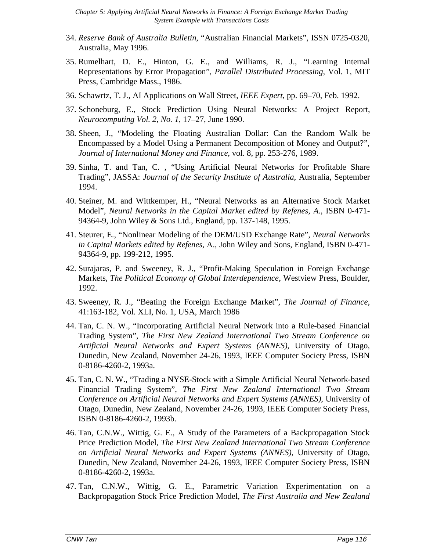- 34. *Reserve Bank of Australia Bulletin*, "Australian Financial Markets", ISSN 0725-0320, Australia, May 1996.
- 35. Rumelhart, D. E., Hinton, G. E., and Williams, R. J., "Learning Internal Representations by Error Propagation", *Parallel Distributed Processing*, Vol. 1, MIT Press, Cambridge Mass., 1986.
- 36. Schawrtz, T. J., AI Applications on Wall Street, *IEEE Expert*, pp. 69–70, Feb. 1992.
- 37. Schoneburg, E., Stock Prediction Using Neural Networks: A Project Report, *Neurocomputing Vol. 2, No. 1*, 17–27, June 1990.
- 38. Sheen, J., "Modeling the Floating Australian Dollar: Can the Random Walk be Encompassed by a Model Using a Permanent Decomposition of Money and Output?", *Journal of International Money and Finance*, vol. 8, pp. 253-276, 1989.
- 39. Sinha, T. and Tan, C. , "Using Artificial Neural Networks for Profitable Share Trading", JASSA: *Journal of the Security Institute of Australia*, Australia, September 1994.
- 40. Steiner, M. and Wittkemper, H., "Neural Networks as an Alternative Stock Market Model", *Neural Networks in the Capital Market edited by Refenes, A.*, ISBN 0-471- 94364-9, John Wiley & Sons Ltd., England, pp. 137-148, 1995.
- 41. Steurer, E., "Nonlinear Modeling of the DEM/USD Exchange Rate", *Neural Networks in Capital Markets edited by Refenes*, A., John Wiley and Sons, England, ISBN 0-471- 94364-9, pp. 199-212, 1995.
- 42. Surajaras, P. and Sweeney, R. J., "Profit-Making Speculation in Foreign Exchange Markets, *The Political Economy of Global Interdependence*, Westview Press, Boulder, 1992.
- 43. Sweeney, R. J., "Beating the Foreign Exchange Market", *The Journal of Finance*, 41:163-182, Vol. XLI, No. 1, USA, March 1986
- 44. Tan, C. N. W., "Incorporating Artificial Neural Network into a Rule-based Financial Trading System", *The First New Zealand International Two Stream Conference on Artificial Neural Networks and Expert Systems (ANNES)*, University of Otago, Dunedin, New Zealand, November 24-26, 1993, IEEE Computer Society Press, ISBN 0-8186-4260-2, 1993a.
- 45. Tan, C. N. W., "Trading a NYSE-Stock with a Simple Artificial Neural Network-based Financial Trading System", *The First New Zealand International Two Stream Conference on Artificial Neural Networks and Expert Systems (ANNES)*, University of Otago, Dunedin, New Zealand, November 24-26, 1993, IEEE Computer Society Press, ISBN 0-8186-4260-2, 1993b.
- 46. Tan, C.N.W., Wittig, G. E., A Study of the Parameters of a Backpropagation Stock Price Prediction Model, *The First New Zealand International Two Stream Conference on Artificial Neural Networks and Expert Systems (ANNES)*, University of Otago, Dunedin, New Zealand, November 24-26, 1993, IEEE Computer Society Press, ISBN 0-8186-4260-2, 1993a.
- 47. Tan, C.N.W., Wittig, G. E., Parametric Variation Experimentation on a Backpropagation Stock Price Prediction Model, *The First Australia and New Zealand*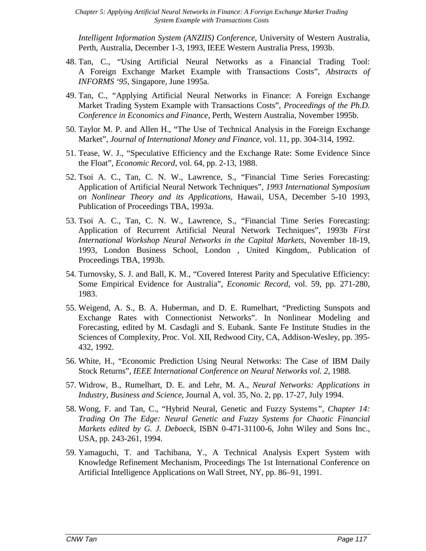*Intelligent Information System (ANZIIS) Conference*, University of Western Australia, Perth, Australia, December 1-3, 1993, IEEE Western Australia Press, 1993b.

- 48. Tan, C., "Using Artificial Neural Networks as a Financial Trading Tool: A Foreign Exchange Market Example with Transactions Costs", *Abstracts of INFORMS '95*, Singapore, June 1995a.
- 49. Tan, C., "Applying Artificial Neural Networks in Finance: A Foreign Exchange Market Trading System Example with Transactions Costs", *Proceedings of the Ph.D. Conference in Economics and Finance*, Perth, Western Australia, November 1995b.
- 50. Taylor M. P. and Allen H., "The Use of Technical Analysis in the Foreign Exchange Market", *Journal of International Money and Finance*, vol. 11, pp. 304-314, 1992.
- 51. Tease, W. J., "Speculative Efficiency and the Exchange Rate: Some Evidence Since the Float", *Economic Record*, vol. 64, pp. 2-13, 1988.
- 52. Tsoi A. C., Tan, C. N. W., Lawrence, S., "Financial Time Series Forecasting: Application of Artificial Neural Network Techniques", *1993 International Symposium on Nonlinear Theory and its Applications,* Hawaii, USA, December 5-10 1993, Publication of Proceedings TBA, 1993a.
- 53. Tsoi A. C., Tan, C. N. W., Lawrence, S., "Financial Time Series Forecasting: Application of Recurrent Artificial Neural Network Techniques", 1993b *First International Workshop Neural Networks in the Capital Markets*, November 18-19, 1993, London Business School, London , United Kingdom,. Publication of Proceedings TBA, 1993b.
- 54. Turnovsky, S. J. and Ball, K. M., "Covered Interest Parity and Speculative Efficiency: Some Empirical Evidence for Australia", *Economic Record*, vol. 59, pp. 271-280, 1983.
- 55. Weigend, A. S., B. A. Huberman, and D. E. Rumelhart, "Predicting Sunspots and Exchange Rates with Connectionist Networks". In Nonlinear Modeling and Forecasting, edited by M. Casdagli and S. Eubank. Sante Fe Institute Studies in the Sciences of Complexity, Proc. Vol. XII, Redwood City, CA, Addison-Wesley, pp. 395- 432, 1992.
- 56. White, H., "Economic Prediction Using Neural Networks: The Case of IBM Daily Stock Returns", *IEEE International Conference on Neural Networks vol. 2*, 1988.
- 57. Widrow, B., Rumelhart, D. E. and Lehr, M. A., *Neural Networks: Applications in Industry, Business and Science*, Journal A, vol. 35, No. 2, pp. 17-27, July 1994.
- 58. Wong, F. and Tan, C., "Hybrid Neural, Genetic and Fuzzy Systems*", Chapter 14: Trading On The Edge: Neural Genetic and Fuzzy Systems for Chaotic Financial Markets edited by G. J. Deboeck*, ISBN 0-471-31100-6, John Wiley and Sons Inc., USA, pp. 243-261, 1994.
- 59. Yamaguchi, T. and Tachibana, Y., A Technical Analysis Expert System with Knowledge Refinement Mechanism, Proceedings The 1st International Conference on Artificial Intelligence Applications on Wall Street, NY, pp. 86–91, 1991.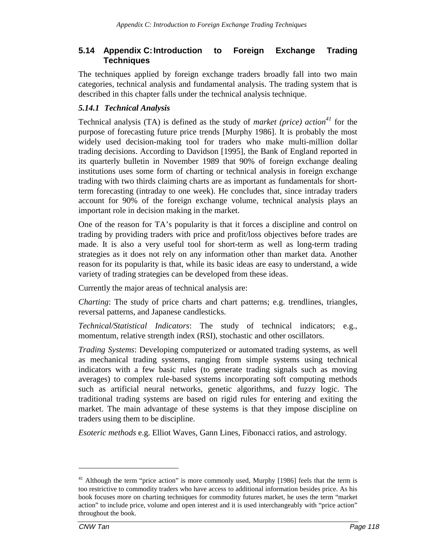## **5.14 Appendix C:Introduction to Foreign Exchange Trading Techniques**

The techniques applied by foreign exchange traders broadly fall into two main categories, technical analysis and fundamental analysis. The trading system that is described in this chapter falls under the technical analysis technique.

### *5.14.1 Technical Analysis*

Technical analysis (TA) is defined as the study of *market (price)* action<sup>41</sup> for the purpose of forecasting future price trends [Murphy 1986]. It is probably the most widely used decision-making tool for traders who make multi-million dollar trading decisions. According to Davidson [1995], the Bank of England reported in its quarterly bulletin in November 1989 that 90% of foreign exchange dealing institutions uses some form of charting or technical analysis in foreign exchange trading with two thirds claiming charts are as important as fundamentals for shortterm forecasting (intraday to one week). He concludes that, since intraday traders account for 90% of the foreign exchange volume, technical analysis plays an important role in decision making in the market.

One of the reason for TA's popularity is that it forces a discipline and control on trading by providing traders with price and profit/loss objectives before trades are made. It is also a very useful tool for short-term as well as long-term trading strategies as it does not rely on any information other than market data. Another reason for its popularity is that, while its basic ideas are easy to understand, a wide variety of trading strategies can be developed from these ideas.

Currently the major areas of technical analysis are:

*Charting*: The study of price charts and chart patterns; e.g. trendlines, triangles, reversal patterns, and Japanese candlesticks.

*Technical/Statistical Indicators*: The study of technical indicators; e.g., momentum, relative strength index (RSI), stochastic and other oscillators.

*Trading Systems*: Developing computerized or automated trading systems, as well as mechanical trading systems, ranging from simple systems using technical indicators with a few basic rules (to generate trading signals such as moving averages) to complex rule-based systems incorporating soft computing methods such as artificial neural networks, genetic algorithms, and fuzzy logic. The traditional trading systems are based on rigid rules for entering and exiting the market. The main advantage of these systems is that they impose discipline on traders using them to be discipline.

*Esoteric methods* e.g. Elliot Waves, Gann Lines, Fibonacci ratios, and astrology.

<u>.</u>

 $41$  Although the term "price action" is more commonly used, Murphy [1986] feels that the term is too restrictive to commodity traders who have access to additional information besides price. As his book focuses more on charting techniques for commodity futures market, he uses the term "market action" to include price, volume and open interest and it is used interchangeably with "price action" throughout the book.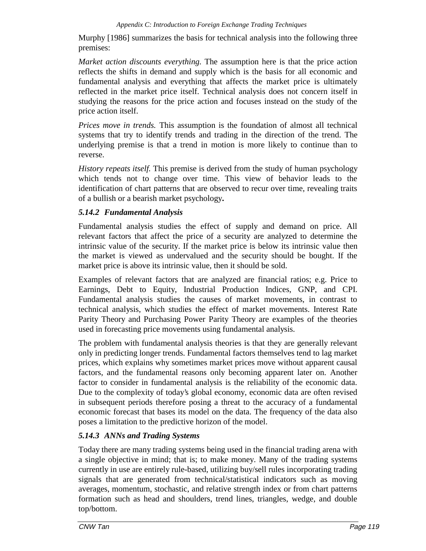Murphy [1986] summarizes the basis for technical analysis into the following three premises:

*Market action discounts everything.* The assumption here is that the price action reflects the shifts in demand and supply which is the basis for all economic and fundamental analysis and everything that affects the market price is ultimately reflected in the market price itself. Technical analysis does not concern itself in studying the reasons for the price action and focuses instead on the study of the price action itself.

*Prices move in trends.* This assumption is the foundation of almost all technical systems that try to identify trends and trading in the direction of the trend. The underlying premise is that a trend in motion is more likely to continue than to reverse.

*History repeats itself.* This premise is derived from the study of human psychology which tends not to change over time. This view of behavior leads to the identification of chart patterns that are observed to recur over time, revealing traits of a bullish or a bearish market psychology**.**

## *5.14.2 Fundamental Analysis*

Fundamental analysis studies the effect of supply and demand on price. All relevant factors that affect the price of a security are analyzed to determine the intrinsic value of the security. If the market price is below its intrinsic value then the market is viewed as undervalued and the security should be bought. If the market price is above its intrinsic value, then it should be sold.

Examples of relevant factors that are analyzed are financial ratios; e.g. Price to Earnings, Debt to Equity, Industrial Production Indices, GNP, and CPI. Fundamental analysis studies the causes of market movements, in contrast to technical analysis, which studies the effect of market movements. Interest Rate Parity Theory and Purchasing Power Parity Theory are examples of the theories used in forecasting price movements using fundamental analysis.

The problem with fundamental analysis theories is that they are generally relevant only in predicting longer trends. Fundamental factors themselves tend to lag market prices, which explains why sometimes market prices move without apparent causal factors, and the fundamental reasons only becoming apparent later on. Another factor to consider in fundamental analysis is the reliability of the economic data. Due to the complexity of today's global economy, economic data are often revised in subsequent periods therefore posing a threat to the accuracy of a fundamental economic forecast that bases its model on the data. The frequency of the data also poses a limitation to the predictive horizon of the model.

# *5.14.3 ANNs and Trading Systems*

Today there are many trading systems being used in the financial trading arena with a single objective in mind; that is; to make money. Many of the trading systems currently in use are entirely rule-based, utilizing buy/sell rules incorporating trading signals that are generated from technical/statistical indicators such as moving averages, momentum, stochastic, and relative strength index or from chart patterns formation such as head and shoulders, trend lines, triangles, wedge, and double top/bottom.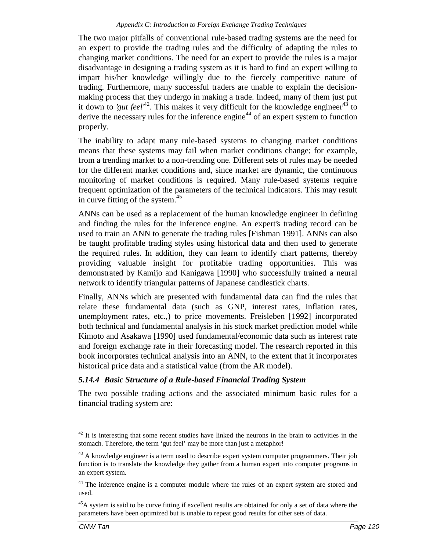The two major pitfalls of conventional rule-based trading systems are the need for an expert to provide the trading rules and the difficulty of adapting the rules to changing market conditions. The need for an expert to provide the rules is a major disadvantage in designing a trading system as it is hard to find an expert willing to impart his/her knowledge willingly due to the fiercely competitive nature of trading. Furthermore, many successful traders are unable to explain the decisionmaking process that they undergo in making a trade. Indeed, many of them just put it down to '*gut feel*<sup>42</sup>. This makes it very difficult for the knowledge engineer<sup>43</sup> to derive the necessary rules for the inference engine<sup>44</sup> of an expert system to function properly.

The inability to adapt many rule-based systems to changing market conditions means that these systems may fail when market conditions change; for example, from a trending market to a non-trending one. Different sets of rules may be needed for the different market conditions and, since market are dynamic, the continuous monitoring of market conditions is required. Many rule-based systems require frequent optimization of the parameters of the technical indicators. This may result in curve fitting of the system. $45$ 

ANNs can be used as a replacement of the human knowledge engineer in defining and finding the rules for the inference engine. An expert's trading record can be used to train an ANN to generate the trading rules [Fishman 1991]. ANNs can also be taught profitable trading styles using historical data and then used to generate the required rules. In addition, they can learn to identify chart patterns, thereby providing valuable insight for profitable trading opportunities. This was demonstrated by Kamijo and Kanigawa [1990] who successfully trained a neural network to identify triangular patterns of Japanese candlestick charts.

Finally, ANNs which are presented with fundamental data can find the rules that relate these fundamental data (such as GNP, interest rates, inflation rates, unemployment rates, etc.,) to price movements. Freisleben [1992] incorporated both technical and fundamental analysis in his stock market prediction model while Kimoto and Asakawa [1990] used fundamental/economic data such as interest rate and foreign exchange rate in their forecasting model. The research reported in this book incorporates technical analysis into an ANN, to the extent that it incorporates historical price data and a statistical value (from the AR model).

## *5.14.4 Basic Structure of a Rule-based Financial Trading System*

The two possible trading actions and the associated minimum basic rules for a financial trading system are:

<u>.</u>

 $42$  It is interesting that some recent studies have linked the neurons in the brain to activities in the stomach. Therefore, the term 'gut feel' may be more than just a metaphor!

<sup>&</sup>lt;sup>43</sup> A knowledge engineer is a term used to describe expert system computer programmers. Their job function is to translate the knowledge they gather from a human expert into computer programs in an expert system.

<sup>&</sup>lt;sup>44</sup> The inference engine is a computer module where the rules of an expert system are stored and used.

<sup>&</sup>lt;sup>45</sup>A system is said to be curve fitting if excellent results are obtained for only a set of data where the parameters have been optimized but is unable to repeat good results for other sets of data.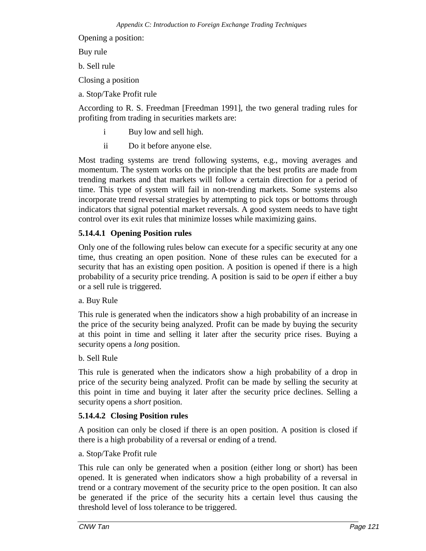Opening a position:

Buy rule

b. Sell rule

Closing a position

a. Stop/Take Profit rule

According to R. S. Freedman [Freedman 1991], the two general trading rules for profiting from trading in securities markets are:

- i Buy low and sell high.
- ii Do it before anyone else.

Most trading systems are trend following systems, e.g., moving averages and momentum. The system works on the principle that the best profits are made from trending markets and that markets will follow a certain direction for a period of time. This type of system will fail in non-trending markets. Some systems also incorporate trend reversal strategies by attempting to pick tops or bottoms through indicators that signal potential market reversals. A good system needs to have tight control over its exit rules that minimize losses while maximizing gains.

### **5.14.4.1 Opening Position rules**

Only one of the following rules below can execute for a specific security at any one time, thus creating an open position. None of these rules can be executed for a security that has an existing open position. A position is opened if there is a high probability of a security price trending. A position is said to be *open* if either a buy or a sell rule is triggered.

#### a. Buy Rule

This rule is generated when the indicators show a high probability of an increase in the price of the security being analyzed. Profit can be made by buying the security at this point in time and selling it later after the security price rises. Buying a security opens a *long* position.

b. Sell Rule

This rule is generated when the indicators show a high probability of a drop in price of the security being analyzed. Profit can be made by selling the security at this point in time and buying it later after the security price declines. Selling a security opens a *short* position.

#### **5.14.4.2 Closing Position rules**

A position can only be closed if there is an open position. A position is closed if there is a high probability of a reversal or ending of a trend.

#### a. Stop/Take Profit rule

This rule can only be generated when a position (either long or short) has been opened. It is generated when indicators show a high probability of a reversal in trend or a contrary movement of the security price to the open position. It can also be generated if the price of the security hits a certain level thus causing the threshold level of loss tolerance to be triggered.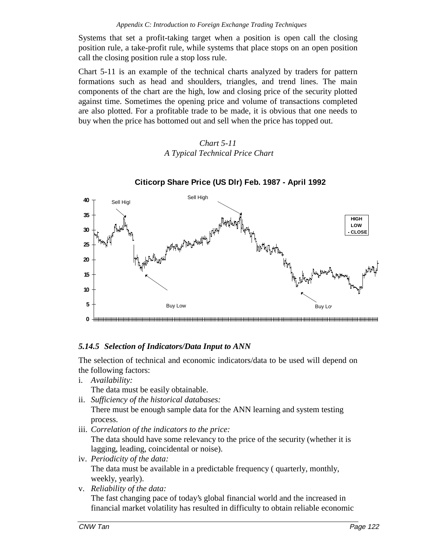Systems that set a profit-taking target when a position is open call the closing position rule, a take-profit rule, while systems that place stops on an open position call the closing position rule a stop loss rule.

Chart 5-11 is an example of the technical charts analyzed by traders for pattern formations such as head and shoulders, triangles, and trend lines. The main components of the chart are the high, low and closing price of the security plotted against time. Sometimes the opening price and volume of transactions completed are also plotted. For a profitable trade to be made, it is obvious that one needs to buy when the price has bottomed out and sell when the price has topped out.

## *Chart 5-11 A Typical Technical Price Chart*



# **Citicorp Share Price (US Dlr) Feb. 1987 - April 1992**

## *5.14.5 Selection of Indicators/Data Input to ANN*

The selection of technical and economic indicators/data to be used will depend on the following factors:

i. *Availability:*

The data must be easily obtainable.

- ii. *Sufficiency of the historical databases:* There must be enough sample data for the ANN learning and system testing process.
- iii. *Correlation of the indicators to the price:*

The data should have some relevancy to the price of the security (whether it is lagging, leading, coincidental or noise).

- iv. *Periodicity of the data:* The data must be available in a predictable frequency ( quarterly, monthly, weekly, yearly).
- v. *Reliability of the data:* The fast changing pace of today's global financial world and the increased in financial market volatility has resulted in difficulty to obtain reliable economic